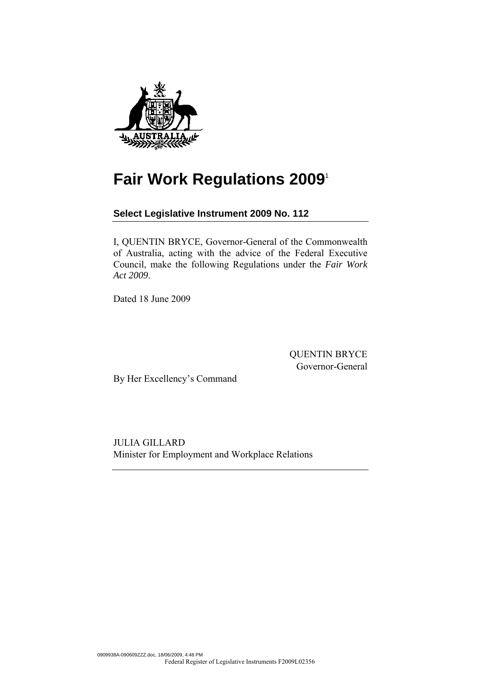

# **Fair Work Regulations 20091**

## **Select Legislative Instrument 2009 No. 112**

I, QUENTIN BRYCE, Governor-General of the Commonwealth of Australia, acting with the advice of the Federal Executive Council, make the following Regulations under the *Fair Work Act 2009*.

Dated 18 June 2009

QUENTIN BRYCE Governor-General

By Her Excellency's Command

JULIA GILLARD Minister for Employment and Workplace Relations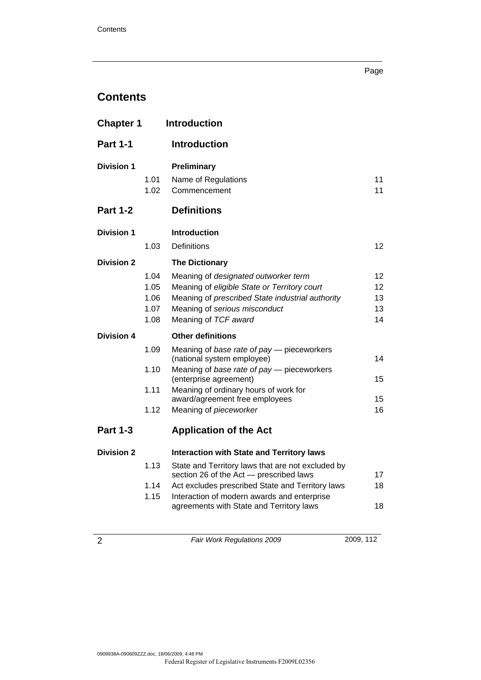# **Contents**

| <b>Chapter 1</b>  |                                      | <b>Introduction</b>                                                                                                                                                                                                                                                                             |                            |
|-------------------|--------------------------------------|-------------------------------------------------------------------------------------------------------------------------------------------------------------------------------------------------------------------------------------------------------------------------------------------------|----------------------------|
| <b>Part 1-1</b>   |                                      | <b>Introduction</b>                                                                                                                                                                                                                                                                             |                            |
| <b>Division 1</b> | 1.01<br>1.02                         | Preliminary<br>Name of Regulations<br>Commencement                                                                                                                                                                                                                                              | 11<br>11                   |
| <b>Part 1-2</b>   |                                      | <b>Definitions</b>                                                                                                                                                                                                                                                                              |                            |
| <b>Division 1</b> | 1.03                                 | <b>Introduction</b><br><b>Definitions</b>                                                                                                                                                                                                                                                       | 12                         |
| <b>Division 2</b> | 1.04<br>1.05<br>1.06<br>1.07<br>1.08 | <b>The Dictionary</b><br>Meaning of designated outworker term<br>Meaning of eligible State or Territory court<br>Meaning of prescribed State industrial authority<br>Meaning of serious misconduct<br>Meaning of TCF award                                                                      | 12<br>12<br>13<br>13<br>14 |
| <b>Division 4</b> |                                      | <b>Other definitions</b>                                                                                                                                                                                                                                                                        |                            |
|                   | 1.09<br>1.10<br>1.11<br>1.12         | Meaning of base rate of pay - pieceworkers<br>(national system employee)<br>Meaning of base rate of pay - pieceworkers<br>(enterprise agreement)<br>Meaning of ordinary hours of work for<br>award/agreement free employees<br>Meaning of pieceworker                                           | 14<br>15<br>15<br>16       |
| <b>Part 1-3</b>   |                                      | <b>Application of the Act</b>                                                                                                                                                                                                                                                                   |                            |
| <b>Division 2</b> | 1.13<br>1.14<br>1.15                 | <b>Interaction with State and Territory laws</b><br>State and Territory laws that are not excluded by<br>section 26 of the Act - prescribed laws<br>Act excludes prescribed State and Territory laws<br>Interaction of modern awards and enterprise<br>agreements with State and Territory laws | 17<br>18<br>18             |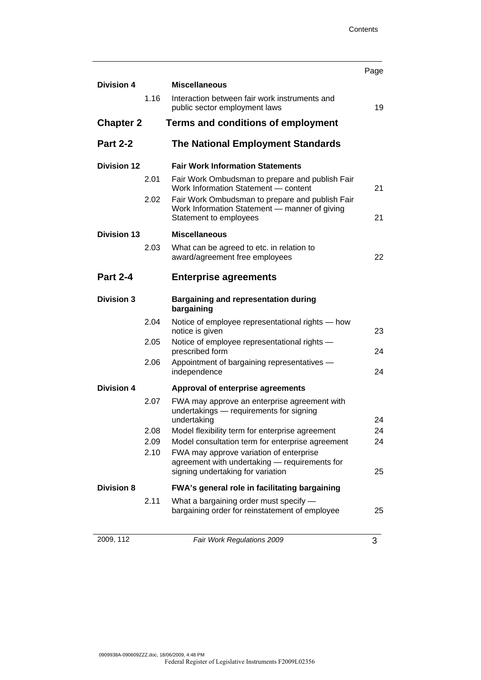|                    |      |                                                                                                                               | Page |
|--------------------|------|-------------------------------------------------------------------------------------------------------------------------------|------|
| <b>Division 4</b>  |      | <b>Miscellaneous</b>                                                                                                          |      |
|                    | 1.16 | Interaction between fair work instruments and<br>public sector employment laws                                                | 19   |
| <b>Chapter 2</b>   |      | Terms and conditions of employment                                                                                            |      |
| <b>Part 2-2</b>    |      | <b>The National Employment Standards</b>                                                                                      |      |
| <b>Division 12</b> |      | <b>Fair Work Information Statements</b>                                                                                       |      |
|                    | 2.01 | Fair Work Ombudsman to prepare and publish Fair<br>Work Information Statement — content                                       | 21   |
|                    | 2.02 | Fair Work Ombudsman to prepare and publish Fair<br>Work Information Statement - manner of giving<br>Statement to employees    | 21   |
| <b>Division 13</b> |      | <b>Miscellaneous</b>                                                                                                          |      |
|                    |      |                                                                                                                               |      |
|                    | 2.03 | What can be agreed to etc. in relation to<br>award/agreement free employees                                                   | 22   |
| <b>Part 2-4</b>    |      | <b>Enterprise agreements</b>                                                                                                  |      |
| <b>Division 3</b>  |      | <b>Bargaining and representation during</b><br>bargaining                                                                     |      |
|                    | 2.04 | Notice of employee representational rights - how<br>notice is given                                                           | 23   |
|                    | 2.05 | Notice of employee representational rights -<br>prescribed form                                                               | 24   |
|                    | 2.06 | Appointment of bargaining representatives -<br>independence                                                                   | 24   |
| <b>Division 4</b>  |      | Approval of enterprise agreements                                                                                             |      |
|                    | 2.07 | FWA may approve an enterprise agreement with<br>undertakings - requirements for signing                                       |      |
|                    |      | undertaking                                                                                                                   | 24   |
|                    | 2.08 | Model flexibility term for enterprise agreement                                                                               | 24   |
|                    | 2.09 | Model consultation term for enterprise agreement                                                                              | 24   |
|                    | 2.10 | FWA may approve variation of enterprise<br>agreement with undertaking - requirements for<br>signing undertaking for variation | 25   |
| <b>Division 8</b>  |      | FWA's general role in facilitating bargaining                                                                                 |      |
|                    | 2.11 | What a bargaining order must specify -<br>bargaining order for reinstatement of employee                                      | 25   |
|                    |      |                                                                                                                               |      |
| 2009, 112          |      | Fair Work Regulations 2009                                                                                                    | 3    |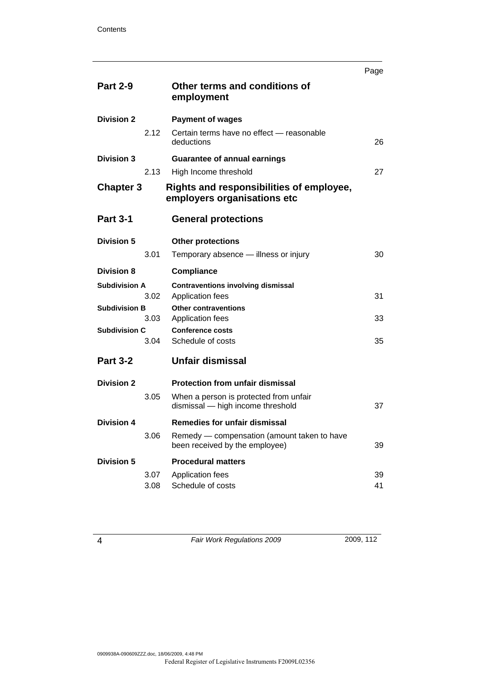| <b>Part 2-9</b>              | Other terms and conditions of                                                 | Page     |
|------------------------------|-------------------------------------------------------------------------------|----------|
|                              | employment                                                                    |          |
| <b>Division 2</b>            | <b>Payment of wages</b>                                                       |          |
| 2.12                         | Certain terms have no effect - reasonable<br>deductions                       | 26       |
| <b>Division 3</b>            | <b>Guarantee of annual earnings</b>                                           |          |
| 2.13                         | High Income threshold                                                         | 27       |
| <b>Chapter 3</b>             | Rights and responsibilities of employee,<br>employers organisations etc       |          |
| <b>Part 3-1</b>              | <b>General protections</b>                                                    |          |
| <b>Division 5</b>            | <b>Other protections</b>                                                      |          |
| 3.01                         | Temporary absence - illness or injury                                         | 30       |
| <b>Division 8</b>            | <b>Compliance</b>                                                             |          |
| <b>Subdivision A</b>         | <b>Contraventions involving dismissal</b>                                     | 31       |
| 3.02<br><b>Subdivision B</b> | Application fees<br><b>Other contraventions</b>                               |          |
| 3.03                         | Application fees                                                              | 33       |
| <b>Subdivision C</b>         | <b>Conference costs</b>                                                       |          |
| 3.04                         | Schedule of costs                                                             | 35       |
| <b>Part 3-2</b>              | <b>Unfair dismissal</b>                                                       |          |
| <b>Division 2</b>            | <b>Protection from unfair dismissal</b>                                       |          |
| 3.05                         | When a person is protected from unfair<br>dismissal - high income threshold   | 37       |
| <b>Division 4</b>            | Remedies for unfair dismissal                                                 |          |
| 3.06                         | Remedy — compensation (amount taken to have<br>been received by the employee) | 39       |
| <b>Division 5</b>            | <b>Procedural matters</b>                                                     |          |
| 3.07<br>3.08                 | <b>Application fees</b><br>Schedule of costs                                  | 39<br>41 |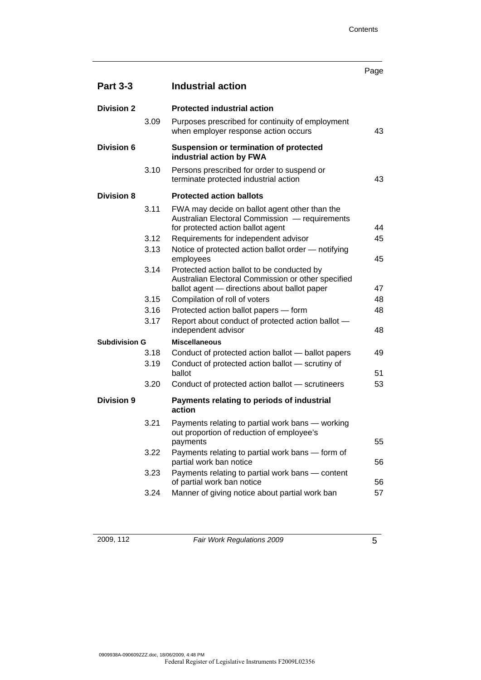|                      |      |                                                                                                                                                  | Page |
|----------------------|------|--------------------------------------------------------------------------------------------------------------------------------------------------|------|
| <b>Part 3-3</b>      |      | <b>Industrial action</b>                                                                                                                         |      |
| <b>Division 2</b>    |      | <b>Protected industrial action</b>                                                                                                               |      |
|                      | 3.09 | Purposes prescribed for continuity of employment<br>when employer response action occurs                                                         | 43   |
| <b>Division 6</b>    |      | Suspension or termination of protected<br>industrial action by FWA                                                                               |      |
|                      | 3.10 | Persons prescribed for order to suspend or<br>terminate protected industrial action                                                              | 43   |
| <b>Division 8</b>    |      | <b>Protected action ballots</b>                                                                                                                  |      |
|                      | 3.11 | FWA may decide on ballot agent other than the<br>Australian Electoral Commission - requirements<br>for protected action ballot agent             | 44   |
|                      | 3.12 | Requirements for independent advisor                                                                                                             | 45   |
|                      | 3.13 | Notice of protected action ballot order - notifying                                                                                              |      |
|                      |      | employees                                                                                                                                        | 45   |
|                      | 3.14 | Protected action ballot to be conducted by<br>Australian Electoral Commission or other specified<br>ballot agent - directions about ballot paper | 47   |
|                      | 3.15 | Compilation of roll of voters                                                                                                                    | 48   |
|                      | 3.16 | Protected action ballot papers - form                                                                                                            | 48   |
|                      | 3.17 | Report about conduct of protected action ballot -<br>independent advisor                                                                         | 48   |
| <b>Subdivision G</b> |      | <b>Miscellaneous</b>                                                                                                                             |      |
|                      | 3.18 | Conduct of protected action ballot - ballot papers                                                                                               | 49   |
|                      | 3.19 | Conduct of protected action ballot - scrutiny of<br>ballot                                                                                       | 51   |
|                      | 3.20 | Conduct of protected action ballot - scrutineers                                                                                                 | 53   |
| <b>Division 9</b>    |      | Payments relating to periods of industrial<br>action                                                                                             |      |
|                      | 3.21 | Payments relating to partial work bans — working<br>out proportion of reduction of employee's                                                    | 55   |
|                      | 3.22 | payments<br>Payments relating to partial work bans - form of                                                                                     |      |
|                      |      | partial work ban notice                                                                                                                          | 56   |
|                      | 3.23 | Payments relating to partial work bans - content<br>of partial work ban notice                                                                   | 56   |
|                      | 3.24 | Manner of giving notice about partial work ban                                                                                                   | 57   |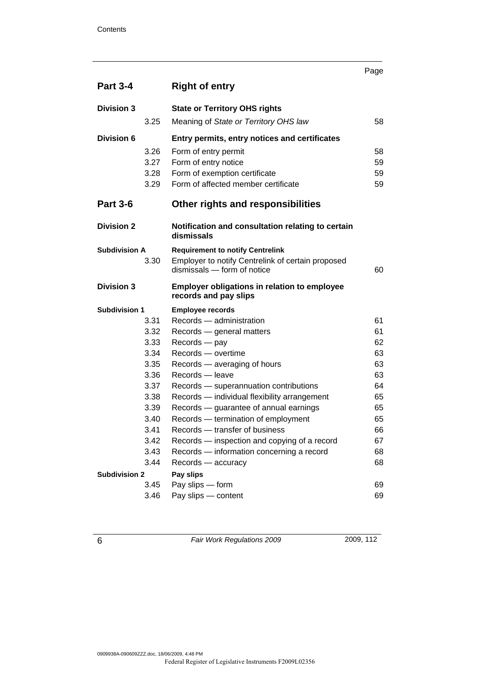|                      |      |                                                                                  | Page |
|----------------------|------|----------------------------------------------------------------------------------|------|
| <b>Part 3-4</b>      |      | <b>Right of entry</b>                                                            |      |
| <b>Division 3</b>    |      | <b>State or Territory OHS rights</b>                                             |      |
|                      | 3.25 | Meaning of State or Territory OHS law                                            | 58   |
| <b>Division 6</b>    |      | Entry permits, entry notices and certificates                                    |      |
|                      | 3.26 | Form of entry permit                                                             | 58   |
|                      | 3.27 | Form of entry notice                                                             | 59   |
|                      | 3.28 | Form of exemption certificate                                                    | 59   |
|                      | 3.29 | Form of affected member certificate                                              | 59   |
| <b>Part 3-6</b>      |      | Other rights and responsibilities                                                |      |
| <b>Division 2</b>    |      | Notification and consultation relating to certain<br>dismissals                  |      |
| <b>Subdivision A</b> |      | <b>Requirement to notify Centrelink</b>                                          |      |
|                      | 3.30 | Employer to notify Centrelink of certain proposed<br>dismissals - form of notice | 60   |
| <b>Division 3</b>    |      | <b>Employer obligations in relation to employee</b><br>records and pay slips     |      |
| <b>Subdivision 1</b> |      | <b>Employee records</b>                                                          |      |
|                      | 3.31 | Records - administration                                                         | 61   |
|                      | 3.32 | Records - general matters                                                        | 61   |
|                      | 3.33 | Records - pay                                                                    | 62   |
|                      | 3.34 | Records - overtime                                                               | 63   |
|                      | 3.35 | Records - averaging of hours                                                     | 63   |
|                      | 3.36 | Records - leave                                                                  | 63   |
|                      | 3.37 | Records - superannuation contributions                                           | 64   |
|                      | 3.38 | Records - individual flexibility arrangement                                     | 65   |
|                      | 3.39 | Records - guarantee of annual earnings                                           | 65   |
|                      | 3.40 | Records - termination of employment                                              | 65   |
|                      | 3.41 | Records - transfer of business                                                   | 66   |
|                      | 3.42 | Records – inspection and copying of a record                                     | 67   |
|                      | 3.43 | Records - information concerning a record                                        | 68   |
|                      | 3.44 | Records - accuracy                                                               | 68   |
| <b>Subdivision 2</b> |      | Pay slips                                                                        |      |
|                      | 3.45 | Pay slips - form<br>Pay slips - content                                          | 69   |
|                      | 3.46 |                                                                                  | 69   |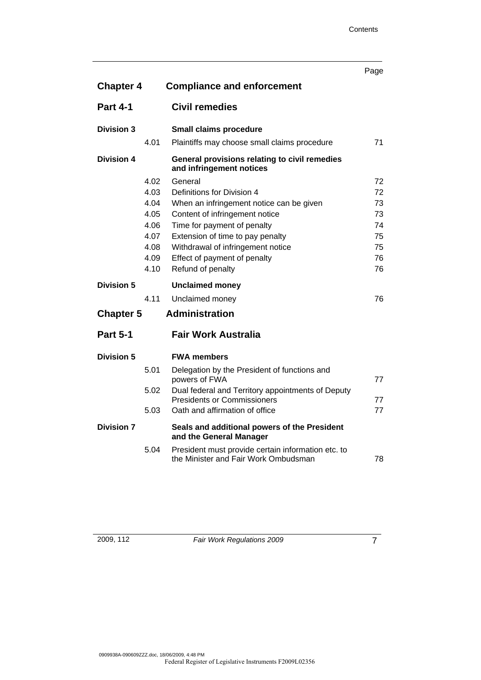|                   |      |                                                                                            | Page |
|-------------------|------|--------------------------------------------------------------------------------------------|------|
| <b>Chapter 4</b>  |      | <b>Compliance and enforcement</b>                                                          |      |
| <b>Part 4-1</b>   |      | <b>Civil remedies</b>                                                                      |      |
| <b>Division 3</b> |      | <b>Small claims procedure</b>                                                              |      |
|                   | 4.01 | Plaintiffs may choose small claims procedure                                               | 71   |
| <b>Division 4</b> |      | General provisions relating to civil remedies<br>and infringement notices                  |      |
|                   | 4.02 | General                                                                                    | 72   |
|                   | 4.03 | Definitions for Division 4                                                                 | 72   |
|                   | 4.04 | When an infringement notice can be given                                                   | 73   |
|                   | 4.05 | Content of infringement notice                                                             | 73   |
|                   | 4.06 | Time for payment of penalty                                                                | 74   |
|                   | 4.07 | Extension of time to pay penalty                                                           | 75   |
|                   | 4.08 | Withdrawal of infringement notice                                                          | 75   |
|                   | 4.09 | Effect of payment of penalty                                                               | 76   |
|                   | 4.10 | Refund of penalty                                                                          | 76   |
| Division 5        |      | <b>Unclaimed money</b>                                                                     |      |
|                   | 4.11 | Unclaimed money                                                                            | 76   |
| <b>Chapter 5</b>  |      | <b>Administration</b>                                                                      |      |
| <b>Part 5-1</b>   |      | <b>Fair Work Australia</b>                                                                 |      |
| Division 5        |      | <b>FWA members</b>                                                                         |      |
|                   | 5.01 | Delegation by the President of functions and<br>powers of FWA                              | 77   |
|                   | 5.02 | Dual federal and Territory appointments of Deputy<br>Presidents or Commissioners           | 77   |
|                   | 5.03 | Oath and affirmation of office                                                             | 77   |
| <b>Division 7</b> |      | Seals and additional powers of the President<br>and the General Manager                    |      |
|                   | 5.04 | President must provide certain information etc. to<br>the Minister and Fair Work Ombudsman | 78   |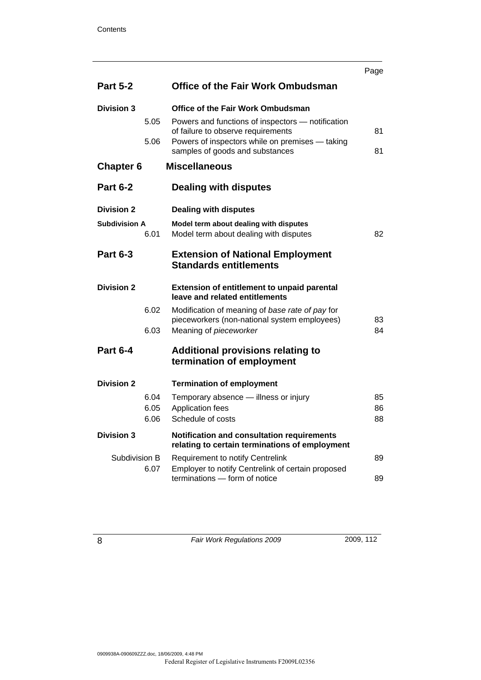|                              |                                                                                                                                            | Page |
|------------------------------|--------------------------------------------------------------------------------------------------------------------------------------------|------|
| <b>Part 5-2</b>              | <b>Office of the Fair Work Ombudsman</b>                                                                                                   |      |
| <b>Division 3</b>            | Office of the Fair Work Ombudsman                                                                                                          |      |
| 5.05<br>5.06                 | Powers and functions of inspectors - notification<br>of failure to observe requirements<br>Powers of inspectors while on premises - taking | 81   |
|                              | samples of goods and substances                                                                                                            | 81   |
| <b>Chapter 6</b>             | <b>Miscellaneous</b>                                                                                                                       |      |
| <b>Part 6-2</b>              | <b>Dealing with disputes</b>                                                                                                               |      |
| <b>Division 2</b>            | <b>Dealing with disputes</b>                                                                                                               |      |
| <b>Subdivision A</b><br>6.01 | Model term about dealing with disputes<br>Model term about dealing with disputes                                                           | 82   |
| <b>Part 6-3</b>              | <b>Extension of National Employment</b><br><b>Standards entitlements</b>                                                                   |      |
| <b>Division 2</b>            | <b>Extension of entitlement to unpaid parental</b><br>leave and related entitlements                                                       |      |
| 6.02                         | Modification of meaning of base rate of pay for<br>pieceworkers (non-national system employees)                                            | 83   |
| 6.03                         | Meaning of pieceworker                                                                                                                     | 84   |
| <b>Part 6-4</b>              | <b>Additional provisions relating to</b><br>termination of employment                                                                      |      |
| <b>Division 2</b>            | <b>Termination of employment</b>                                                                                                           |      |
| 6.04                         | Temporary absence - illness or injury                                                                                                      | 85   |
| 6.05                         | Application fees                                                                                                                           | 86   |
| 6.06                         | Schedule of costs                                                                                                                          | 88   |
| <b>Division 3</b>            | Notification and consultation requirements<br>relating to certain terminations of employment                                               |      |
| Subdivision B                | <b>Requirement to notify Centrelink</b>                                                                                                    | 89   |
| 6.07                         | Employer to notify Centrelink of certain proposed<br>terminations - form of notice                                                         | 89   |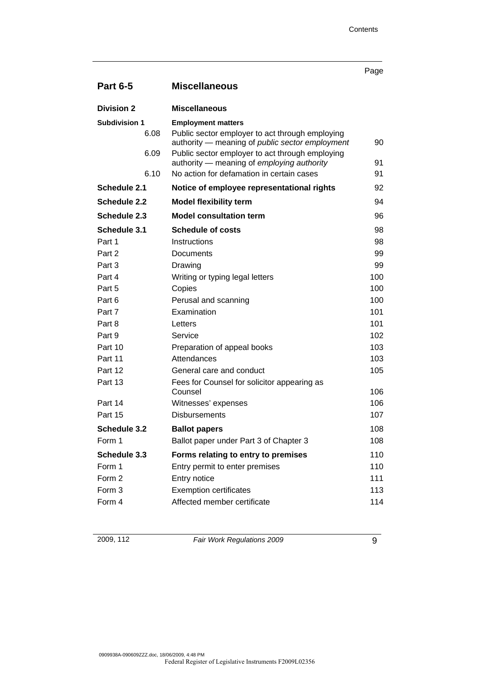|                              |                                                                                                                                 | Page |
|------------------------------|---------------------------------------------------------------------------------------------------------------------------------|------|
| <b>Part 6-5</b>              | <b>Miscellaneous</b>                                                                                                            |      |
| <b>Division 2</b>            | <b>Miscellaneous</b>                                                                                                            |      |
| <b>Subdivision 1</b><br>6.08 | <b>Employment matters</b><br>Public sector employer to act through employing<br>authority — meaning of public sector employment | 90   |
| 6.09                         | Public sector employer to act through employing<br>authority - meaning of employing authority                                   | 91   |
| 6.10                         | No action for defamation in certain cases                                                                                       | 91   |
| <b>Schedule 2.1</b>          | Notice of employee representational rights                                                                                      | 92   |
| Schedule 2.2                 | <b>Model flexibility term</b>                                                                                                   | 94   |
| Schedule 2.3                 | <b>Model consultation term</b>                                                                                                  | 96   |
| Schedule 3.1                 | <b>Schedule of costs</b>                                                                                                        | 98   |
| Part 1                       | Instructions                                                                                                                    | 98   |
| Part 2                       | Documents                                                                                                                       | 99   |
| Part 3                       | Drawing                                                                                                                         | 99   |
| Part 4                       | Writing or typing legal letters                                                                                                 | 100  |
| Part 5                       | Copies                                                                                                                          | 100  |
| Part 6                       | Perusal and scanning                                                                                                            | 100  |
| Part 7                       | Examination                                                                                                                     | 101  |
| Part 8                       | Letters                                                                                                                         | 101  |
| Part 9                       | Service                                                                                                                         | 102  |
| Part 10                      | Preparation of appeal books                                                                                                     | 103  |
| Part 11                      | Attendances                                                                                                                     | 103  |
| Part 12                      | General care and conduct                                                                                                        | 105  |
| Part 13                      | Fees for Counsel for solicitor appearing as<br>Counsel                                                                          | 106  |
| Part 14                      | Witnesses' expenses                                                                                                             | 106  |
| Part 15                      | <b>Disbursements</b>                                                                                                            | 107  |
| Schedule 3.2                 | <b>Ballot papers</b>                                                                                                            | 108  |
| Form 1                       | Ballot paper under Part 3 of Chapter 3                                                                                          | 108  |
| Schedule 3.3                 | Forms relating to entry to premises                                                                                             | 110  |
| Form 1                       | Entry permit to enter premises                                                                                                  | 110  |
| Form 2                       | Entry notice                                                                                                                    | 111  |
| Form 3                       | <b>Exemption certificates</b>                                                                                                   | 113  |
| Form 4                       | Affected member certificate                                                                                                     | 114  |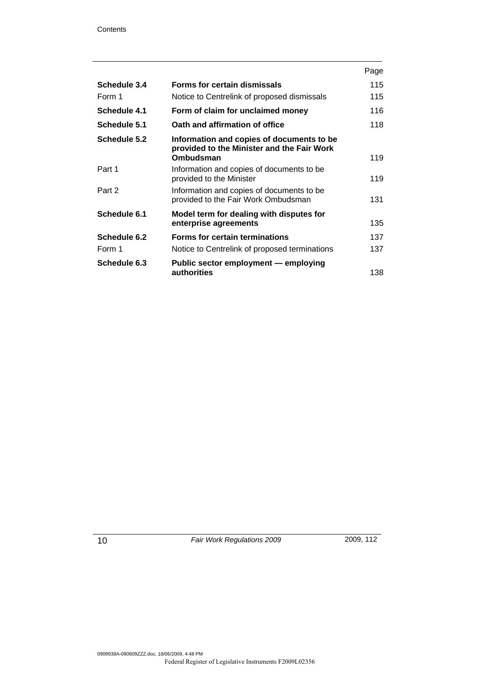|              |                                                                                                      | Page |
|--------------|------------------------------------------------------------------------------------------------------|------|
| Schedule 3.4 | <b>Forms for certain dismissals</b>                                                                  | 115  |
| Form 1       | Notice to Centrelink of proposed dismissals                                                          | 115  |
| Schedule 4.1 | Form of claim for unclaimed money                                                                    | 116  |
| Schedule 5.1 | Oath and affirmation of office                                                                       | 118  |
| Schedule 5.2 | Information and copies of documents to be<br>provided to the Minister and the Fair Work<br>Ombudsman | 119  |
| Part 1       | Information and copies of documents to be<br>provided to the Minister                                | 119  |
| Part 2       | Information and copies of documents to be<br>provided to the Fair Work Ombudsman                     | 131  |
| Schedule 6.1 | Model term for dealing with disputes for<br>enterprise agreements                                    | 135  |
| Schedule 6.2 | <b>Forms for certain terminations</b>                                                                | 137  |
| Form 1       | Notice to Centrelink of proposed terminations                                                        | 137  |
| Schedule 6.3 | Public sector employment - employing<br>authorities                                                  | 138  |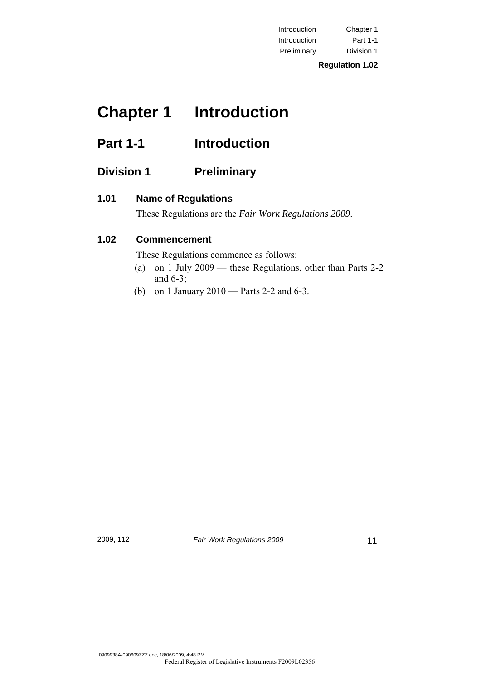Introduction Chapter 1 Introduction Part 1-1 Preliminary Division 1

#### **Regulation 1.02**

# **Chapter 1 Introduction**

# Part 1-1 **Introduction**

# **Division 1 Preliminary**

### **1.01 Name of Regulations**

These Regulations are the *Fair Work Regulations 2009*.

### **1.02 Commencement**

These Regulations commence as follows:

- (a) on 1 July 2009 these Regulations, other than Parts 2-2 and 6-3;
- (b) on 1 January 2010 Parts 2-2 and 6-3.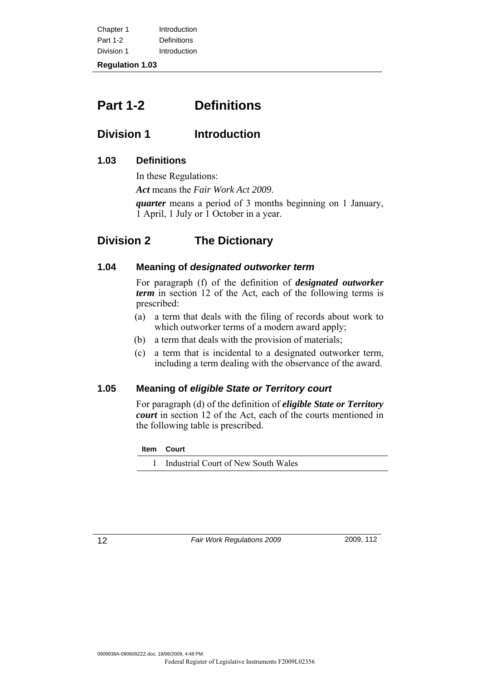| Chapter 1       | Introduction |
|-----------------|--------------|
| <b>Part 1-2</b> | Definitions  |
| Division 1      | Introduction |

# **Part 1-2 Definitions**

# **Division 1** Introduction

## **1.03 Definitions**

 In these Regulations: *Act* means the *Fair Work Act 2009*. *quarter* means a period of 3 months beginning on 1 January, 1 April, 1 July or 1 October in a year.

# **Division 2 The Dictionary**

#### **1.04 Meaning of** *designated outworker term*

 For paragraph (f) of the definition of *designated outworker term* in section 12 of the Act, each of the following terms is prescribed:

- (a) a term that deals with the filing of records about work to which outworker terms of a modern award apply;
- (b) a term that deals with the provision of materials;
- (c) a term that is incidental to a designated outworker term, including a term dealing with the observance of the award.

### **1.05 Meaning of** *eligible State or Territory court*

 For paragraph (d) of the definition of *eligible State or Territory court* in section 12 of the Act, each of the courts mentioned in the following table is prescribed.

| Item Court                            |
|---------------------------------------|
| 1 Industrial Court of New South Wales |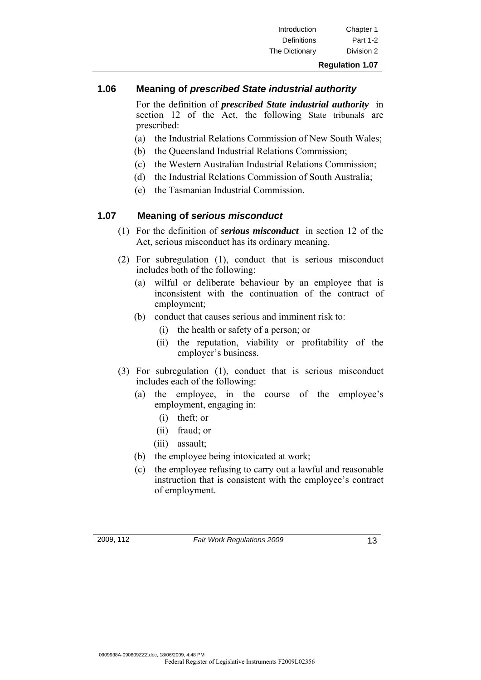### **1.06 Meaning of** *prescribed State industrial authority*

 For the definition of *prescribed State industrial authority* in section 12 of the Act, the following State tribunals are prescribed:

- (a) the Industrial Relations Commission of New South Wales;
- (b) the Queensland Industrial Relations Commission;
- (c) the Western Australian Industrial Relations Commission;
- (d) the Industrial Relations Commission of South Australia;
- (e) the Tasmanian Industrial Commission.

#### **1.07 Meaning of** *serious misconduct*

- (1) For the definition of *serious misconduct* in section 12 of the Act, serious misconduct has its ordinary meaning.
- (2) For subregulation (1), conduct that is serious misconduct includes both of the following:
	- (a) wilful or deliberate behaviour by an employee that is inconsistent with the continuation of the contract of employment;
	- (b) conduct that causes serious and imminent risk to:
		- (i) the health or safety of a person; or
		- (ii) the reputation, viability or profitability of the employer's business.
- (3) For subregulation (1), conduct that is serious misconduct includes each of the following:
	- (a) the employee, in the course of the employee's employment, engaging in:
		- (i) theft; or
		- (ii) fraud or
		- (iii) assault;
	- (b) the employee being intoxicated at work;
	- (c) the employee refusing to carry out a lawful and reasonable instruction that is consistent with the employee's contract of employment.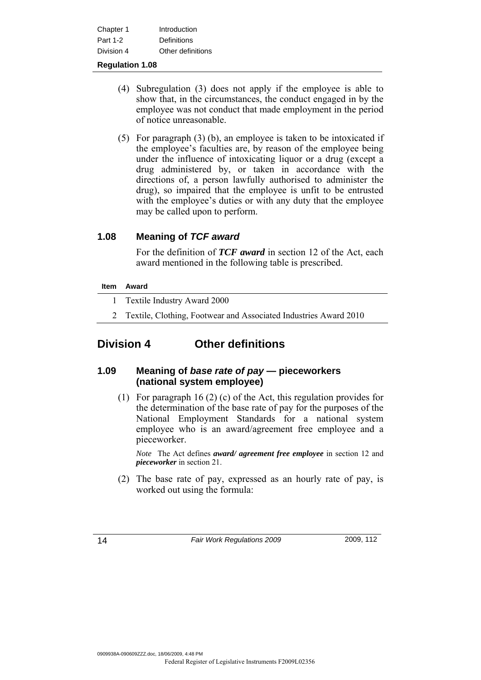| Chapter 1  | Introduction      |
|------------|-------------------|
| Part 1-2   | Definitions       |
| Division 4 | Other definitions |

- (4) Subregulation (3) does not apply if the employee is able to show that, in the circumstances, the conduct engaged in by the employee was not conduct that made employment in the period of notice unreasonable.
- (5) For paragraph (3) (b), an employee is taken to be intoxicated if the employee's faculties are, by reason of the employee being under the influence of intoxicating liquor or a drug (except a drug administered by, or taken in accordance with the directions of, a person lawfully authorised to administer the drug), so impaired that the employee is unfit to be entrusted with the employee's duties or with any duty that the employee may be called upon to perform.

#### **1.08 Meaning of** *TCF award*

 For the definition of *TCF award* in section 12 of the Act, each award mentioned in the following table is prescribed.

#### **Item Award**

- 1 Textile Industry Award 2000
- 2 Textile, Clothing, Footwear and Associated Industries Award 2010

## **Division 4 Other definitions**

#### **1.09 Meaning of** *base rate of pay* **— pieceworkers (national system employee)**

 (1) For paragraph 16 (2) (c) of the Act, this regulation provides for the determination of the base rate of pay for the purposes of the National Employment Standards for a national system employee who is an award/agreement free employee and a pieceworker.

*Note* The Act defines *award/ agreement free employee* in section 12 and *pieceworker* in section 21.

 (2) The base rate of pay, expressed as an hourly rate of pay, is worked out using the formula: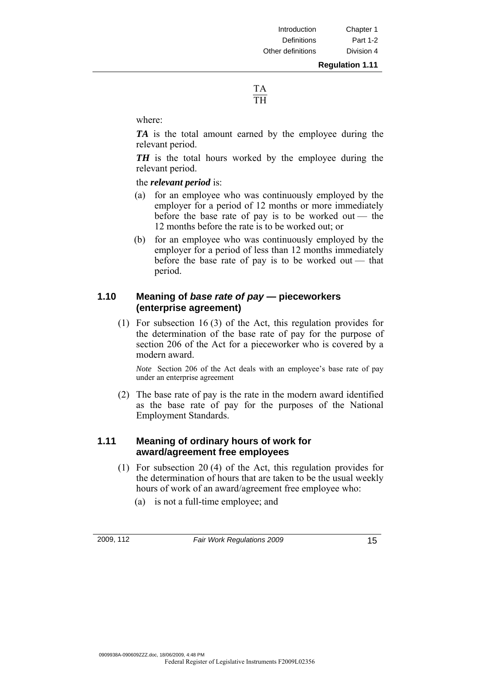| Introduction       | Chapter 1  |
|--------------------|------------|
| <b>Definitions</b> | Part 1-2   |
| Other definitions  | Division 4 |

#### TA  $\overline{\text{TH}}$

where:

*TA* is the total amount earned by the employee during the relevant period.

*TH* is the total hours worked by the employee during the relevant period.

the *relevant period* is:

- (a) for an employee who was continuously employed by the employer for a period of 12 months or more immediately before the base rate of pay is to be worked out — the 12 months before the rate is to be worked out; or
- (b) for an employee who was continuously employed by the employer for a period of less than 12 months immediately before the base rate of pay is to be worked out — that period.

### **1.10 Meaning of** *base rate of pay* **— pieceworkers (enterprise agreement)**

 (1) For subsection 16 (3) of the Act, this regulation provides for the determination of the base rate of pay for the purpose of section 206 of the Act for a pieceworker who is covered by a modern award.

*Note* Section 206 of the Act deals with an employee's base rate of pay under an enterprise agreement

 (2) The base rate of pay is the rate in the modern award identified as the base rate of pay for the purposes of the National Employment Standards.

#### **1.11 Meaning of ordinary hours of work for award/agreement free employees**

- (1) For subsection 20 (4) of the Act, this regulation provides for the determination of hours that are taken to be the usual weekly hours of work of an award/agreement free employee who:
	- (a) is not a full-time employee; and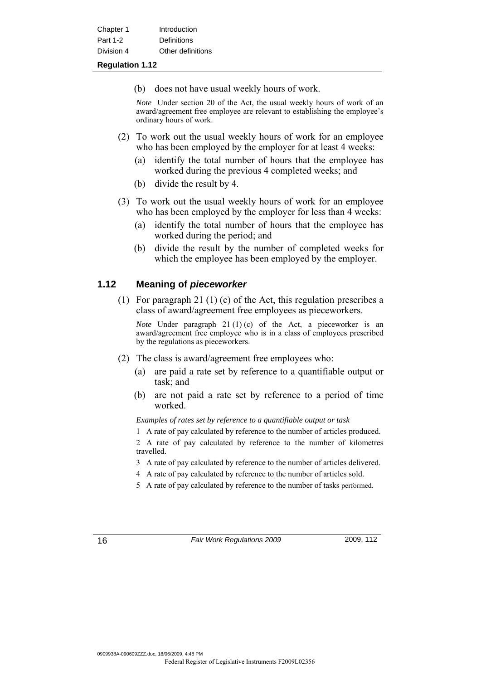| Chapter 1  | Introduction      |
|------------|-------------------|
| Part 1-2   | Definitions       |
| Division 4 | Other definitions |

(b) does not have usual weekly hours of work.

*Note* Under section 20 of the Act, the usual weekly hours of work of an award/agreement free employee are relevant to establishing the employee's ordinary hours of work.

- (2) To work out the usual weekly hours of work for an employee who has been employed by the employer for at least 4 weeks:
	- (a) identify the total number of hours that the employee has worked during the previous 4 completed weeks; and
	- (b) divide the result by 4.
- (3) To work out the usual weekly hours of work for an employee who has been employed by the employer for less than 4 weeks:
	- (a) identify the total number of hours that the employee has worked during the period; and
	- (b) divide the result by the number of completed weeks for which the employee has been employed by the employer.

#### **1.12 Meaning of** *pieceworker*

 (1) For paragraph 21 (1) (c) of the Act, this regulation prescribes a class of award/agreement free employees as pieceworkers.

*Note* Under paragraph 21(1)(c) of the Act, a pieceworker is an award/agreement free employee who is in a class of employees prescribed by the regulations as pieceworkers.

- (2) The class is award/agreement free employees who:
	- (a) are paid a rate set by reference to a quantifiable output or task; and
	- (b) are not paid a rate set by reference to a period of time worked.

*Examples of rates set by reference to a quantifiable output or task* 

1 A rate of pay calculated by reference to the number of articles produced.

2 A rate of pay calculated by reference to the number of kilometres travelled.

- 3 A rate of pay calculated by reference to the number of articles delivered.
- 4 A rate of pay calculated by reference to the number of articles sold.
- 5 A rate of pay calculated by reference to the number of tasks performed.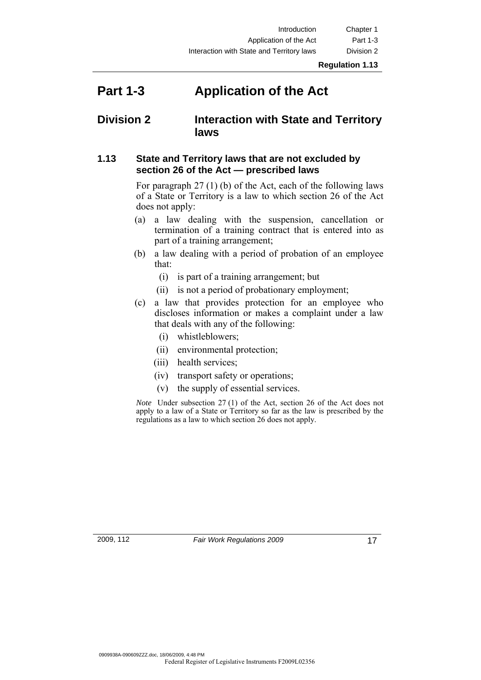Introduction Chapter 1 Application of the Act Part 1-3 Interaction with State and Territory laws Division 2

# **Part 1-3 Application of the Act**

## **Division 2 Interaction with State and Territory laws**

#### **1.13 State and Territory laws that are not excluded by section 26 of the Act — prescribed laws**

 For paragraph 27 (1) (b) of the Act, each of the following laws of a State or Territory is a law to which section 26 of the Act does not apply:

- (a) a law dealing with the suspension, cancellation or termination of a training contract that is entered into as part of a training arrangement;
- (b) a law dealing with a period of probation of an employee that:
	- (i) is part of a training arrangement; but
	- (ii) is not a period of probationary employment;
- (c) a law that provides protection for an employee who discloses information or makes a complaint under a law that deals with any of the following:
	- (i) whistleblowers;
	- (ii) environmental protection;
	- (iii) health services;
	- (iv) transport safety or operations;
	- (v) the supply of essential services.

*Note* Under subsection 27(1) of the Act, section 26 of the Act does not apply to a law of a State or Territory so far as the law is prescribed by the regulations as a law to which section 26 does not apply.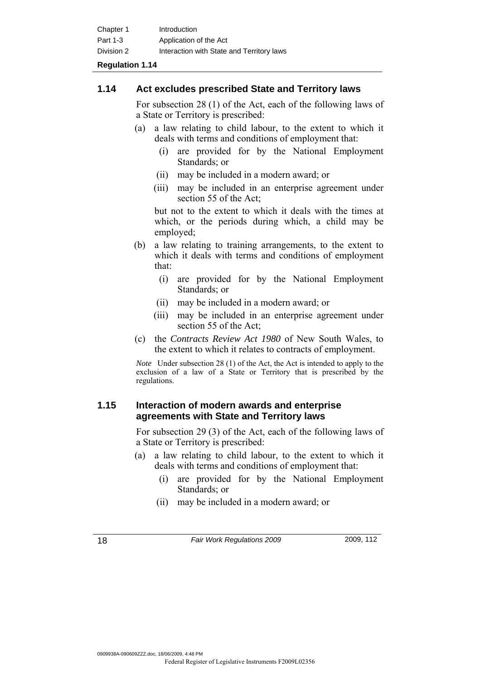| Chapter 1  | Introduction                              |
|------------|-------------------------------------------|
| Part 1-3   | Application of the Act                    |
| Division 2 | Interaction with State and Territory laws |

#### **1.14 Act excludes prescribed State and Territory laws**

 For subsection 28 (1) of the Act, each of the following laws of a State or Territory is prescribed:

- (a) a law relating to child labour, to the extent to which it deals with terms and conditions of employment that:
	- (i) are provided for by the National Employment Standards; or
	- (ii) may be included in a modern award; or
	- (iii) may be included in an enterprise agreement under section 55 of the Act;

 but not to the extent to which it deals with the times at which, or the periods during which, a child may be employed;

- (b) a law relating to training arrangements, to the extent to which it deals with terms and conditions of employment that:
	- (i) are provided for by the National Employment Standards<sup>-</sup> or
	- (ii) may be included in a modern award; or
	- (iii) may be included in an enterprise agreement under section 55 of the Act;
- (c) the *Contracts Review Act 1980* of New South Wales, to the extent to which it relates to contracts of employment.

*Note* Under subsection 28 (1) of the Act, the Act is intended to apply to the exclusion of a law of a State or Territory that is prescribed by the regulations.

#### **1.15 Interaction of modern awards and enterprise agreements with State and Territory laws**

 For subsection 29 (3) of the Act, each of the following laws of a State or Territory is prescribed:

- (a) a law relating to child labour, to the extent to which it deals with terms and conditions of employment that:
	- (i) are provided for by the National Employment Standards; or
	- (ii) may be included in a modern award; or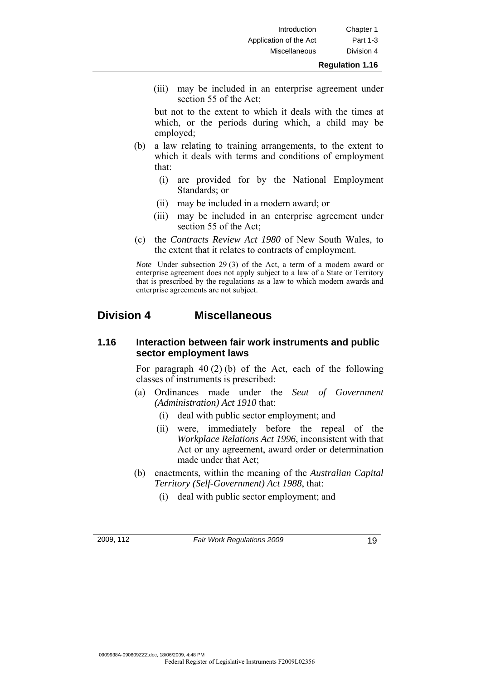(iii) may be included in an enterprise agreement under section 55 of the Act;

 but not to the extent to which it deals with the times at which, or the periods during which, a child may be employed;

- (b) a law relating to training arrangements, to the extent to which it deals with terms and conditions of employment that:
	- (i) are provided for by the National Employment Standards; or
	- (ii) may be included in a modern award; or
	- (iii) may be included in an enterprise agreement under section 55 of the Act;
- (c) the *Contracts Review Act 1980* of New South Wales, to the extent that it relates to contracts of employment.

*Note* Under subsection 29 (3) of the Act, a term of a modern award or enterprise agreement does not apply subject to a law of a State or Territory that is prescribed by the regulations as a law to which modern awards and enterprise agreements are not subject.

## **Division 4 Miscellaneous**

#### **1.16 Interaction between fair work instruments and public sector employment laws**

 For paragraph 40 (2) (b) of the Act, each of the following classes of instruments is prescribed:

- (a) Ordinances made under the *Seat of Government (Administration) Act 1910* that:
	- (i) deal with public sector employment; and
	- (ii) were, immediately before the repeal of the *Workplace Relations Act 1996*, inconsistent with that Act or any agreement, award order or determination made under that Act;
- (b) enactments, within the meaning of the *Australian Capital Territory (Self-Government) Act 1988*, that:
	- (i) deal with public sector employment; and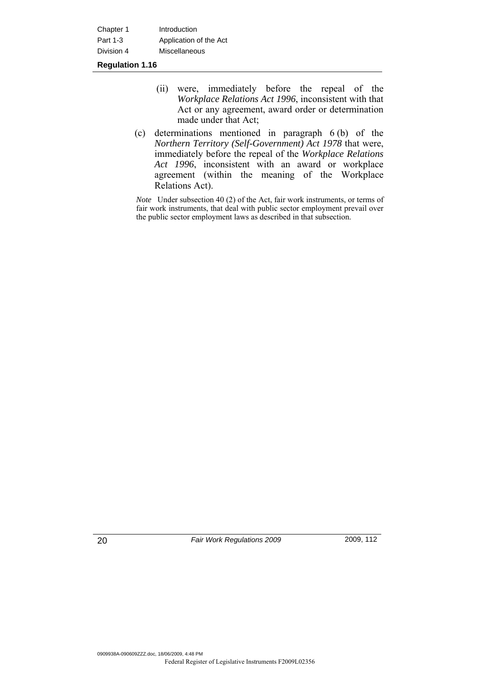| Chapter 1  | Introduction           |
|------------|------------------------|
| Part 1-3   | Application of the Act |
| Division 4 | Miscellaneous          |

- (ii) were, immediately before the repeal of the *Workplace Relations Act 1996*, inconsistent with that Act or any agreement, award order or determination made under that Act;
- (c) determinations mentioned in paragraph 6 (b) of the *Northern Territory (Self-Government) Act 1978* that were, immediately before the repeal of the *Workplace Relations Act 1996*, inconsistent with an award or workplace agreement (within the meaning of the Workplace Relations Act).

*Note* Under subsection 40 (2) of the Act, fair work instruments, or terms of fair work instruments, that deal with public sector employment prevail over the public sector employment laws as described in that subsection.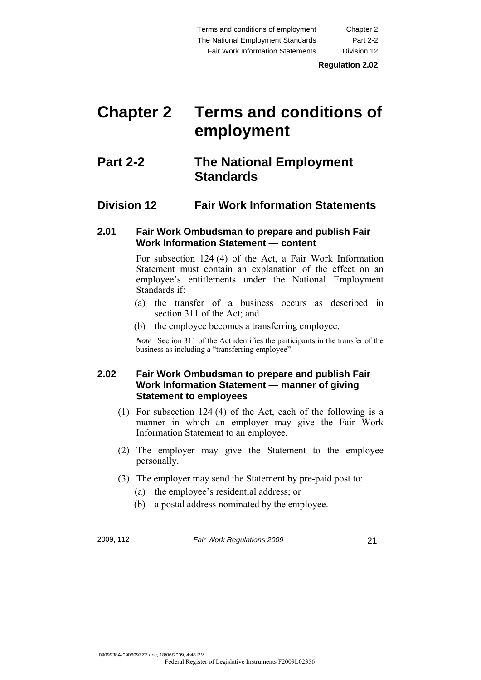# **Chapter 2 Terms and conditions of employment**

# **Part 2-2 The National Employment Standards**

## **Division 12 Fair Work Information Statements**

#### **2.01 Fair Work Ombudsman to prepare and publish Fair Work Information Statement — content**

 For subsection 124 (4) of the Act, a Fair Work Information Statement must contain an explanation of the effect on an employee's entitlements under the National Employment Standards if:

- (a) the transfer of a business occurs as described in section 311 of the Act; and
- (b) the employee becomes a transferring employee.

*Note* Section 311 of the Act identifies the participants in the transfer of the business as including a "transferring employee".

#### **2.02 Fair Work Ombudsman to prepare and publish Fair Work Information Statement — manner of giving Statement to employees**

- (1) For subsection 124 (4) of the Act, each of the following is a manner in which an employer may give the Fair Work Information Statement to an employee.
- (2) The employer may give the Statement to the employee personally.
- (3) The employer may send the Statement by pre-paid post to:
	- (a) the employee's residential address; or
	- (b) a postal address nominated by the employee.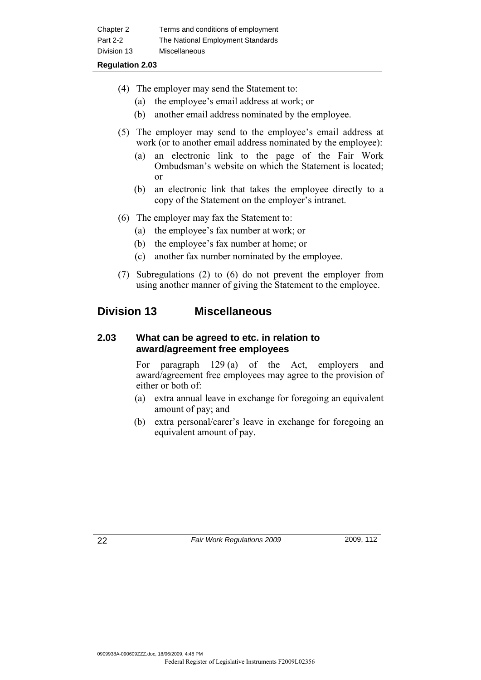| Chapter 2   | Terms and conditions of employment |
|-------------|------------------------------------|
| Part 2-2    | The National Employment Standards  |
| Division 13 | <b>Miscellaneous</b>               |
|             |                                    |

- (4) The employer may send the Statement to:
	- (a) the employee's email address at work; or
	- (b) another email address nominated by the employee.
- (5) The employer may send to the employee's email address at work (or to another email address nominated by the employee):
	- (a) an electronic link to the page of the Fair Work Ombudsman's website on which the Statement is located; or
	- (b) an electronic link that takes the employee directly to a copy of the Statement on the employer's intranet.
- (6) The employer may fax the Statement to:
	- (a) the employee's fax number at work; or
	- (b) the employee's fax number at home; or
	- (c) another fax number nominated by the employee.
- (7) Subregulations (2) to (6) do not prevent the employer from using another manner of giving the Statement to the employee.

# **Division 13 Miscellaneous**

#### **2.03 What can be agreed to etc. in relation to award/agreement free employees**

 For paragraph 129 (a) of the Act, employers and award/agreement free employees may agree to the provision of either or both of:

- (a) extra annual leave in exchange for foregoing an equivalent amount of pay; and
- (b) extra personal/carer's leave in exchange for foregoing an equivalent amount of pay.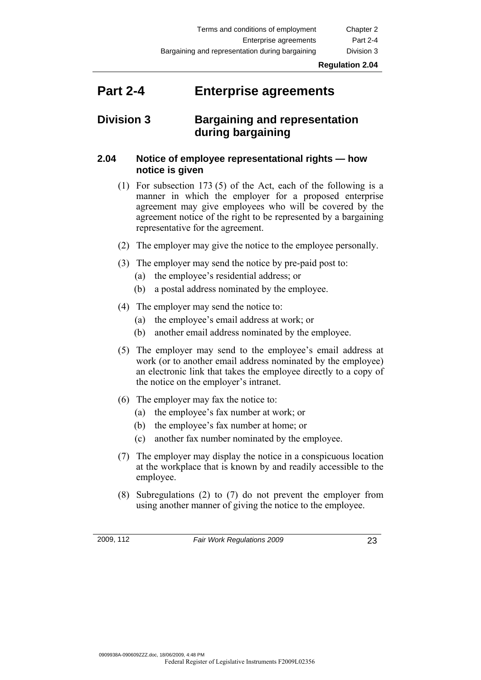# **Part 2-4 Enterprise agreements**

# **Division 3 Bargaining and representation during bargaining**

#### **2.04 Notice of employee representational rights — how notice is given**

- (1) For subsection 173 (5) of the Act, each of the following is a manner in which the employer for a proposed enterprise agreement may give employees who will be covered by the agreement notice of the right to be represented by a bargaining representative for the agreement.
- (2) The employer may give the notice to the employee personally.
- (3) The employer may send the notice by pre-paid post to:
	- (a) the employee's residential address; or
	- (b) a postal address nominated by the employee.
- (4) The employer may send the notice to:
	- (a) the employee's email address at work; or
	- (b) another email address nominated by the employee.
- (5) The employer may send to the employee's email address at work (or to another email address nominated by the employee) an electronic link that takes the employee directly to a copy of the notice on the employer's intranet.
- (6) The employer may fax the notice to:
	- (a) the employee's fax number at work; or
	- (b) the employee's fax number at home; or
	- (c) another fax number nominated by the employee.
- (7) The employer may display the notice in a conspicuous location at the workplace that is known by and readily accessible to the employee.
- (8) Subregulations (2) to (7) do not prevent the employer from using another manner of giving the notice to the employee.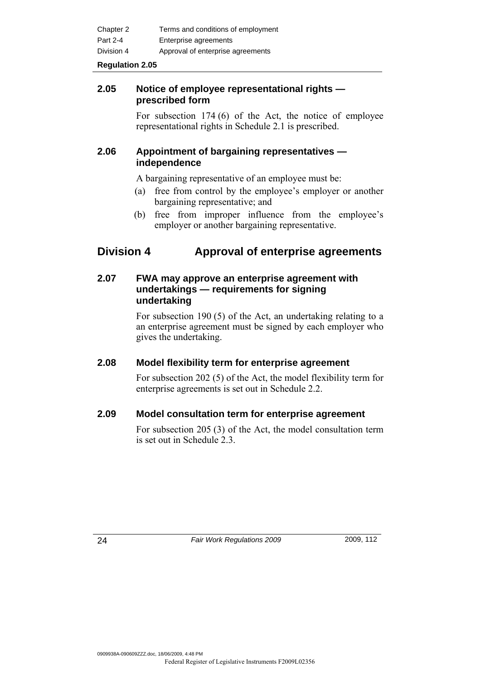| Chapter 2  | Terms and conditions of employment |
|------------|------------------------------------|
| Part 2-4   | Enterprise agreements              |
| Division 4 | Approval of enterprise agreements  |

#### **2.05 Notice of employee representational rights prescribed form**

 For subsection 174 (6) of the Act, the notice of employee representational rights in Schedule 2.1 is prescribed.

### **2.06 Appointment of bargaining representatives independence**

A bargaining representative of an employee must be:

- (a) free from control by the employee's employer or another bargaining representative; and
- (b) free from improper influence from the employee's employer or another bargaining representative.

# **Division 4 Approval of enterprise agreements**

### **2.07 FWA may approve an enterprise agreement with undertakings — requirements for signing undertaking**

 For subsection 190 (5) of the Act, an undertaking relating to a an enterprise agreement must be signed by each employer who gives the undertaking.

## **2.08 Model flexibility term for enterprise agreement**

 For subsection 202 (5) of the Act, the model flexibility term for enterprise agreements is set out in Schedule 2.2.

## **2.09 Model consultation term for enterprise agreement**

 For subsection 205 (3) of the Act, the model consultation term is set out in Schedule 2.3.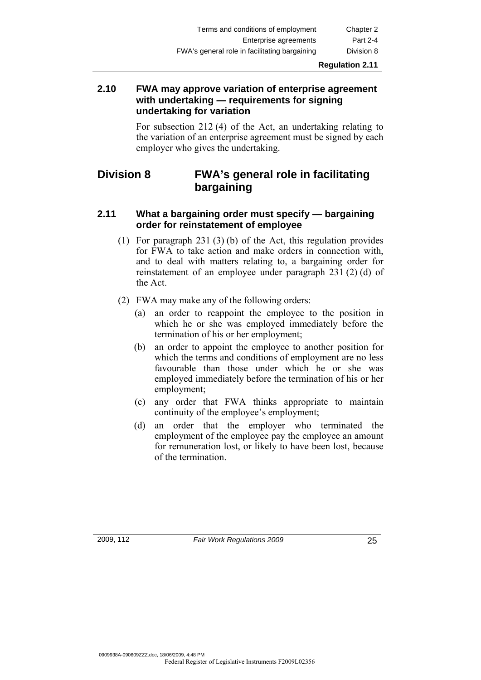#### **2.10 FWA may approve variation of enterprise agreement with undertaking — requirements for signing undertaking for variation**

 For subsection 212 (4) of the Act, an undertaking relating to the variation of an enterprise agreement must be signed by each employer who gives the undertaking.

# **Division 8 FWA's general role in facilitating bargaining**

#### **2.11 What a bargaining order must specify — bargaining order for reinstatement of employee**

- (1) For paragraph 231 (3) (b) of the Act, this regulation provides for FWA to take action and make orders in connection with, and to deal with matters relating to, a bargaining order for reinstatement of an employee under paragraph 231 (2) (d) of the Act.
- (2) FWA may make any of the following orders:
	- (a) an order to reappoint the employee to the position in which he or she was employed immediately before the termination of his or her employment;
	- (b) an order to appoint the employee to another position for which the terms and conditions of employment are no less favourable than those under which he or she was employed immediately before the termination of his or her employment;
	- (c) any order that FWA thinks appropriate to maintain continuity of the employee's employment;
	- (d) an order that the employer who terminated the employment of the employee pay the employee an amount for remuneration lost, or likely to have been lost, because of the termination.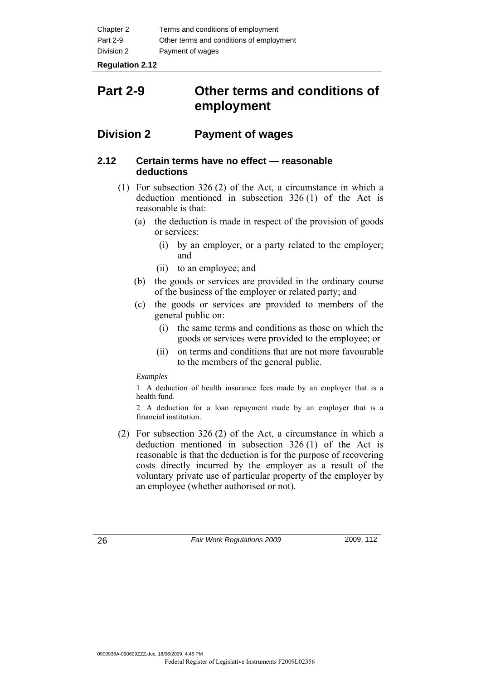| Chapter 2  | Terms and conditions of employment       |
|------------|------------------------------------------|
| Part 2-9   | Other terms and conditions of employment |
| Division 2 | Payment of wages                         |

# **Part 2-9 Other terms and conditions of employment**

# **Division 2 Payment of wages**

#### **2.12 Certain terms have no effect — reasonable deductions**

- (1) For subsection 326 (2) of the Act, a circumstance in which a deduction mentioned in subsection 326 (1) of the Act is reasonable is that:
	- (a) the deduction is made in respect of the provision of goods or services:
		- (i) by an employer, or a party related to the employer; and
		- (ii) to an employee; and
	- (b) the goods or services are provided in the ordinary course of the business of the employer or related party; and
	- (c) the goods or services are provided to members of the general public on:
		- (i) the same terms and conditions as those on which the goods or services were provided to the employee; or
		- (ii) on terms and conditions that are not more favourable to the members of the general public.

#### *Examples*

1 A deduction of health insurance fees made by an employer that is a health fund.

2 A deduction for a loan repayment made by an employer that is a financial institution.

 (2) For subsection 326 (2) of the Act, a circumstance in which a deduction mentioned in subsection 326 (1) of the Act is reasonable is that the deduction is for the purpose of recovering costs directly incurred by the employer as a result of the voluntary private use of particular property of the employer by an employee (whether authorised or not).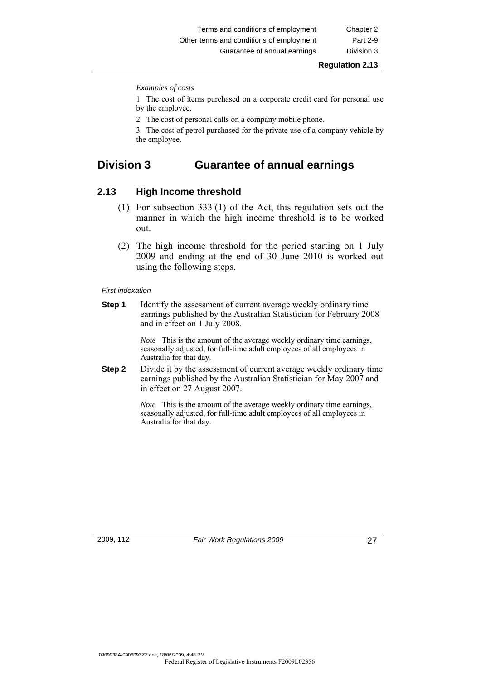#### *Examples of costs*

1 The cost of items purchased on a corporate credit card for personal use by the employee.

2 The cost of personal calls on a company mobile phone.

3 The cost of petrol purchased for the private use of a company vehicle by the employee.

## **Division 3 Guarantee of annual earnings**

#### **2.13 High Income threshold**

- (1) For subsection 333 (1) of the Act, this regulation sets out the manner in which the high income threshold is to be worked out.
- (2) The high income threshold for the period starting on 1 July 2009 and ending at the end of 30 June 2010 is worked out using the following steps.

#### *First indexation*

**Step 1** Identify the assessment of current average weekly ordinary time earnings published by the Australian Statistician for February 2008 and in effect on 1 July 2008.

> *Note* This is the amount of the average weekly ordinary time earnings, seasonally adjusted, for full-time adult employees of all employees in Australia for that day.

**Step 2** Divide it by the assessment of current average weekly ordinary time earnings published by the Australian Statistician for May 2007 and in effect on 27 August 2007.

> *Note* This is the amount of the average weekly ordinary time earnings, seasonally adjusted, for full-time adult employees of all employees in Australia for that day.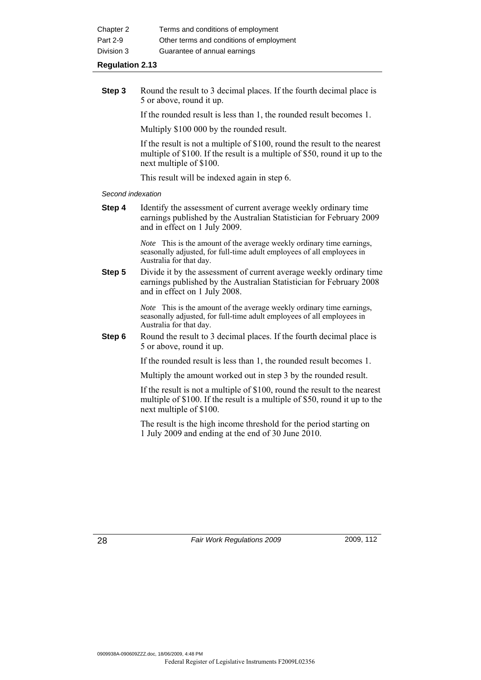| Chapter 2  | Terms and conditions of employment       |
|------------|------------------------------------------|
| Part 2-9   | Other terms and conditions of employment |
| Division 3 | Guarantee of annual earnings             |

**Step 3** Round the result to 3 decimal places. If the fourth decimal place is 5 or above, round it up.

If the rounded result is less than 1, the rounded result becomes 1.

Multiply \$100 000 by the rounded result.

If the result is not a multiple of \$100, round the result to the nearest multiple of \$100. If the result is a multiple of \$50, round it up to the next multiple of \$100.

This result will be indexed again in step 6.

#### *Second indexation*

**Step 4** Identify the assessment of current average weekly ordinary time earnings published by the Australian Statistician for February 2009 and in effect on 1 July 2009.

> *Note* This is the amount of the average weekly ordinary time earnings, seasonally adjusted, for full-time adult employees of all employees in Australia for that day.

**Step 5** Divide it by the assessment of current average weekly ordinary time earnings published by the Australian Statistician for February 2008 and in effect on 1 July 2008.

> *Note* This is the amount of the average weekly ordinary time earnings, seasonally adjusted, for full-time adult employees of all employees in Australia for that day.

**Step 6** • Round the result to 3 decimal places. If the fourth decimal place is 5 or above, round it up.

If the rounded result is less than 1, the rounded result becomes 1.

Multiply the amount worked out in step 3 by the rounded result.

If the result is not a multiple of \$100, round the result to the nearest multiple of \$100. If the result is a multiple of \$50, round it up to the next multiple of \$100.

The result is the high income threshold for the period starting on 1 July 2009 and ending at the end of 30 June 2010.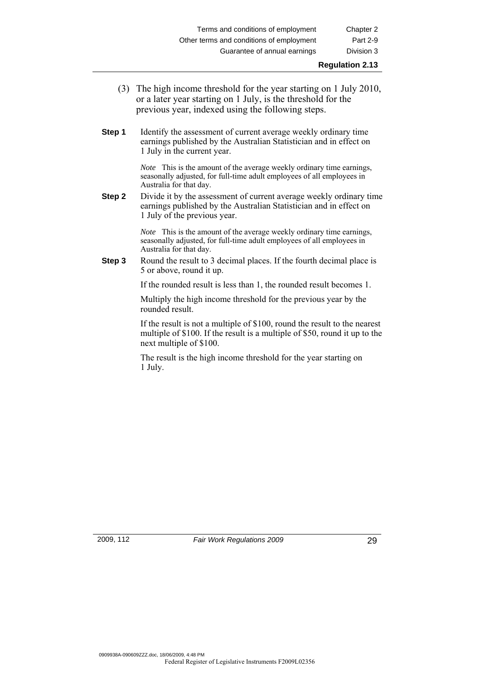- (3) The high income threshold for the year starting on 1 July 2010, or a later year starting on 1 July, is the threshold for the previous year, indexed using the following steps.
- **Step 1** Identify the assessment of current average weekly ordinary time earnings published by the Australian Statistician and in effect on 1 July in the current year.

*Note* This is the amount of the average weekly ordinary time earnings, seasonally adjusted, for full-time adult employees of all employees in Australia for that day.

**Step 2** Divide it by the assessment of current average weekly ordinary time earnings published by the Australian Statistician and in effect on 1 July of the previous year.

> *Note* This is the amount of the average weekly ordinary time earnings, seasonally adjusted, for full-time adult employees of all employees in Australia for that day.

**Step 3** Round the result to 3 decimal places. If the fourth decimal place is 5 or above, round it up.

If the rounded result is less than 1, the rounded result becomes 1.

Multiply the high income threshold for the previous year by the rounded result.

If the result is not a multiple of \$100, round the result to the nearest multiple of \$100. If the result is a multiple of \$50, round it up to the next multiple of \$100.

The result is the high income threshold for the year starting on 1 July.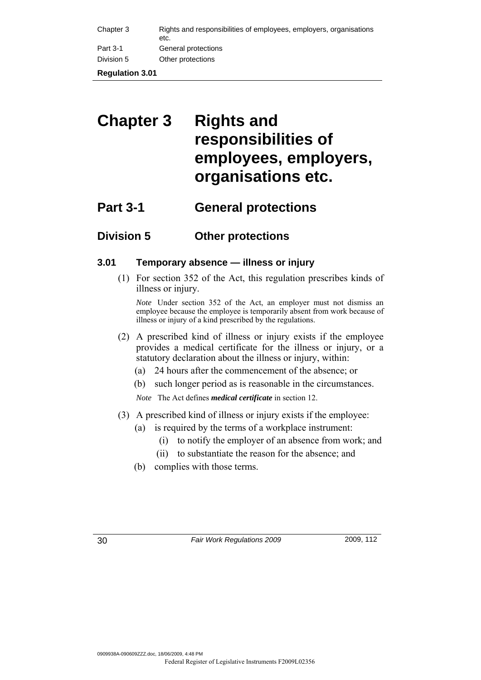| Chapter 3  | Rights and responsibilities of employees, employers, organisations<br>etc. |
|------------|----------------------------------------------------------------------------|
| Part 3-1   | General protections                                                        |
| Division 5 | Other protections                                                          |

# **Chapter 3 Rights and responsibilities of employees, employers, organisations etc.**

# **Part 3-1 General protections**

# **Division 5 Other protections**

### **3.01 Temporary absence — illness or injury**

 (1) For section 352 of the Act, this regulation prescribes kinds of illness or injury.

*Note* Under section 352 of the Act, an employer must not dismiss an employee because the employee is temporarily absent from work because of illness or injury of a kind prescribed by the regulations.

- (2) A prescribed kind of illness or injury exists if the employee provides a medical certificate for the illness or injury, or a statutory declaration about the illness or injury, within:
	- (a) 24 hours after the commencement of the absence; or
	- (b) such longer period as is reasonable in the circumstances.

*Note* The Act defines *medical certificate* in section 12.

- (3) A prescribed kind of illness or injury exists if the employee:
	- (a) is required by the terms of a workplace instrument:
		- (i) to notify the employer of an absence from work; and
		- (ii) to substantiate the reason for the absence; and
	- (b) complies with those terms.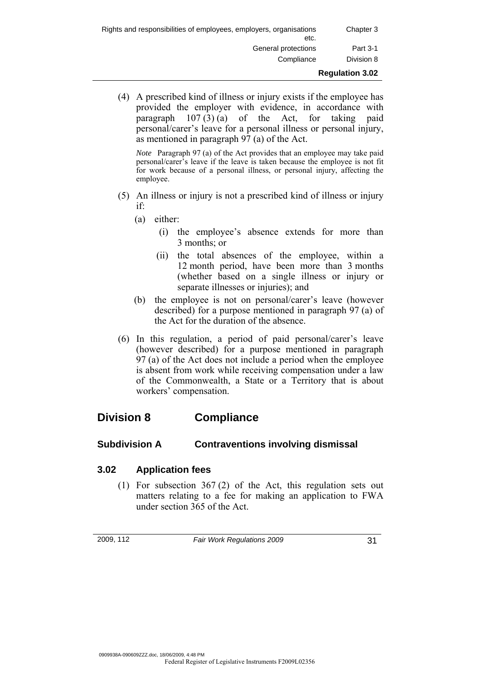| Rights and responsibilities of employees, employers, organisations<br>etc. | Chapter 3              |
|----------------------------------------------------------------------------|------------------------|
| General protections                                                        | Part 3-1               |
| Compliance                                                                 | Division 8             |
|                                                                            | <b>Regulation 3.02</b> |

 (4) A prescribed kind of illness or injury exists if the employee has provided the employer with evidence, in accordance with paragraph  $107(3)(a)$  of the Act, for taking paid personal/carer's leave for a personal illness or personal injury, as mentioned in paragraph 97 (a) of the Act.

*Note* Paragraph 97 (a) of the Act provides that an employee may take paid personal/carer's leave if the leave is taken because the employee is not fit for work because of a personal illness, or personal injury, affecting the employee.

- (5) An illness or injury is not a prescribed kind of illness or injury if:
	- (a) either:
		- (i) the employee's absence extends for more than 3 months; or
		- (ii) the total absences of the employee, within a 12 month period, have been more than 3 months (whether based on a single illness or injury or separate illnesses or injuries); and
	- (b) the employee is not on personal/carer's leave (however described) for a purpose mentioned in paragraph 97 (a) of the Act for the duration of the absence.
- (6) In this regulation, a period of paid personal/carer's leave (however described) for a purpose mentioned in paragraph 97 (a) of the Act does not include a period when the employee is absent from work while receiving compensation under a law of the Commonwealth, a State or a Territory that is about workers' compensation.

# **Division 8 Compliance**

## **Subdivision A Contraventions involving dismissal**

## **3.02 Application fees**

 (1) For subsection 367 (2) of the Act, this regulation sets out matters relating to a fee for making an application to FWA under section 365 of the Act.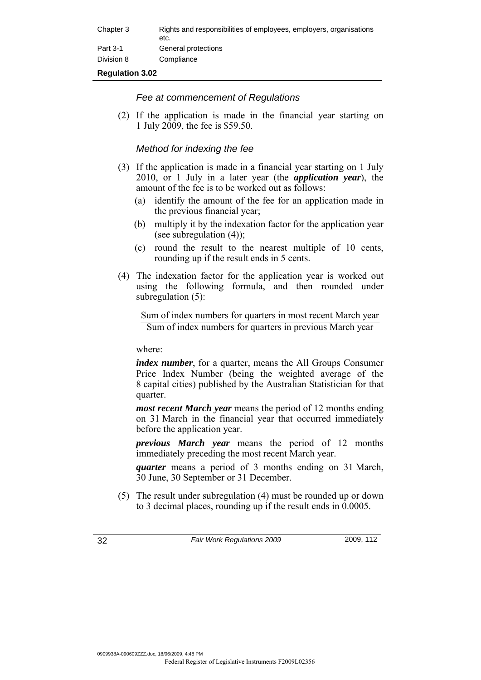| Chapter 3  | Rights and responsibilities of employees, employers, organisations<br>etc. |
|------------|----------------------------------------------------------------------------|
| Part 3-1   | General protections                                                        |
| Division 8 | Compliance                                                                 |

#### *Fee at commencement of Regulations*

 (2) If the application is made in the financial year starting on 1 July 2009, the fee is \$59.50.

#### *Method for indexing the fee*

- (3) If the application is made in a financial year starting on 1 July 2010, or 1 July in a later year (the *application year*), the amount of the fee is to be worked out as follows:
	- (a) identify the amount of the fee for an application made in the previous financial year;
	- (b) multiply it by the indexation factor for the application year (see subregulation  $(4)$ );
	- (c) round the result to the nearest multiple of 10 cents, rounding up if the result ends in 5 cents.
- (4) The indexation factor for the application year is worked out using the following formula, and then rounded under subregulation (5):

Sum of index numbers for quarters in most recent March year Sum of index numbers for quarters in previous March year

where:

*index number*, for a quarter, means the All Groups Consumer Price Index Number (being the weighted average of the 8 capital cities) published by the Australian Statistician for that quarter.

*most recent March year* means the period of 12 months ending on 31 March in the financial year that occurred immediately before the application year.

*previous March year* means the period of 12 months immediately preceding the most recent March year.

*quarter* means a period of 3 months ending on 31 March, 30 June, 30 September or 31 December.

 (5) The result under subregulation (4) must be rounded up or down to 3 decimal places, rounding up if the result ends in 0.0005.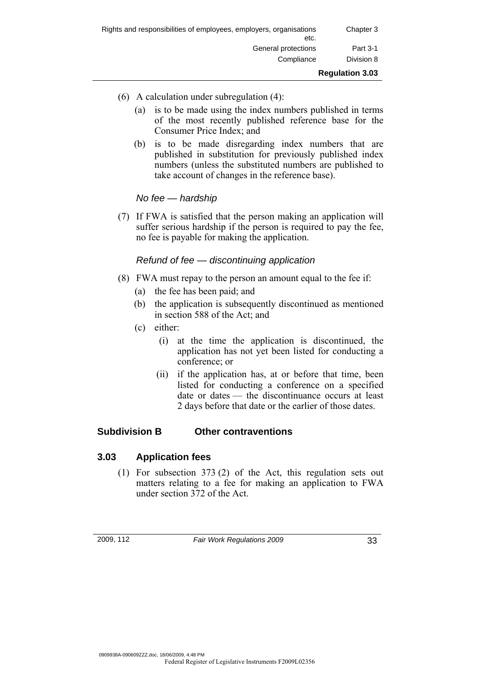- (6) A calculation under subregulation (4):
	- (a) is to be made using the index numbers published in terms of the most recently published reference base for the Consumer Price Index; and
	- (b) is to be made disregarding index numbers that are published in substitution for previously published index numbers (unless the substituted numbers are published to take account of changes in the reference base).

## *No fee — hardship*

 (7) If FWA is satisfied that the person making an application will suffer serious hardship if the person is required to pay the fee, no fee is payable for making the application.

#### *Refund of fee — discontinuing application*

- (8) FWA must repay to the person an amount equal to the fee if:
	- (a) the fee has been paid; and
	- (b) the application is subsequently discontinued as mentioned in section 588 of the Act; and
	- (c) either:
		- (i) at the time the application is discontinued, the application has not yet been listed for conducting a conference; or
		- (ii) if the application has, at or before that time, been listed for conducting a conference on a specified date or dates — the discontinuance occurs at least 2 days before that date or the earlier of those dates.

### **Subdivision B Other contraventions**

### **3.03 Application fees**

 (1) For subsection 373 (2) of the Act, this regulation sets out matters relating to a fee for making an application to FWA under section 372 of the Act.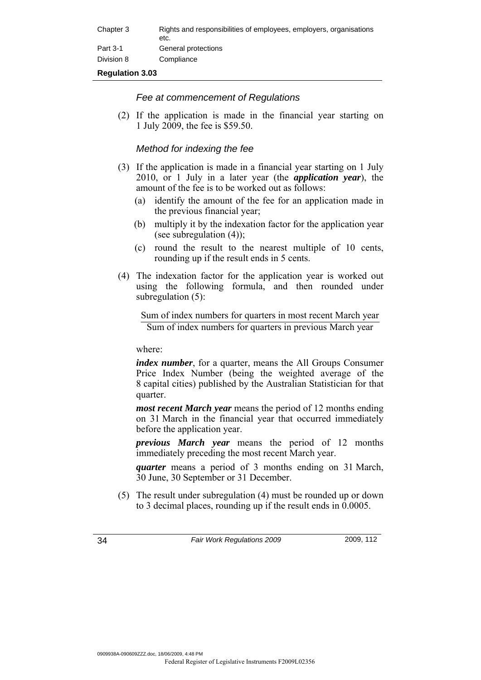| Chapter 3  | Rights and responsibilities of employees, employers, organisations<br>etc. |
|------------|----------------------------------------------------------------------------|
| Part 3-1   | General protections                                                        |
| Division 8 | Compliance                                                                 |

#### *Fee at commencement of Regulations*

 (2) If the application is made in the financial year starting on 1 July 2009, the fee is \$59.50.

#### *Method for indexing the fee*

- (3) If the application is made in a financial year starting on 1 July 2010, or 1 July in a later year (the *application year*), the amount of the fee is to be worked out as follows:
	- (a) identify the amount of the fee for an application made in the previous financial year;
	- (b) multiply it by the indexation factor for the application year (see subregulation  $(4)$ );
	- (c) round the result to the nearest multiple of 10 cents, rounding up if the result ends in 5 cents.
- (4) The indexation factor for the application year is worked out using the following formula, and then rounded under subregulation (5):

Sum of index numbers for quarters in most recent March year Sum of index numbers for quarters in previous March year

where:

*index number*, for a quarter, means the All Groups Consumer Price Index Number (being the weighted average of the 8 capital cities) published by the Australian Statistician for that quarter.

*most recent March year* means the period of 12 months ending on 31 March in the financial year that occurred immediately before the application year.

*previous March year* means the period of 12 months immediately preceding the most recent March year.

*quarter* means a period of 3 months ending on 31 March, 30 June, 30 September or 31 December.

 (5) The result under subregulation (4) must be rounded up or down to 3 decimal places, rounding up if the result ends in 0.0005.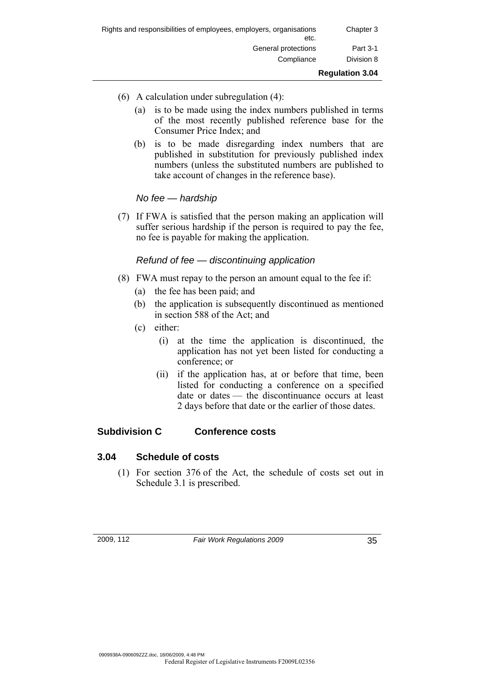- (6) A calculation under subregulation (4):
	- (a) is to be made using the index numbers published in terms of the most recently published reference base for the Consumer Price Index; and
	- (b) is to be made disregarding index numbers that are published in substitution for previously published index numbers (unless the substituted numbers are published to take account of changes in the reference base).

## *No fee — hardship*

 (7) If FWA is satisfied that the person making an application will suffer serious hardship if the person is required to pay the fee, no fee is payable for making the application.

### *Refund of fee — discontinuing application*

- (8) FWA must repay to the person an amount equal to the fee if:
	- (a) the fee has been paid; and
	- (b) the application is subsequently discontinued as mentioned in section 588 of the Act; and
	- (c) either:
		- (i) at the time the application is discontinued, the application has not yet been listed for conducting a conference; or
		- (ii) if the application has, at or before that time, been listed for conducting a conference on a specified date or dates — the discontinuance occurs at least 2 days before that date or the earlier of those dates.

### **Subdivision C Conference costs**

### **3.04 Schedule of costs**

 (1) For section 376 of the Act, the schedule of costs set out in Schedule 3.1 is prescribed.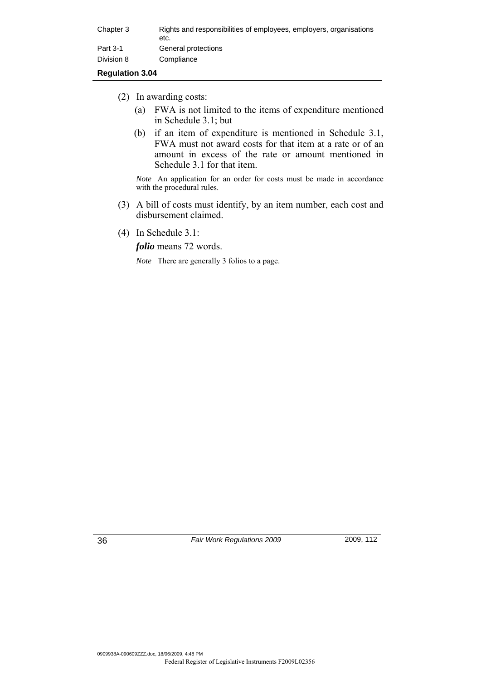| Chapter 3  | Rights and responsibilities of employees, employers, organisations<br>etc. |
|------------|----------------------------------------------------------------------------|
| Part 3-1   | General protections                                                        |
| Division 8 | Compliance                                                                 |

- (2) In awarding costs:
	- (a) FWA is not limited to the items of expenditure mentioned in Schedule 3.1; but
	- (b) if an item of expenditure is mentioned in Schedule 3.1, FWA must not award costs for that item at a rate or of an amount in excess of the rate or amount mentioned in Schedule 3.1 for that item.

*Note* An application for an order for costs must be made in accordance with the procedural rules.

- (3) A bill of costs must identify, by an item number, each cost and disbursement claimed.
- (4) In Schedule 3.1:

*folio* means 72 words.

*Note* There are generally 3 folios to a page.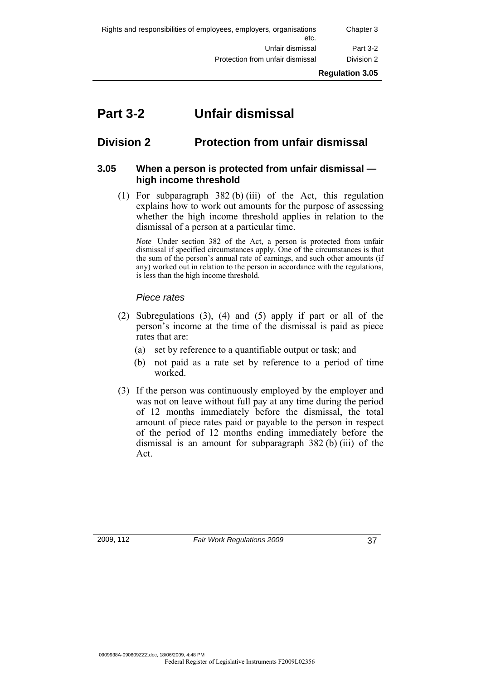| Rights and responsibilities of employees, employers, organisations<br>etc. | Chapter 3  |
|----------------------------------------------------------------------------|------------|
| Unfair dismissal                                                           | Part 3-2   |
| Protection from unfair dismissal                                           | Division 2 |

# **Part 3-2 Unfair dismissal**

# **Division 2 Protection from unfair dismissal**

## **3.05 When a person is protected from unfair dismissal high income threshold**

 (1) For subparagraph 382 (b) (iii) of the Act, this regulation explains how to work out amounts for the purpose of assessing whether the high income threshold applies in relation to the dismissal of a person at a particular time.

*Note* Under section 382 of the Act, a person is protected from unfair dismissal if specified circumstances apply. One of the circumstances is that the sum of the person's annual rate of earnings, and such other amounts (if any) worked out in relation to the person in accordance with the regulations, is less than the high income threshold.

# *Piece rates*

- (2) Subregulations (3), (4) and (5) apply if part or all of the person's income at the time of the dismissal is paid as piece rates that are:
	- (a) set by reference to a quantifiable output or task; and
	- (b) not paid as a rate set by reference to a period of time worked.
- (3) If the person was continuously employed by the employer and was not on leave without full pay at any time during the period of 12 months immediately before the dismissal, the total amount of piece rates paid or payable to the person in respect of the period of 12 months ending immediately before the dismissal is an amount for subparagraph 382 (b) (iii) of the Act.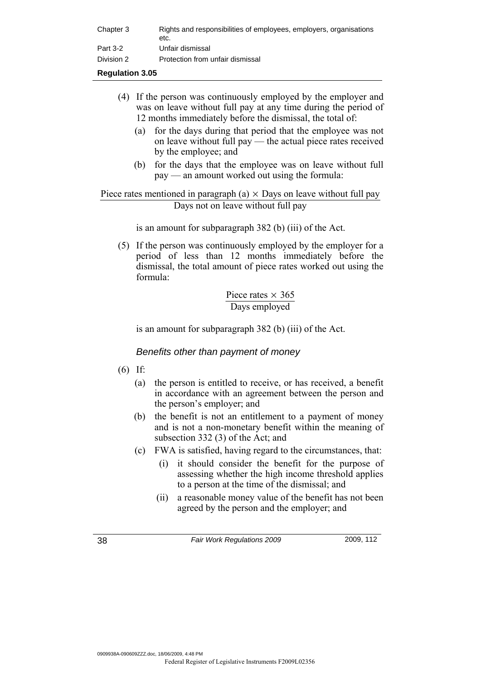| Chapter 3  | Rights and responsibilities of employees, employers, organisations<br>etc. |
|------------|----------------------------------------------------------------------------|
| Part 3-2   | Unfair dismissal                                                           |
| Division 2 | Protection from unfair dismissal                                           |

- (4) If the person was continuously employed by the employer and was on leave without full pay at any time during the period of 12 months immediately before the dismissal, the total of:
	- (a) for the days during that period that the employee was not on leave without full pay — the actual piece rates received by the employee; and
	- (b) for the days that the employee was on leave without full pay — an amount worked out using the formula:

Piece rates mentioned in paragraph (a)  $\times$  Days on leave without full pay Days not on leave without full pay

is an amount for subparagraph 382 (b) (iii) of the Act.

 (5) If the person was continuously employed by the employer for a period of less than 12 months immediately before the dismissal, the total amount of piece rates worked out using the formula:

> Piece rates  $\times$  365 Days employed

is an amount for subparagraph 382 (b) (iii) of the Act.

*Benefits other than payment of money* 

- (6) If:
	- (a) the person is entitled to receive, or has received, a benefit in accordance with an agreement between the person and the person's employer; and
	- (b) the benefit is not an entitlement to a payment of money and is not a non-monetary benefit within the meaning of subsection 332 (3) of the Act; and
	- (c) FWA is satisfied, having regard to the circumstances, that:
		- (i) it should consider the benefit for the purpose of assessing whether the high income threshold applies to a person at the time of the dismissal; and
		- (ii) a reasonable money value of the benefit has not been agreed by the person and the employer; and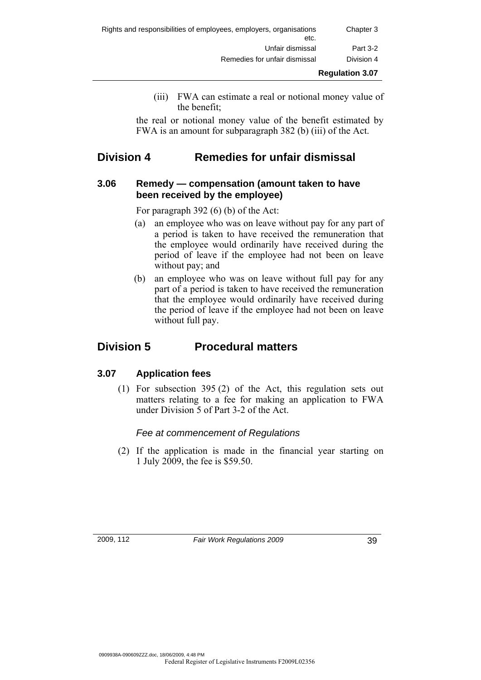| Rights and responsibilities of employees, employers, organisations<br>etc. | Chapter 3  |
|----------------------------------------------------------------------------|------------|
| Unfair dismissal                                                           | Part 3-2   |
| Remedies for unfair dismissal                                              | Division 4 |

- **Regulation 3.07**
- (iii) FWA can estimate a real or notional money value of the benefit;

the real or notional money value of the benefit estimated by FWA is an amount for subparagraph 382 (b) (iii) of the Act.

# **Division 4 Remedies for unfair dismissal**

# **3.06 Remedy — compensation (amount taken to have been received by the employee)**

For paragraph 392 (6) (b) of the Act:

- (a) an employee who was on leave without pay for any part of a period is taken to have received the remuneration that the employee would ordinarily have received during the period of leave if the employee had not been on leave without pay; and
- (b) an employee who was on leave without full pay for any part of a period is taken to have received the remuneration that the employee would ordinarily have received during the period of leave if the employee had not been on leave without full pay.

# **Division 5 Procedural matters**

# **3.07 Application fees**

 (1) For subsection 395 (2) of the Act, this regulation sets out matters relating to a fee for making an application to FWA under Division 5 of Part 3-2 of the Act.

# *Fee at commencement of Regulations*

 (2) If the application is made in the financial year starting on 1 July 2009, the fee is \$59.50.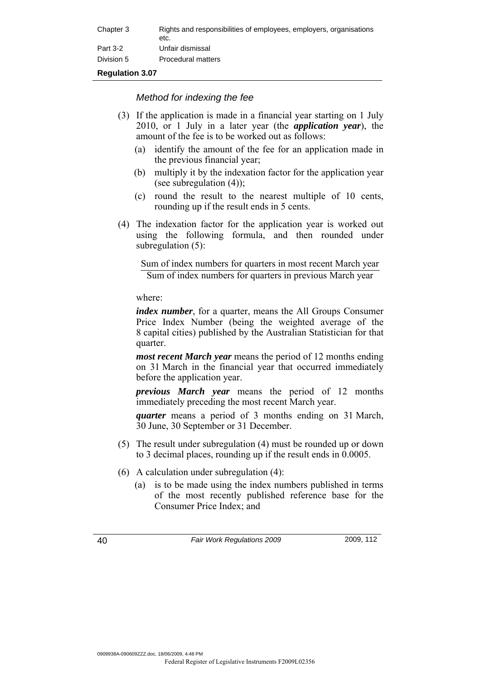| Chapter 3  | Rights and responsibilities of employees, employers, organisations<br>etc. |
|------------|----------------------------------------------------------------------------|
| Part 3-2   | Unfair dismissal                                                           |
| Division 5 | Procedural matters                                                         |

## *Method for indexing the fee*

- (3) If the application is made in a financial year starting on 1 July 2010, or 1 July in a later year (the *application year*), the amount of the fee is to be worked out as follows:
	- (a) identify the amount of the fee for an application made in the previous financial year;
	- (b) multiply it by the indexation factor for the application year (see subregulation (4));
	- (c) round the result to the nearest multiple of 10 cents, rounding up if the result ends in 5 cents.
- (4) The indexation factor for the application year is worked out using the following formula, and then rounded under subregulation (5):

Sum of index numbers for quarters in most recent March year Sum of index numbers for quarters in previous March year

where:

*index number*, for a quarter, means the All Groups Consumer Price Index Number (being the weighted average of the 8 capital cities) published by the Australian Statistician for that quarter.

*most recent March year* means the period of 12 months ending on 31 March in the financial year that occurred immediately before the application year.

*previous March year* means the period of 12 months immediately preceding the most recent March year.

*quarter* means a period of 3 months ending on 31 March, 30 June, 30 September or 31 December.

- (5) The result under subregulation (4) must be rounded up or down to 3 decimal places, rounding up if the result ends in 0.0005.
- (6) A calculation under subregulation (4):
	- (a) is to be made using the index numbers published in terms of the most recently published reference base for the Consumer Price Index; and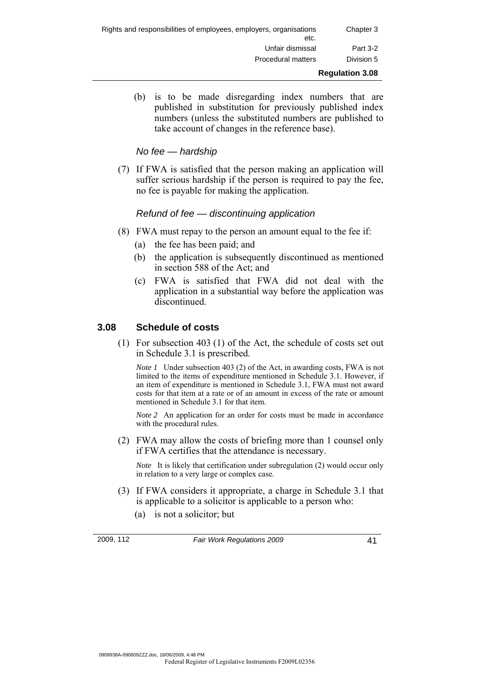| Rights and responsibilities of employees, employers, organisations<br>etc. | Chapter 3              |
|----------------------------------------------------------------------------|------------------------|
| Unfair dismissal                                                           | Part 3-2               |
| <b>Procedural matters</b>                                                  | Division 5             |
|                                                                            | <b>Regulation 3.08</b> |

 (b) is to be made disregarding index numbers that are published in substitution for previously published index numbers (unless the substituted numbers are published to take account of changes in the reference base).

## *No fee — hardship*

 (7) If FWA is satisfied that the person making an application will suffer serious hardship if the person is required to pay the fee, no fee is payable for making the application.

# *Refund of fee — discontinuing application*

- (8) FWA must repay to the person an amount equal to the fee if:
	- (a) the fee has been paid; and
	- (b) the application is subsequently discontinued as mentioned in section 588 of the Act; and
	- (c) FWA is satisfied that FWA did not deal with the application in a substantial way before the application was discontinued.

# **3.08 Schedule of costs**

 (1) For subsection 403 (1) of the Act, the schedule of costs set out in Schedule 3.1 is prescribed.

*Note 1* Under subsection 403 (2) of the Act, in awarding costs, FWA is not limited to the items of expenditure mentioned in Schedule 3.1. However, if an item of expenditure is mentioned in Schedule 3.1, FWA must not award costs for that item at a rate or of an amount in excess of the rate or amount mentioned in Schedule 3.1 for that item.

*Note 2* An application for an order for costs must be made in accordance with the procedural rules.

 (2) FWA may allow the costs of briefing more than 1 counsel only if FWA certifies that the attendance is necessary.

*Note* It is likely that certification under subregulation (2) would occur only in relation to a very large or complex case.

- (3) If FWA considers it appropriate, a charge in Schedule 3.1 that is applicable to a solicitor is applicable to a person who:
	- (a) is not a solicitor; but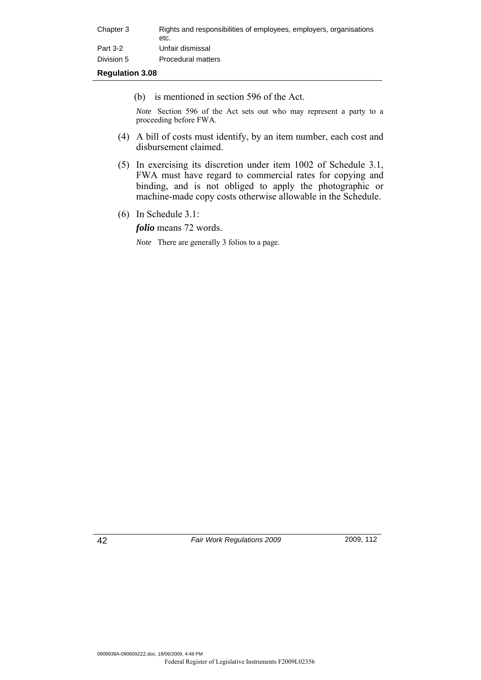| Chapter 3              | Rights and responsibilities of employees, employers, organisations<br>etc. |
|------------------------|----------------------------------------------------------------------------|
| Part 3-2               | Unfair dismissal                                                           |
| Division 5             | Procedural matters                                                         |
| <b>Regulation 3.08</b> |                                                                            |

(b) is mentioned in section 596 of the Act.

*Note* Section 596 of the Act sets out who may represent a party to a proceeding before FWA.

- (4) A bill of costs must identify, by an item number, each cost and disbursement claimed.
- (5) In exercising its discretion under item 1002 of Schedule 3.1, FWA must have regard to commercial rates for copying and binding, and is not obliged to apply the photographic or machine-made copy costs otherwise allowable in the Schedule.
- (6) In Schedule 3.1:

*folio* means 72 words.

*Note* There are generally 3 folios to a page.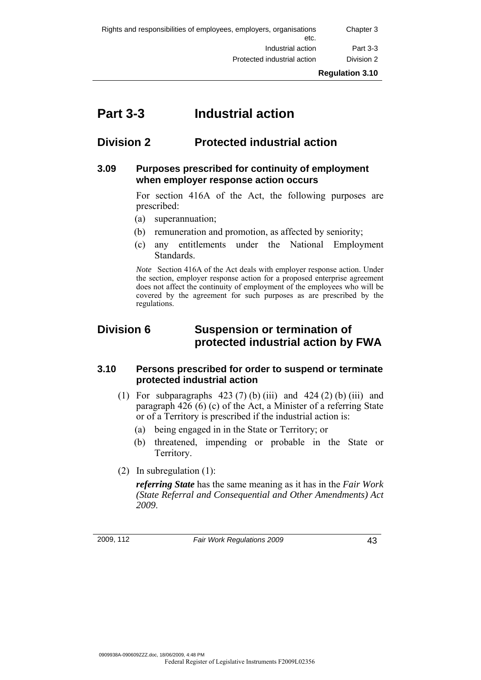# **Part 3-3 Industrial action**

# **Division 2 Protected industrial action**

# **3.09 Purposes prescribed for continuity of employment when employer response action occurs**

 For section 416A of the Act, the following purposes are prescribed:

- (a) superannuation;
- (b) remuneration and promotion, as affected by seniority;
- (c) any entitlements under the National Employment Standards.

*Note* Section 416A of the Act deals with employer response action. Under the section, employer response action for a proposed enterprise agreement does not affect the continuity of employment of the employees who will be covered by the agreement for such purposes as are prescribed by the regulations.

# **Division 6 Suspension or termination of protected industrial action by FWA**

### **3.10 Persons prescribed for order to suspend or terminate protected industrial action**

- (1) For subparagraphs  $423 (7)$  (b) (iii) and  $424 (2)$  (b) (iii) and paragraph 426 (6) (c) of the Act, a Minister of a referring State or of a Territory is prescribed if the industrial action is:
	- (a) being engaged in in the State or Territory; or
	- (b) threatened, impending or probable in the State or Territory.
- (2) In subregulation (1):

*referring State* has the same meaning as it has in the *Fair Work (State Referral and Consequential and Other Amendments) Act 2009*.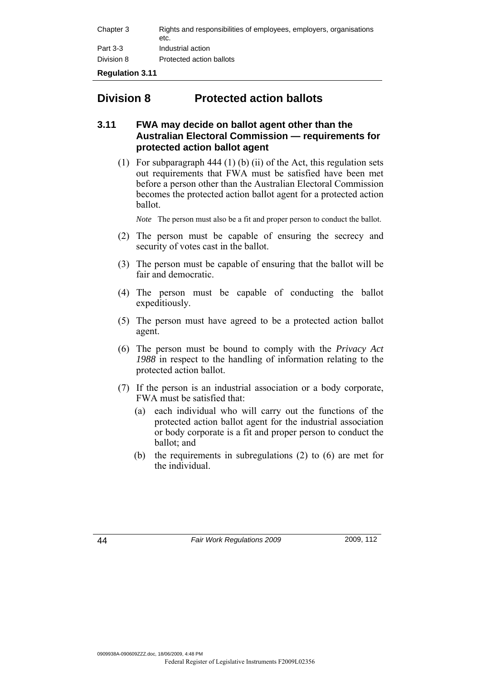| Chapter 3  | Rights and responsibilities of employees, employers, organisations<br>etc. |
|------------|----------------------------------------------------------------------------|
| Part 3-3   | Industrial action                                                          |
| Division 8 | Protected action ballots                                                   |

# **Division 8 Protected action ballots**

# **3.11 FWA may decide on ballot agent other than the Australian Electoral Commission — requirements for protected action ballot agent**

(1) For subparagraph  $444$  (1) (b) (ii) of the Act, this regulation sets out requirements that FWA must be satisfied have been met before a person other than the Australian Electoral Commission becomes the protected action ballot agent for a protected action ballot.

*Note* The person must also be a fit and proper person to conduct the ballot.

- (2) The person must be capable of ensuring the secrecy and security of votes cast in the ballot.
- (3) The person must be capable of ensuring that the ballot will be fair and democratic.
- (4) The person must be capable of conducting the ballot expeditiously.
- (5) The person must have agreed to be a protected action ballot agent.
- (6) The person must be bound to comply with the *Privacy Act 1988* in respect to the handling of information relating to the protected action ballot.
- (7) If the person is an industrial association or a body corporate, FWA must be satisfied that:
	- (a) each individual who will carry out the functions of the protected action ballot agent for the industrial association or body corporate is a fit and proper person to conduct the ballot; and
	- (b) the requirements in subregulations (2) to (6) are met for the individual.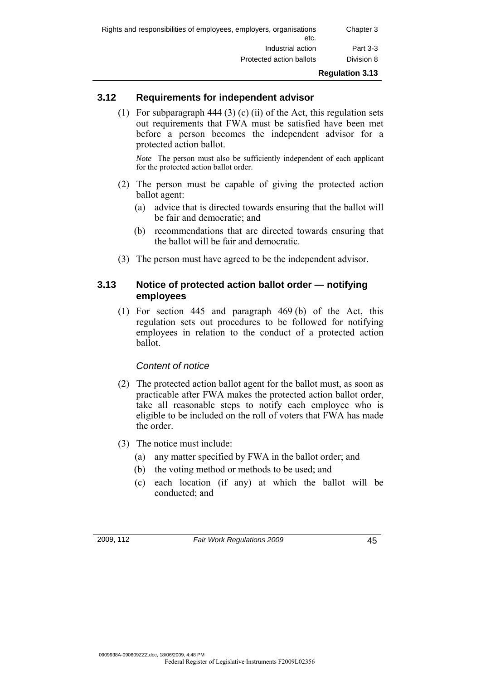| Rights and responsibilities of employees, employers, organisations<br>etc. | Chapter 3  |
|----------------------------------------------------------------------------|------------|
| Industrial action                                                          | Part 3-3   |
| Protected action ballots                                                   | Division 8 |

# **3.12 Requirements for independent advisor**

(1) For subparagraph 444 (3) (c) (ii) of the Act, this regulation sets out requirements that FWA must be satisfied have been met before a person becomes the independent advisor for a protected action ballot.

*Note* The person must also be sufficiently independent of each applicant for the protected action ballot order.

- (2) The person must be capable of giving the protected action ballot agent:
	- (a) advice that is directed towards ensuring that the ballot will be fair and democratic; and
	- (b) recommendations that are directed towards ensuring that the ballot will be fair and democratic.
- (3) The person must have agreed to be the independent advisor.

## **3.13 Notice of protected action ballot order — notifying employees**

 (1) For section 445 and paragraph 469 (b) of the Act, this regulation sets out procedures to be followed for notifying employees in relation to the conduct of a protected action ballot.

### *Content of notice*

- (2) The protected action ballot agent for the ballot must, as soon as practicable after FWA makes the protected action ballot order, take all reasonable steps to notify each employee who is eligible to be included on the roll of voters that FWA has made the order.
- (3) The notice must include:
	- (a) any matter specified by FWA in the ballot order; and
	- (b) the voting method or methods to be used; and
	- (c) each location (if any) at which the ballot will be conducted; and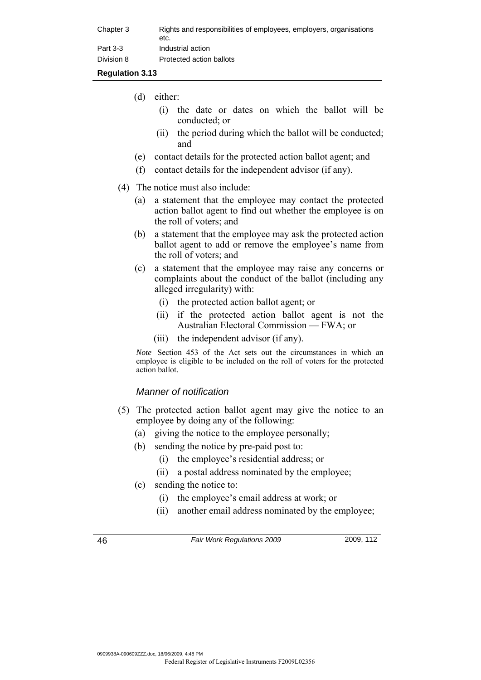| Chapter 3  | Rights and responsibilities of employees, employers, organisations<br>etc. |
|------------|----------------------------------------------------------------------------|
| Part 3-3   | Industrial action                                                          |
| Division 8 | Protected action ballots                                                   |

- (d) either:
	- (i) the date or dates on which the ballot will be conducted; or
	- (ii) the period during which the ballot will be conducted; and
- (e) contact details for the protected action ballot agent; and
- (f) contact details for the independent advisor (if any).

#### (4) The notice must also include:

- (a) a statement that the employee may contact the protected action ballot agent to find out whether the employee is on the roll of voters; and
- (b) a statement that the employee may ask the protected action ballot agent to add or remove the employee's name from the roll of voters; and
- (c) a statement that the employee may raise any concerns or complaints about the conduct of the ballot (including any alleged irregularity) with:
	- (i) the protected action ballot agent; or
	- (ii) if the protected action ballot agent is not the Australian Electoral Commission — FWA; or
	- (iii) the independent advisor (if any).

*Note* Section 453 of the Act sets out the circumstances in which an employee is eligible to be included on the roll of voters for the protected action ballot.

### *Manner of notification*

- (5) The protected action ballot agent may give the notice to an employee by doing any of the following:
	- (a) giving the notice to the employee personally;
	- (b) sending the notice by pre-paid post to:
		- (i) the employee's residential address; or
		- (ii) a postal address nominated by the employee;
	- (c) sending the notice to:
		- (i) the employee's email address at work; or
		- (ii) another email address nominated by the employee;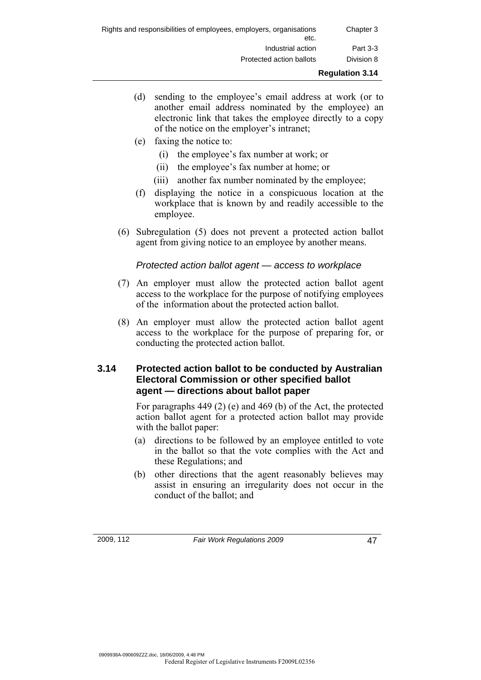| Rights and responsibilities of employees, employers, organisations<br>etc. | Chapter 3              |
|----------------------------------------------------------------------------|------------------------|
| Industrial action                                                          | Part 3-3               |
| Protected action ballots                                                   | Division 8             |
|                                                                            | <b>Regulation 3.14</b> |

- (d) sending to the employee's email address at work (or to another email address nominated by the employee) an electronic link that takes the employee directly to a copy of the notice on the employer's intranet;
- (e) faxing the notice to:
	- (i) the employee's fax number at work; or
	- (ii) the employee's fax number at home; or
	- (iii) another fax number nominated by the employee;
- (f) displaying the notice in a conspicuous location at the workplace that is known by and readily accessible to the employee.
- (6) Subregulation (5) does not prevent a protected action ballot agent from giving notice to an employee by another means.

### *Protected action ballot agent — access to workplace*

- (7) An employer must allow the protected action ballot agent access to the workplace for the purpose of notifying employees of the information about the protected action ballot.
- (8) An employer must allow the protected action ballot agent access to the workplace for the purpose of preparing for, or conducting the protected action ballot.

# **3.14 Protected action ballot to be conducted by Australian Electoral Commission or other specified ballot agent — directions about ballot paper**

 For paragraphs 449 (2) (e) and 469 (b) of the Act, the protected action ballot agent for a protected action ballot may provide with the ballot paper:

- (a) directions to be followed by an employee entitled to vote in the ballot so that the vote complies with the Act and these Regulations; and
- (b) other directions that the agent reasonably believes may assist in ensuring an irregularity does not occur in the conduct of the ballot; and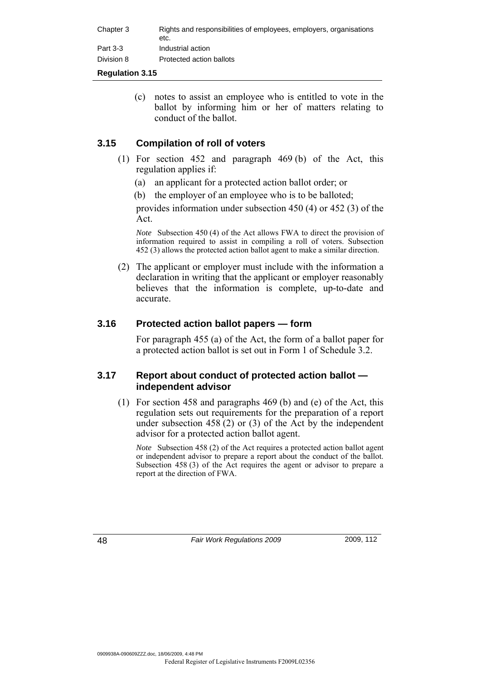| Chapter 3  | Rights and responsibilities of employees, employers, organisations<br>etc. |
|------------|----------------------------------------------------------------------------|
| Part 3-3   | Industrial action                                                          |
| Division 8 | Protected action ballots                                                   |

 (c) notes to assist an employee who is entitled to vote in the ballot by informing him or her of matters relating to conduct of the ballot.

# **3.15 Compilation of roll of voters**

- (1) For section 452 and paragraph 469 (b) of the Act, this regulation applies if:
	- (a) an applicant for a protected action ballot order; or
	- (b) the employer of an employee who is to be balloted;

provides information under subsection 450 (4) or 452 (3) of the Act.

*Note* Subsection 450 (4) of the Act allows FWA to direct the provision of information required to assist in compiling a roll of voters. Subsection 452 (3) allows the protected action ballot agent to make a similar direction.

 (2) The applicant or employer must include with the information a declaration in writing that the applicant or employer reasonably believes that the information is complete, up-to-date and accurate.

# **3.16 Protected action ballot papers — form**

 For paragraph 455 (a) of the Act, the form of a ballot paper for a protected action ballot is set out in Form 1 of Schedule 3.2.

# **3.17 Report about conduct of protected action ballot independent advisor**

 (1) For section 458 and paragraphs 469 (b) and (e) of the Act, this regulation sets out requirements for the preparation of a report under subsection 458 (2) or (3) of the Act by the independent advisor for a protected action ballot agent.

*Note* Subsection 458 (2) of the Act requires a protected action ballot agent or independent advisor to prepare a report about the conduct of the ballot. Subsection 458 (3) of the Act requires the agent or advisor to prepare a report at the direction of FWA.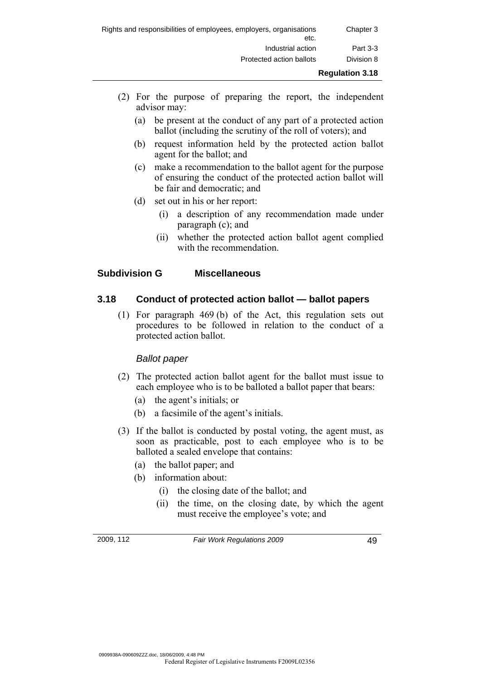| Rights and responsibilities of employees, employers, organisations<br>etc. | Chapter 3              |
|----------------------------------------------------------------------------|------------------------|
| Industrial action                                                          | Part 3-3               |
| Protected action ballots                                                   | Division 8             |
|                                                                            | <b>Regulation 3.18</b> |

- (2) For the purpose of preparing the report, the independent advisor may:
	- (a) be present at the conduct of any part of a protected action ballot (including the scrutiny of the roll of voters); and
	- (b) request information held by the protected action ballot agent for the ballot; and
	- (c) make a recommendation to the ballot agent for the purpose of ensuring the conduct of the protected action ballot will be fair and democratic; and
	- (d) set out in his or her report:
		- (i) a description of any recommendation made under paragraph (c); and
		- (ii) whether the protected action ballot agent complied with the recommendation.

# **Subdivision G Miscellaneous**

# **3.18 Conduct of protected action ballot — ballot papers**

 (1) For paragraph 469 (b) of the Act, this regulation sets out procedures to be followed in relation to the conduct of a protected action ballot.

### *Ballot paper*

- (2) The protected action ballot agent for the ballot must issue to each employee who is to be balloted a ballot paper that bears:
	- (a) the agent's initials; or
	- (b) a facsimile of the agent's initials.
- (3) If the ballot is conducted by postal voting, the agent must, as soon as practicable, post to each employee who is to be balloted a sealed envelope that contains:
	- (a) the ballot paper; and
	- (b) information about:
		- (i) the closing date of the ballot; and
		- (ii) the time, on the closing date, by which the agent must receive the employee's vote; and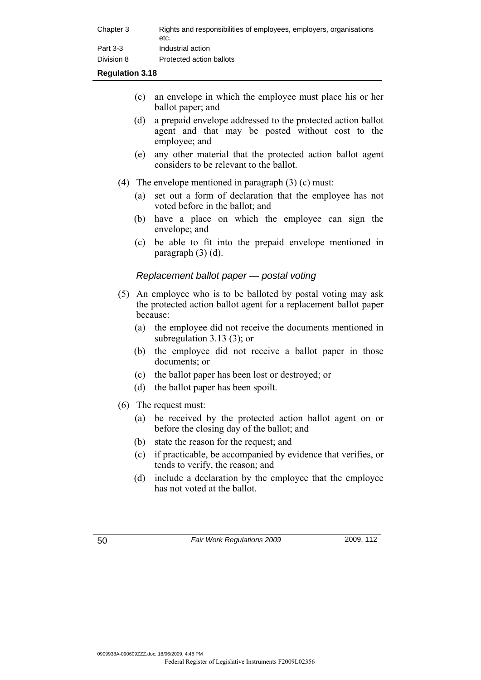| Chapter 3  | Rights and responsibilities of employees, employers, organisations<br>etc. |
|------------|----------------------------------------------------------------------------|
| Part 3-3   | Industrial action                                                          |
| Division 8 | Protected action ballots                                                   |

- (c) an envelope in which the employee must place his or her ballot paper; and
- (d) a prepaid envelope addressed to the protected action ballot agent and that may be posted without cost to the employee; and
- (e) any other material that the protected action ballot agent considers to be relevant to the ballot.
- (4) The envelope mentioned in paragraph (3) (c) must:
	- (a) set out a form of declaration that the employee has not voted before in the ballot; and
	- (b) have a place on which the employee can sign the envelope; and
	- (c) be able to fit into the prepaid envelope mentioned in paragraph (3) (d).

# *Replacement ballot paper — postal voting*

- (5) An employee who is to be balloted by postal voting may ask the protected action ballot agent for a replacement ballot paper because:
	- (a) the employee did not receive the documents mentioned in subregulation 3.13 (3); or
	- (b) the employee did not receive a ballot paper in those documents; or
	- (c) the ballot paper has been lost or destroyed; or
	- (d) the ballot paper has been spoilt.
- (6) The request must:
	- (a) be received by the protected action ballot agent on or before the closing day of the ballot; and
	- (b) state the reason for the request; and
	- (c) if practicable, be accompanied by evidence that verifies, or tends to verify, the reason; and
	- (d) include a declaration by the employee that the employee has not voted at the ballot.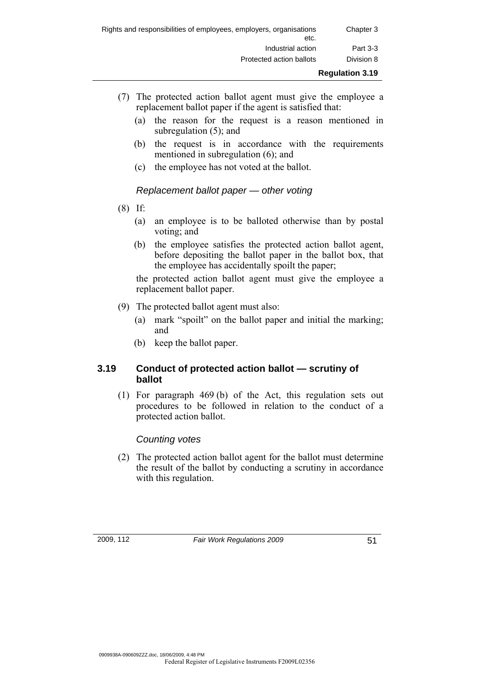| Rights and responsibilities of employees, employers, organisations<br>etc. | Chapter 3  |
|----------------------------------------------------------------------------|------------|
| Industrial action                                                          | Part 3-3   |
| Protected action ballots                                                   | Division 8 |

- (7) The protected action ballot agent must give the employee a replacement ballot paper if the agent is satisfied that:
	- (a) the reason for the request is a reason mentioned in subregulation (5); and
	- (b) the request is in accordance with the requirements mentioned in subregulation (6); and
	- (c) the employee has not voted at the ballot.

# *Replacement ballot paper — other voting*

- (8) If:
	- (a) an employee is to be balloted otherwise than by postal voting; and
	- (b) the employee satisfies the protected action ballot agent, before depositing the ballot paper in the ballot box, that the employee has accidentally spoilt the paper;

the protected action ballot agent must give the employee a replacement ballot paper.

- (9) The protected ballot agent must also:
	- (a) mark "spoilt" on the ballot paper and initial the marking; and
	- (b) keep the ballot paper.

# **3.19 Conduct of protected action ballot — scrutiny of ballot**

 (1) For paragraph 469 (b) of the Act, this regulation sets out procedures to be followed in relation to the conduct of a protected action ballot.

# *Counting votes*

 (2) The protected action ballot agent for the ballot must determine the result of the ballot by conducting a scrutiny in accordance with this regulation.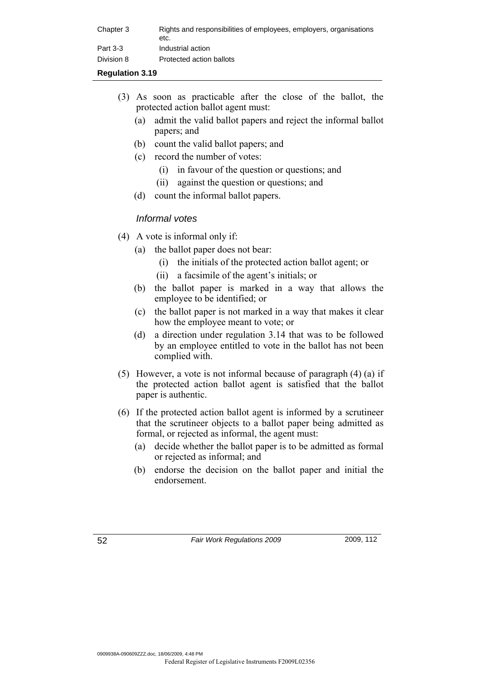| Chapter 3  | Rights and responsibilities of employees, employers, organisations<br>etc. |
|------------|----------------------------------------------------------------------------|
| Part 3-3   | Industrial action                                                          |
| Division 8 | Protected action ballots                                                   |

- (3) As soon as practicable after the close of the ballot, the protected action ballot agent must:
	- (a) admit the valid ballot papers and reject the informal ballot papers; and
	- (b) count the valid ballot papers; and
	- (c) record the number of votes:
		- (i) in favour of the question or questions; and
		- (ii) against the question or questions; and
	- (d) count the informal ballot papers.

# *Informal votes*

- (4) A vote is informal only if:
	- (a) the ballot paper does not bear:
		- (i) the initials of the protected action ballot agent; or
		- (ii) a facsimile of the agent's initials; or
	- (b) the ballot paper is marked in a way that allows the employee to be identified; or
	- (c) the ballot paper is not marked in a way that makes it clear how the employee meant to vote; or
	- (d) a direction under regulation 3.14 that was to be followed by an employee entitled to vote in the ballot has not been complied with.
- (5) However, a vote is not informal because of paragraph (4) (a) if the protected action ballot agent is satisfied that the ballot paper is authentic.
- (6) If the protected action ballot agent is informed by a scrutineer that the scrutineer objects to a ballot paper being admitted as formal, or rejected as informal, the agent must:
	- (a) decide whether the ballot paper is to be admitted as formal or rejected as informal; and
	- (b) endorse the decision on the ballot paper and initial the endorsement.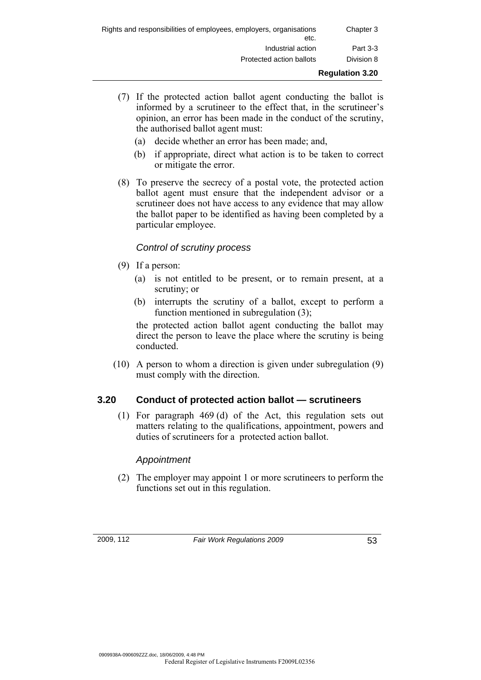| Rights and responsibilities of employees, employers, organisations<br>etc. | Chapter 3              |
|----------------------------------------------------------------------------|------------------------|
| Industrial action                                                          | Part 3-3               |
| Protected action ballots                                                   | Division 8             |
|                                                                            | <b>Regulation 3.20</b> |

- (7) If the protected action ballot agent conducting the ballot is informed by a scrutineer to the effect that, in the scrutineer's opinion, an error has been made in the conduct of the scrutiny, the authorised ballot agent must:
	- (a) decide whether an error has been made; and,
	- (b) if appropriate, direct what action is to be taken to correct or mitigate the error.
- (8) To preserve the secrecy of a postal vote, the protected action ballot agent must ensure that the independent advisor or a scrutineer does not have access to any evidence that may allow the ballot paper to be identified as having been completed by a particular employee.

# *Control of scrutiny process*

- (9) If a person:
	- (a) is not entitled to be present, or to remain present, at a scrutiny; or
	- (b) interrupts the scrutiny of a ballot, except to perform a function mentioned in subregulation (3);

the protected action ballot agent conducting the ballot may direct the person to leave the place where the scrutiny is being conducted.

 (10) A person to whom a direction is given under subregulation (9) must comply with the direction.

# **3.20 Conduct of protected action ballot — scrutineers**

 (1) For paragraph 469 (d) of the Act, this regulation sets out matters relating to the qualifications, appointment, powers and duties of scrutineers for a protected action ballot.

# *Appointment*

 (2) The employer may appoint 1 or more scrutineers to perform the functions set out in this regulation.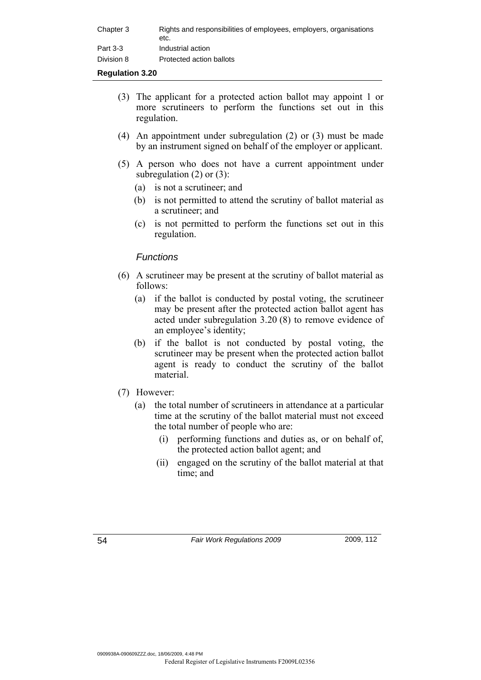| Chapter 3  | Rights and responsibilities of employees, employers, organisations<br>etc. |
|------------|----------------------------------------------------------------------------|
| Part 3-3   | Industrial action                                                          |
| Division 8 | Protected action ballots                                                   |

- (3) The applicant for a protected action ballot may appoint 1 or more scrutineers to perform the functions set out in this regulation.
- (4) An appointment under subregulation (2) or (3) must be made by an instrument signed on behalf of the employer or applicant.
- (5) A person who does not have a current appointment under subregulation (2) or (3):
	- (a) is not a scrutineer; and
	- (b) is not permitted to attend the scrutiny of ballot material as a scrutineer: and
	- (c) is not permitted to perform the functions set out in this regulation.

### *Functions*

- (6) A scrutineer may be present at the scrutiny of ballot material as follows:
	- (a) if the ballot is conducted by postal voting, the scrutineer may be present after the protected action ballot agent has acted under subregulation 3.20 (8) to remove evidence of an employee's identity;
	- (b) if the ballot is not conducted by postal voting, the scrutineer may be present when the protected action ballot agent is ready to conduct the scrutiny of the ballot material.
- (7) However:
	- (a) the total number of scrutineers in attendance at a particular time at the scrutiny of the ballot material must not exceed the total number of people who are:
		- (i) performing functions and duties as, or on behalf of, the protected action ballot agent; and
		- (ii) engaged on the scrutiny of the ballot material at that time; and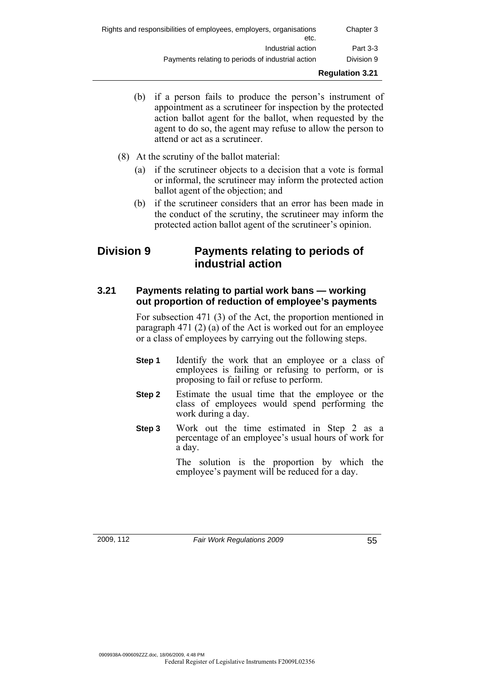|                                                                            | <b>Regulation 3.21</b> |
|----------------------------------------------------------------------------|------------------------|
| Payments relating to periods of industrial action                          | Division 9             |
| Industrial action                                                          | Part 3-3               |
| Rights and responsibilities of employees, employers, organisations<br>etc. | Chapter 3              |

- (b) if a person fails to produce the person's instrument of appointment as a scrutineer for inspection by the protected action ballot agent for the ballot, when requested by the agent to do so, the agent may refuse to allow the person to attend or act as a scrutineer.
- (8) At the scrutiny of the ballot material:
	- (a) if the scrutineer objects to a decision that a vote is formal or informal, the scrutineer may inform the protected action ballot agent of the objection; and
	- (b) if the scrutineer considers that an error has been made in the conduct of the scrutiny, the scrutineer may inform the protected action ballot agent of the scrutineer's opinion.

# **Division 9 Payments relating to periods of industrial action**

# **3.21 Payments relating to partial work bans — working out proportion of reduction of employee's payments**

 For subsection 471 (3) of the Act, the proportion mentioned in paragraph 471 (2) (a) of the Act is worked out for an employee or a class of employees by carrying out the following steps.

- **Step 1** Identify the work that an employee or a class of employees is failing or refusing to perform, or is proposing to fail or refuse to perform.
- **Step 2** Estimate the usual time that the employee or the class of employees would spend performing the work during a day.
- **Step 3** Work out the time estimated in Step 2 as a percentage of an employee's usual hours of work for a day.

The solution is the proportion by which the employee's payment will be reduced for a day.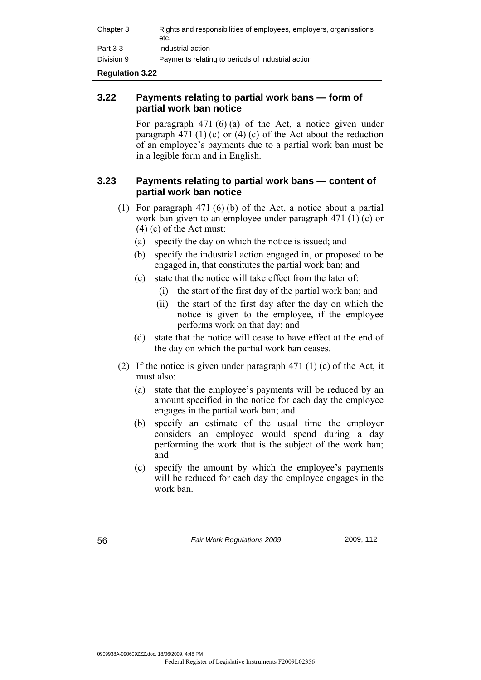| Chapter 3  | Rights and responsibilities of employees, employers, organisations<br>etc. |
|------------|----------------------------------------------------------------------------|
| Part 3-3   | Industrial action                                                          |
| Division 9 | Payments relating to periods of industrial action                          |

# **3.22 Payments relating to partial work bans — form of partial work ban notice**

For paragraph  $471(6)(a)$  of the Act, a notice given under paragraph 471 (1) (c) or (4) (c) of the Act about the reduction of an employee's payments due to a partial work ban must be in a legible form and in English.

# **3.23 Payments relating to partial work bans — content of partial work ban notice**

- (1) For paragraph 471 (6) (b) of the Act, a notice about a partial work ban given to an employee under paragraph 471 (1) (c) or (4) (c) of the Act must:
	- (a) specify the day on which the notice is issued; and
	- (b) specify the industrial action engaged in, or proposed to be engaged in, that constitutes the partial work ban; and
	- (c) state that the notice will take effect from the later of:
		- (i) the start of the first day of the partial work ban; and
		- (ii) the start of the first day after the day on which the notice is given to the employee, if the employee performs work on that day; and
	- (d) state that the notice will cease to have effect at the end of the day on which the partial work ban ceases.
- (2) If the notice is given under paragraph 471 (1) (c) of the Act, it must also:
	- (a) state that the employee's payments will be reduced by an amount specified in the notice for each day the employee engages in the partial work ban; and
	- (b) specify an estimate of the usual time the employer considers an employee would spend during a day performing the work that is the subject of the work ban; and
	- (c) specify the amount by which the employee's payments will be reduced for each day the employee engages in the work ban.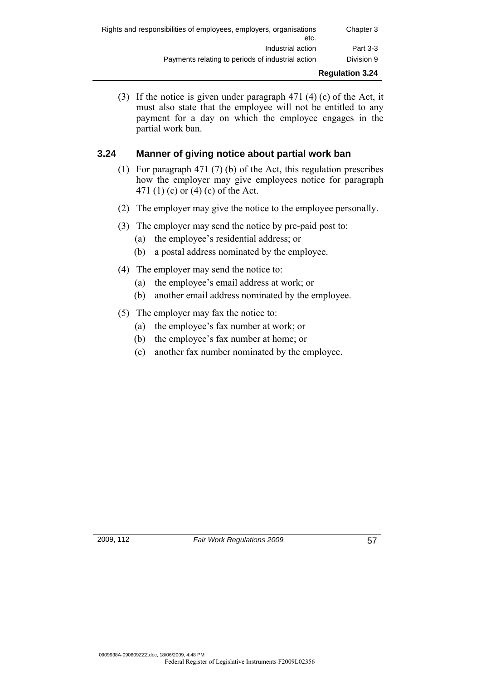| Chapter 3  | Rights and responsibilities of employees, employers, organisations<br>etc. |  |
|------------|----------------------------------------------------------------------------|--|
| Part 3-3   | Industrial action                                                          |  |
| Division 9 | Payments relating to periods of industrial action                          |  |
|            |                                                                            |  |

 (3) If the notice is given under paragraph 471 (4) (c) of the Act, it must also state that the employee will not be entitled to any payment for a day on which the employee engages in the partial work ban.

# **3.24 Manner of giving notice about partial work ban**

- (1) For paragraph 471 (7) (b) of the Act, this regulation prescribes how the employer may give employees notice for paragraph 471 (1) (c) or (4) (c) of the Act.
- (2) The employer may give the notice to the employee personally.
- (3) The employer may send the notice by pre-paid post to:
	- (a) the employee's residential address; or
	- (b) a postal address nominated by the employee.
- (4) The employer may send the notice to:
	- (a) the employee's email address at work; or
	- (b) another email address nominated by the employee.
- (5) The employer may fax the notice to:
	- (a) the employee's fax number at work; or
	- (b) the employee's fax number at home; or
	- (c) another fax number nominated by the employee.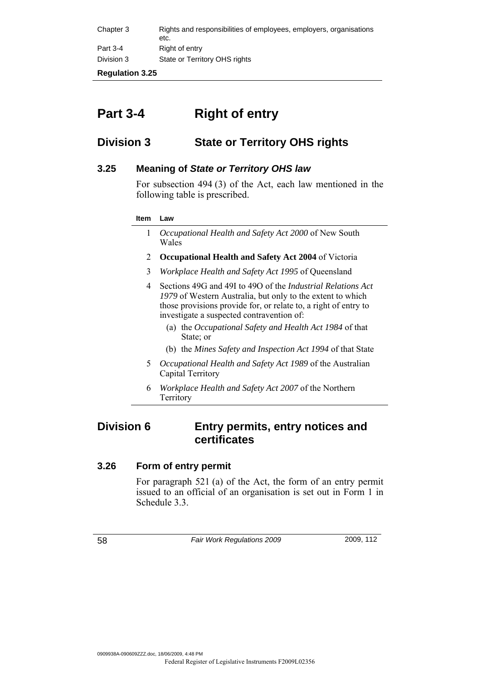| Chapter 3  | Rights and responsibilities of employees, employers, organisations<br>etc. |
|------------|----------------------------------------------------------------------------|
| Part 3-4   | Right of entry                                                             |
| Division 3 | State or Territory OHS rights                                              |

# **Part 3-4 Right of entry**

# **Division 3 State or Territory OHS rights**

# **3.25 Meaning of** *State or Territory OHS law*

 For subsection 494 (3) of the Act, each law mentioned in the following table is prescribed.

#### **Item Law**

- 1 *Occupational Health and Safety Act 2000* of New South Wales
- 2 **Occupational Health and Safety Act 2004** of Victoria
- 3 *Workplace Health and Safety Act 1995* of Queensland
- 4 Sections 49G and 49I to 49O of the *Industrial Relations Act 1979* of Western Australia, but only to the extent to which those provisions provide for, or relate to, a right of entry to investigate a suspected contravention of:
	- (a) the *Occupational Safety and Health Act 1984* of that State; or
	- (b) the *Mines Safety and Inspection Act 1994* of that State
- 5 *Occupational Health and Safety Act 1989* of the Australian Capital Territory
- 6 *Workplace Health and Safety Act 2007* of the Northern Territory

# **Division 6 Entry permits, entry notices and certificates**

# **3.26 Form of entry permit**

 For paragraph 521 (a) of the Act, the form of an entry permit issued to an official of an organisation is set out in Form 1 in Schedule 3.3.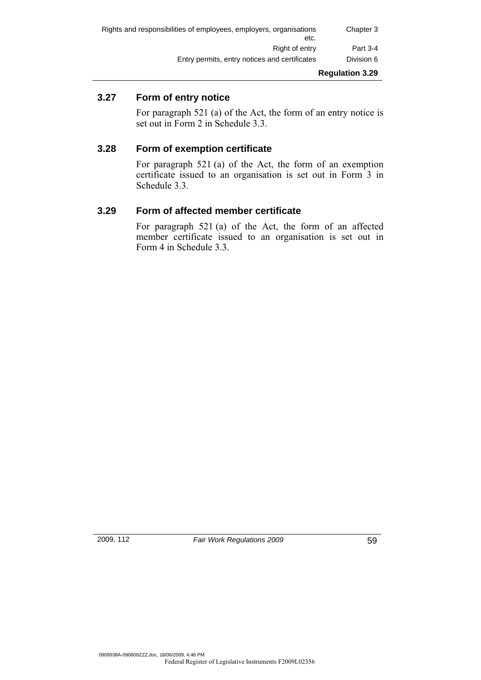| Chapter 3  | Rights and responsibilities of employees, employers, organisations<br>etc. |
|------------|----------------------------------------------------------------------------|
| Part 3-4   | Right of entry                                                             |
| Division 6 | Entry permits, entry notices and certificates                              |
|            |                                                                            |

# **3.27 Form of entry notice**

 For paragraph 521 (a) of the Act, the form of an entry notice is set out in Form 2 in Schedule 3.3.

# **3.28 Form of exemption certificate**

 For paragraph 521 (a) of the Act, the form of an exemption certificate issued to an organisation is set out in Form 3 in Schedule 3.3.

# **3.29 Form of affected member certificate**

 For paragraph 521 (a) of the Act, the form of an affected member certificate issued to an organisation is set out in Form 4 in Schedule 3.3.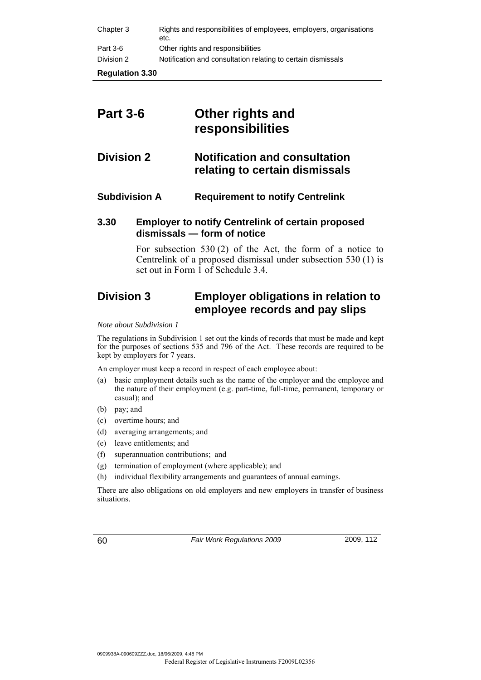| Chapter 3  | Rights and responsibilities of employees, employers, organisations<br>etc. |
|------------|----------------------------------------------------------------------------|
| Part 3-6   | Other rights and responsibilities                                          |
| Division 2 | Notification and consultation relating to certain dismissals               |
|            |                                                                            |

# **Part 3-6 Other rights and responsibilities**

# **Division 2 Notification and consultation relating to certain dismissals**

# **Subdivision A Requirement to notify Centrelink**

# **3.30 Employer to notify Centrelink of certain proposed dismissals — form of notice**

 For subsection 530 (2) of the Act, the form of a notice to Centrelink of a proposed dismissal under subsection 530 (1) is set out in Form 1 of Schedule 3.4.

# **Division 3 Employer obligations in relation to employee records and pay slips**

*Note about Subdivision 1* 

The regulations in Subdivision 1 set out the kinds of records that must be made and kept for the purposes of sections 535 and 796 of the Act. These records are required to be kept by employers for 7 years.

An employer must keep a record in respect of each employee about:

- (a) basic employment details such as the name of the employer and the employee and the nature of their employment (e.g. part-time, full-time, permanent, temporary or casual); and
- (b) pay; and
- (c) overtime hours; and
- (d) averaging arrangements; and
- (e) leave entitlements; and
- (f) superannuation contributions; and
- (g) termination of employment (where applicable); and
- (h) individual flexibility arrangements and guarantees of annual earnings.

There are also obligations on old employers and new employers in transfer of business situations.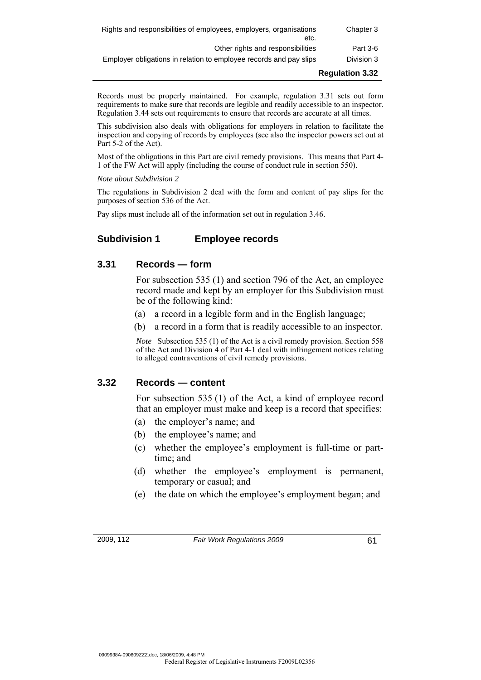|                                                                            | <b>Regulation 3.32</b> |
|----------------------------------------------------------------------------|------------------------|
| Employer obligations in relation to employee records and pay slips         | Division 3             |
| Other rights and responsibilities                                          | Part 3-6               |
| Rights and responsibilities of employees, employers, organisations<br>etc. | Chapter 3              |

Records must be properly maintained. For example, regulation 3.31 sets out form requirements to make sure that records are legible and readily accessible to an inspector. Regulation 3.44 sets out requirements to ensure that records are accurate at all times.

This subdivision also deals with obligations for employers in relation to facilitate the inspection and copying of records by employees (see also the inspector powers set out at Part 5-2 of the Act).

Most of the obligations in this Part are civil remedy provisions. This means that Part 4- 1 of the FW Act will apply (including the course of conduct rule in section 550).

*Note about Subdivision 2* 

The regulations in Subdivision 2 deal with the form and content of pay slips for the purposes of section 536 of the Act.

Pay slips must include all of the information set out in regulation 3.46.

# **Subdivision 1 Employee records**

### **3.31 Records — form**

 For subsection 535 (1) and section 796 of the Act, an employee record made and kept by an employer for this Subdivision must be of the following kind:

- (a) a record in a legible form and in the English language;
- (b) a record in a form that is readily accessible to an inspector.

*Note* Subsection 535 (1) of the Act is a civil remedy provision. Section 558 of the Act and Division 4 of Part 4-1 deal with infringement notices relating to alleged contraventions of civil remedy provisions.

### **3.32 Records — content**

 For subsection 535 (1) of the Act, a kind of employee record that an employer must make and keep is a record that specifies:

- (a) the employer's name; and
- (b) the employee's name; and
- (c) whether the employee's employment is full-time or parttime; and
- (d) whether the employee's employment is permanent, temporary or casual; and
- (e) the date on which the employee's employment began; and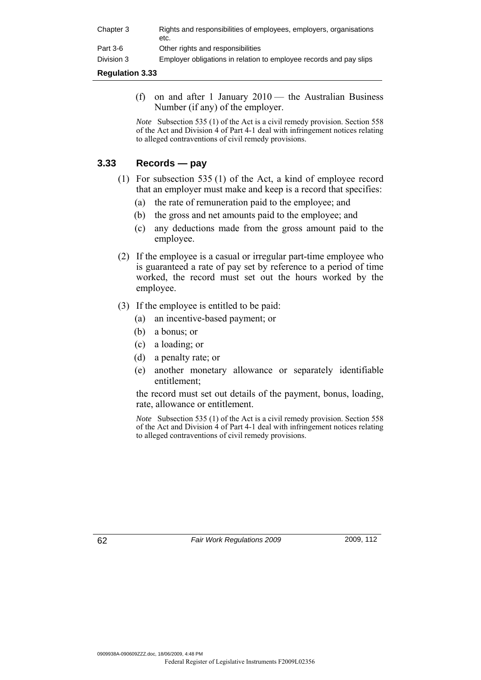| Chapter 3  | Rights and responsibilities of employees, employers, organisations<br>etc. |
|------------|----------------------------------------------------------------------------|
| Part 3-6   | Other rights and responsibilities                                          |
| Division 3 | Employer obligations in relation to employee records and pay slips         |

 (f) on and after 1 January 2010 — the Australian Business Number (if any) of the employer.

*Note* Subsection 535 (1) of the Act is a civil remedy provision. Section 558 of the Act and Division 4 of Part 4-1 deal with infringement notices relating to alleged contraventions of civil remedy provisions.

# **3.33 Records — pay**

- (1) For subsection 535 (1) of the Act, a kind of employee record that an employer must make and keep is a record that specifies:
	- (a) the rate of remuneration paid to the employee; and
	- (b) the gross and net amounts paid to the employee; and
	- (c) any deductions made from the gross amount paid to the employee.
- (2) If the employee is a casual or irregular part-time employee who is guaranteed a rate of pay set by reference to a period of time worked, the record must set out the hours worked by the employee.
- (3) If the employee is entitled to be paid:
	- (a) an incentive-based payment; or
	- (b) a bonus; or
	- (c) a loading; or
	- (d) a penalty rate; or
	- (e) another monetary allowance or separately identifiable entitlement;

the record must set out details of the payment, bonus, loading, rate, allowance or entitlement.

*Note* Subsection 535 (1) of the Act is a civil remedy provision. Section 558 of the Act and Division 4 of Part 4-1 deal with infringement notices relating to alleged contraventions of civil remedy provisions.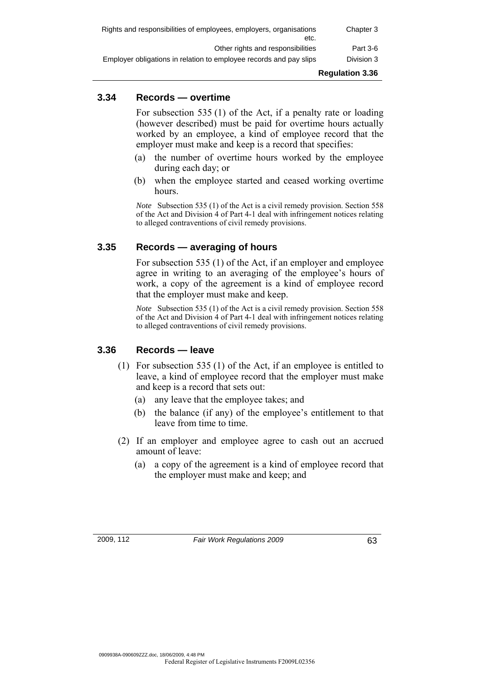| Rights and responsibilities of employees, employers, organisations<br>etc. | Chapter 3  |
|----------------------------------------------------------------------------|------------|
| Other rights and responsibilities                                          | Part 3-6   |
| Employer obligations in relation to employee records and pay slips         | Division 3 |

#### **3.34 Records — overtime**

 For subsection 535 (1) of the Act, if a penalty rate or loading (however described) must be paid for overtime hours actually worked by an employee, a kind of employee record that the employer must make and keep is a record that specifies:

- (a) the number of overtime hours worked by the employee during each day; or
- (b) when the employee started and ceased working overtime hours.

*Note* Subsection 535 (1) of the Act is a civil remedy provision. Section 558 of the Act and Division 4 of Part 4-1 deal with infringement notices relating to alleged contraventions of civil remedy provisions.

# **3.35 Records — averaging of hours**

 For subsection 535 (1) of the Act, if an employer and employee agree in writing to an averaging of the employee's hours of work, a copy of the agreement is a kind of employee record that the employer must make and keep.

*Note* Subsection 535 (1) of the Act is a civil remedy provision. Section 558 of the Act and Division 4 of Part 4-1 deal with infringement notices relating to alleged contraventions of civil remedy provisions.

## **3.36 Records — leave**

- (1) For subsection 535 (1) of the Act, if an employee is entitled to leave, a kind of employee record that the employer must make and keep is a record that sets out:
	- (a) any leave that the employee takes; and
	- (b) the balance (if any) of the employee's entitlement to that leave from time to time.
- (2) If an employer and employee agree to cash out an accrued amount of leave:
	- (a) a copy of the agreement is a kind of employee record that the employer must make and keep; and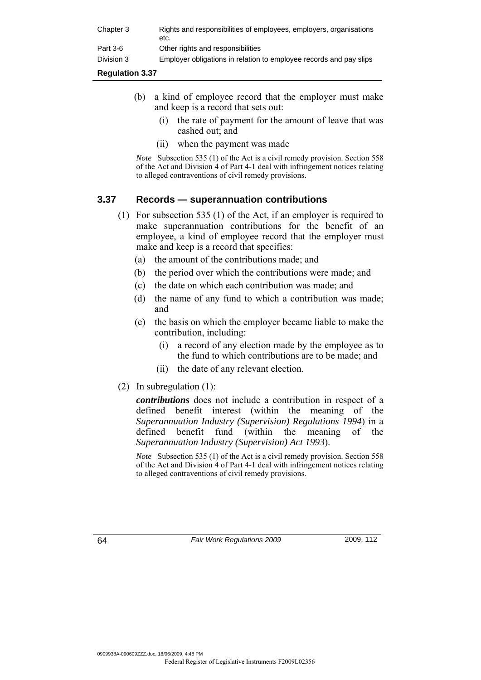| Chapter 3  | Rights and responsibilities of employees, employers, organisations<br>etc. |
|------------|----------------------------------------------------------------------------|
| Part 3-6   | Other rights and responsibilities                                          |
| Division 3 | Employer obligations in relation to employee records and pay slips         |
|            |                                                                            |

- (b) a kind of employee record that the employer must make and keep is a record that sets out:
	- (i) the rate of payment for the amount of leave that was cashed out; and
	- (ii) when the payment was made

*Note* Subsection 535 (1) of the Act is a civil remedy provision. Section 558 of the Act and Division 4 of Part 4-1 deal with infringement notices relating to alleged contraventions of civil remedy provisions.

# **3.37 Records — superannuation contributions**

- (1) For subsection 535 (1) of the Act, if an employer is required to make superannuation contributions for the benefit of an employee, a kind of employee record that the employer must make and keep is a record that specifies:
	- (a) the amount of the contributions made; and
	- (b) the period over which the contributions were made; and
	- (c) the date on which each contribution was made; and
	- (d) the name of any fund to which a contribution was made; and
	- (e) the basis on which the employer became liable to make the contribution, including:
		- (i) a record of any election made by the employee as to the fund to which contributions are to be made; and
		- (ii) the date of any relevant election.

### (2) In subregulation (1):

*contributions* does not include a contribution in respect of a defined benefit interest (within the meaning of the *Superannuation Industry (Supervision) Regulations 1994*) in a defined benefit fund (within the meaning of the *Superannuation Industry (Supervision) Act 1993*).

*Note* Subsection 535 (1) of the Act is a civil remedy provision. Section 558 of the Act and Division 4 of Part 4-1 deal with infringement notices relating to alleged contraventions of civil remedy provisions.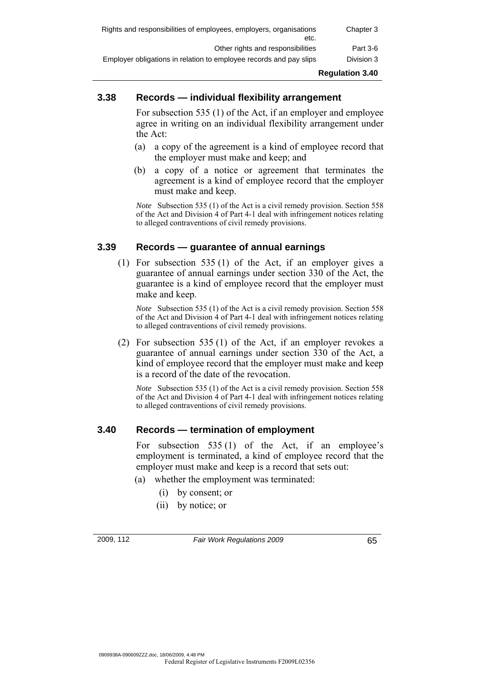| Rights and responsibilities of employees, employers, organisations<br>etc. | Chapter 3              |
|----------------------------------------------------------------------------|------------------------|
| Other rights and responsibilities                                          | Part 3-6               |
| Employer obligations in relation to employee records and pay slips         | Division 3             |
|                                                                            | <b>Regulation 3.40</b> |

# **3.38 Records — individual flexibility arrangement**

 For subsection 535 (1) of the Act, if an employer and employee agree in writing on an individual flexibility arrangement under the Act:

- (a) a copy of the agreement is a kind of employee record that the employer must make and keep; and
- (b) a copy of a notice or agreement that terminates the agreement is a kind of employee record that the employer must make and keep.

*Note* Subsection 535 (1) of the Act is a civil remedy provision. Section 558 of the Act and Division 4 of Part 4-1 deal with infringement notices relating to alleged contraventions of civil remedy provisions.

# **3.39 Records — guarantee of annual earnings**

 (1) For subsection 535 (1) of the Act, if an employer gives a guarantee of annual earnings under section 330 of the Act, the guarantee is a kind of employee record that the employer must make and keep.

*Note* Subsection 535 (1) of the Act is a civil remedy provision. Section 558 of the Act and Division 4 of Part 4-1 deal with infringement notices relating to alleged contraventions of civil remedy provisions.

 (2) For subsection 535 (1) of the Act, if an employer revokes a guarantee of annual earnings under section 330 of the Act, a kind of employee record that the employer must make and keep is a record of the date of the revocation.

*Note* Subsection 535 (1) of the Act is a civil remedy provision. Section 558 of the Act and Division 4 of Part 4-1 deal with infringement notices relating to alleged contraventions of civil remedy provisions.

# **3.40 Records — termination of employment**

For subsection 535 (1) of the Act, if an employee's employment is terminated, a kind of employee record that the employer must make and keep is a record that sets out:

(a) whether the employment was terminated:

- (i) by consent; or
- (ii) by notice; or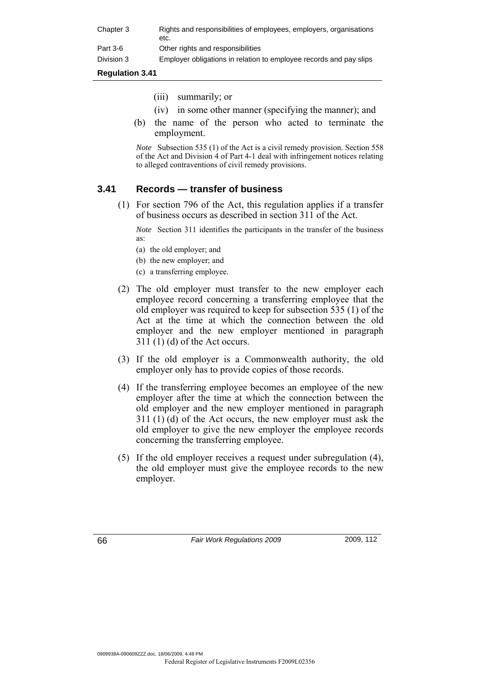| Chapter 3  | Rights and responsibilities of employees, employers, organisations<br>etc. |
|------------|----------------------------------------------------------------------------|
| Part 3-6   | Other rights and responsibilities                                          |
| Division 3 | Employer obligations in relation to employee records and pay slips         |

- (iii) summarily; or
- (iv) in some other manner (specifying the manner); and
- (b) the name of the person who acted to terminate the employment.

*Note* Subsection 535 (1) of the Act is a civil remedy provision. Section 558 of the Act and Division 4 of Part 4-1 deal with infringement notices relating to alleged contraventions of civil remedy provisions.

# **3.41 Records — transfer of business**

 (1) For section 796 of the Act, this regulation applies if a transfer of business occurs as described in section 311 of the Act.

*Note* Section 311 identifies the participants in the transfer of the business as:

- (a) the old employer; and
- (b) the new employer; and
- (c) a transferring employee.
- (2) The old employer must transfer to the new employer each employee record concerning a transferring employee that the old employer was required to keep for subsection 535 (1) of the Act at the time at which the connection between the old employer and the new employer mentioned in paragraph 311 (1) (d) of the Act occurs.
- (3) If the old employer is a Commonwealth authority, the old employer only has to provide copies of those records.
- (4) If the transferring employee becomes an employee of the new employer after the time at which the connection between the old employer and the new employer mentioned in paragraph 311 (1) (d) of the Act occurs, the new employer must ask the old employer to give the new employer the employee records concerning the transferring employee.
- (5) If the old employer receives a request under subregulation (4), the old employer must give the employee records to the new employer.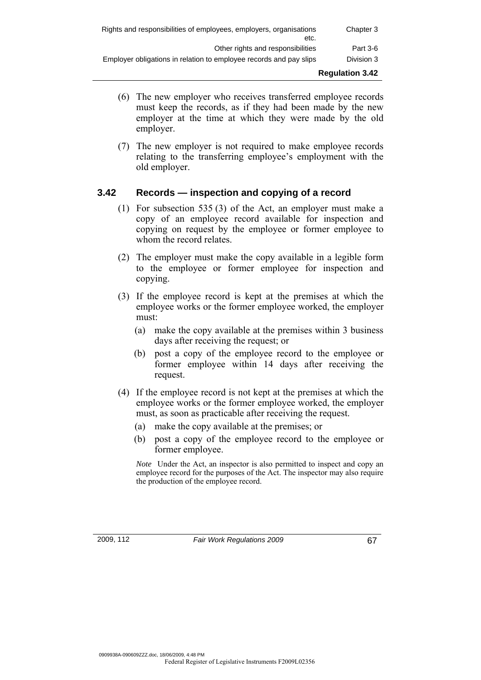| Rights and responsibilities of employees, employers, organisations<br>etc. | Chapter 3              |
|----------------------------------------------------------------------------|------------------------|
| Other rights and responsibilities                                          | Part 3-6               |
| Employer obligations in relation to employee records and pay slips         | Division 3             |
|                                                                            | <b>Regulation 3.42</b> |

- (6) The new employer who receives transferred employee records must keep the records, as if they had been made by the new employer at the time at which they were made by the old employer.
- (7) The new employer is not required to make employee records relating to the transferring employee's employment with the old employer.

# **3.42 Records — inspection and copying of a record**

- (1) For subsection 535 (3) of the Act, an employer must make a copy of an employee record available for inspection and copying on request by the employee or former employee to whom the record relates.
- (2) The employer must make the copy available in a legible form to the employee or former employee for inspection and copying.
- (3) If the employee record is kept at the premises at which the employee works or the former employee worked, the employer must:
	- (a) make the copy available at the premises within 3 business days after receiving the request; or
	- (b) post a copy of the employee record to the employee or former employee within 14 days after receiving the request.
- (4) If the employee record is not kept at the premises at which the employee works or the former employee worked, the employer must, as soon as practicable after receiving the request.
	- (a) make the copy available at the premises; or
	- (b) post a copy of the employee record to the employee or former employee.

*Note* Under the Act, an inspector is also permitted to inspect and copy an employee record for the purposes of the Act. The inspector may also require the production of the employee record.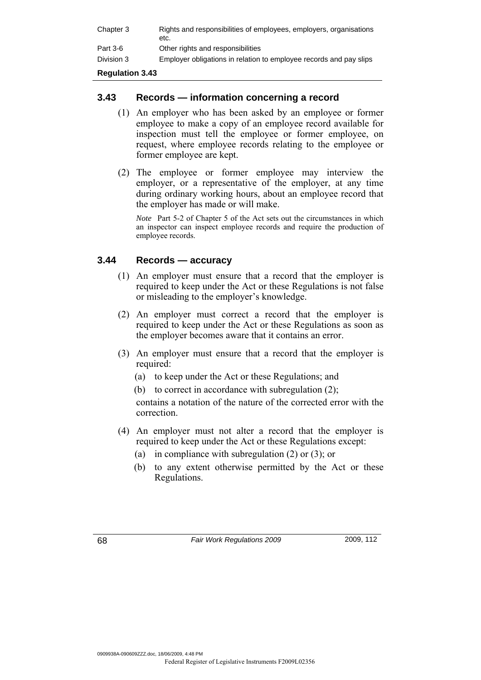| Chapter 3  | Rights and responsibilities of employees, employers, organisations<br>etc. |
|------------|----------------------------------------------------------------------------|
| Part 3-6   | Other rights and responsibilities                                          |
| Division 3 | Employer obligations in relation to employee records and pay slips         |
|            |                                                                            |

## **3.43 Records — information concerning a record**

- (1) An employer who has been asked by an employee or former employee to make a copy of an employee record available for inspection must tell the employee or former employee, on request, where employee records relating to the employee or former employee are kept.
- (2) The employee or former employee may interview the employer, or a representative of the employer, at any time during ordinary working hours, about an employee record that the employer has made or will make.

*Note* Part 5-2 of Chapter 5 of the Act sets out the circumstances in which an inspector can inspect employee records and require the production of employee records.

# **3.44 Records — accuracy**

- (1) An employer must ensure that a record that the employer is required to keep under the Act or these Regulations is not false or misleading to the employer's knowledge.
- (2) An employer must correct a record that the employer is required to keep under the Act or these Regulations as soon as the employer becomes aware that it contains an error.
- (3) An employer must ensure that a record that the employer is required:
	- (a) to keep under the Act or these Regulations; and
	- (b) to correct in accordance with subregulation (2);

contains a notation of the nature of the corrected error with the correction.

- (4) An employer must not alter a record that the employer is required to keep under the Act or these Regulations except:
	- (a) in compliance with subregulation (2) or (3); or
	- (b) to any extent otherwise permitted by the Act or these Regulations.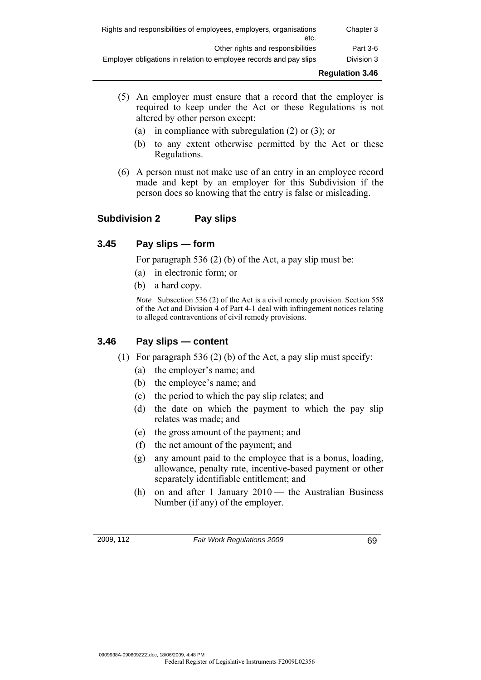| Rights and responsibilities of employees, employers, organisations<br>etc. | Chapter 3              |
|----------------------------------------------------------------------------|------------------------|
| Other rights and responsibilities                                          | Part 3-6               |
| Employer obligations in relation to employee records and pay slips         | Division 3             |
|                                                                            | <b>Regulation 3.46</b> |

- (5) An employer must ensure that a record that the employer is required to keep under the Act or these Regulations is not altered by other person except:
	- (a) in compliance with subregulation (2) or (3); or
	- (b) to any extent otherwise permitted by the Act or these Regulations.
- (6) A person must not make use of an entry in an employee record made and kept by an employer for this Subdivision if the person does so knowing that the entry is false or misleading.

# **Subdivision 2 Pay slips**

# **3.45 Pay slips — form**

For paragraph 536 (2) (b) of the Act, a pay slip must be:

- (a) in electronic form; or
- (b) a hard copy.

*Note* Subsection 536 (2) of the Act is a civil remedy provision. Section 558 of the Act and Division 4 of Part 4-1 deal with infringement notices relating to alleged contraventions of civil remedy provisions.

# **3.46 Pay slips — content**

- (1) For paragraph 536 (2) (b) of the Act, a pay slip must specify:
	- (a) the employer's name; and
	- (b) the employee's name; and
	- (c) the period to which the pay slip relates; and
	- (d) the date on which the payment to which the pay slip relates was made; and
	- (e) the gross amount of the payment; and
	- (f) the net amount of the payment; and
	- (g) any amount paid to the employee that is a bonus, loading, allowance, penalty rate, incentive-based payment or other separately identifiable entitlement; and
	- (h) on and after 1 January 2010 the Australian Business Number (if any) of the employer.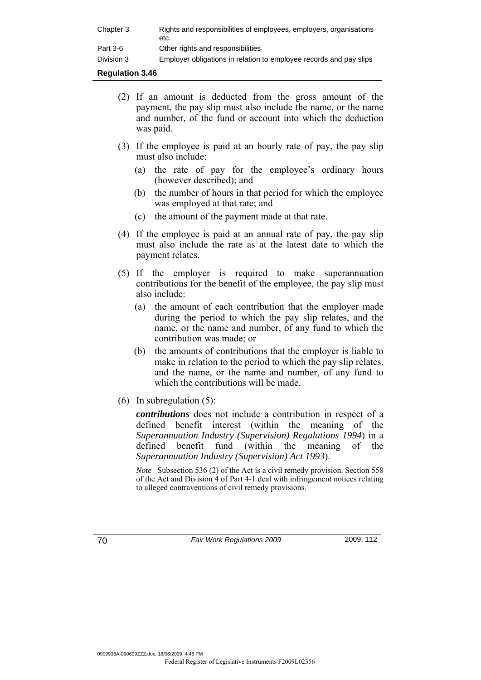| Chapter 3  | Rights and responsibilities of employees, employers, organisations<br>etc. |
|------------|----------------------------------------------------------------------------|
| Part 3-6   | Other rights and responsibilities                                          |
| Division 3 | Employer obligations in relation to employee records and pay slips         |

- (2) If an amount is deducted from the gross amount of the payment, the pay slip must also include the name, or the name and number, of the fund or account into which the deduction was paid.
- (3) If the employee is paid at an hourly rate of pay, the pay slip must also include:
	- (a) the rate of pay for the employee's ordinary hours (however described); and
	- (b) the number of hours in that period for which the employee was employed at that rate; and
	- (c) the amount of the payment made at that rate.
- (4) If the employee is paid at an annual rate of pay, the pay slip must also include the rate as at the latest date to which the payment relates.
- (5) If the employer is required to make superannuation contributions for the benefit of the employee, the pay slip must also include:
	- (a) the amount of each contribution that the employer made during the period to which the pay slip relates, and the name, or the name and number, of any fund to which the contribution was made; or
	- (b) the amounts of contributions that the employer is liable to make in relation to the period to which the pay slip relates, and the name, or the name and number, of any fund to which the contributions will be made.
- (6) In subregulation (5):

*contributions* does not include a contribution in respect of a defined benefit interest (within the meaning of the *Superannuation Industry (Supervision) Regulations 1994*) in a defined benefit fund (within the meaning of the *Superannuation Industry (Supervision) Act 1993*).

*Note* Subsection 536 (2) of the Act is a civil remedy provision. Section 558 of the Act and Division 4 of Part 4-1 deal with infringement notices relating to alleged contraventions of civil remedy provisions.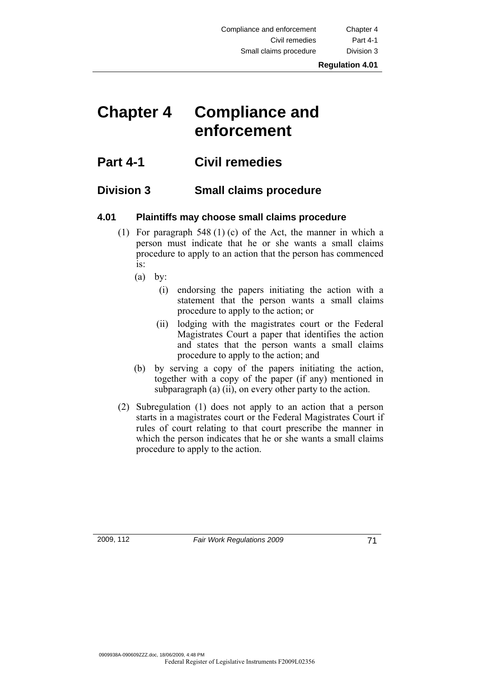Compliance and enforcement Chapter 4 Civil remedies Part 4-1 Small claims procedure Division 3

# **Chapter 4 Compliance and enforcement**

# **Part 4-1 Civil remedies**

# **Division 3 Small claims procedure**

# **4.01 Plaintiffs may choose small claims procedure**

- (1) For paragraph 548 (1) (c) of the Act, the manner in which a person must indicate that he or she wants a small claims procedure to apply to an action that the person has commenced is:
	- $(a)$  by:
		- (i) endorsing the papers initiating the action with a statement that the person wants a small claims procedure to apply to the action; or
		- (ii) lodging with the magistrates court or the Federal Magistrates Court a paper that identifies the action and states that the person wants a small claims procedure to apply to the action; and
	- (b) by serving a copy of the papers initiating the action, together with a copy of the paper (if any) mentioned in subparagraph (a) (ii), on every other party to the action.
- (2) Subregulation (1) does not apply to an action that a person starts in a magistrates court or the Federal Magistrates Court if rules of court relating to that court prescribe the manner in which the person indicates that he or she wants a small claims procedure to apply to the action.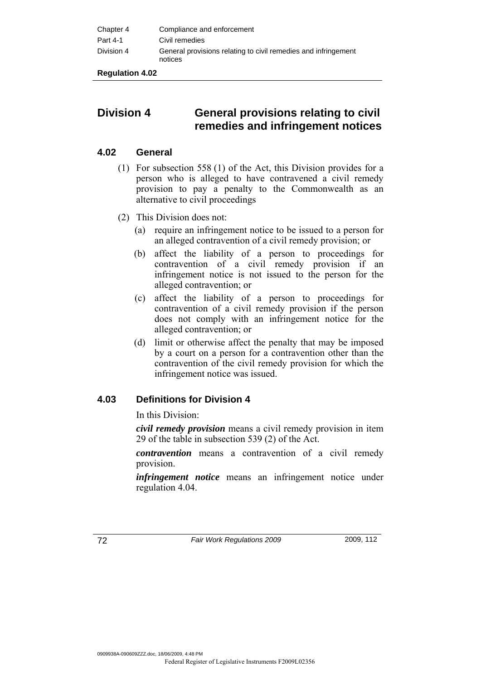| Chapter 4       | Compliance and enforcement                                                |
|-----------------|---------------------------------------------------------------------------|
| <b>Part 4-1</b> | Civil remedies                                                            |
| Division 4      | General provisions relating to civil remedies and infringement<br>notices |

# **Division 4 General provisions relating to civil remedies and infringement notices**

# **4.02 General**

- (1) For subsection 558 (1) of the Act, this Division provides for a person who is alleged to have contravened a civil remedy provision to pay a penalty to the Commonwealth as an alternative to civil proceedings
- (2) This Division does not:
	- (a) require an infringement notice to be issued to a person for an alleged contravention of a civil remedy provision; or
	- (b) affect the liability of a person to proceedings for contravention of a civil remedy provision if an infringement notice is not issued to the person for the alleged contravention; or
	- (c) affect the liability of a person to proceedings for contravention of a civil remedy provision if the person does not comply with an infringement notice for the alleged contravention; or
	- (d) limit or otherwise affect the penalty that may be imposed by a court on a person for a contravention other than the contravention of the civil remedy provision for which the infringement notice was issued.

# **4.03 Definitions for Division 4**

In this Division:

*civil remedy provision* means a civil remedy provision in item 29 of the table in subsection 539 (2) of the Act.

*contravention* means a contravention of a civil remedy provision.

*infringement notice* means an infringement notice under regulation 4.04.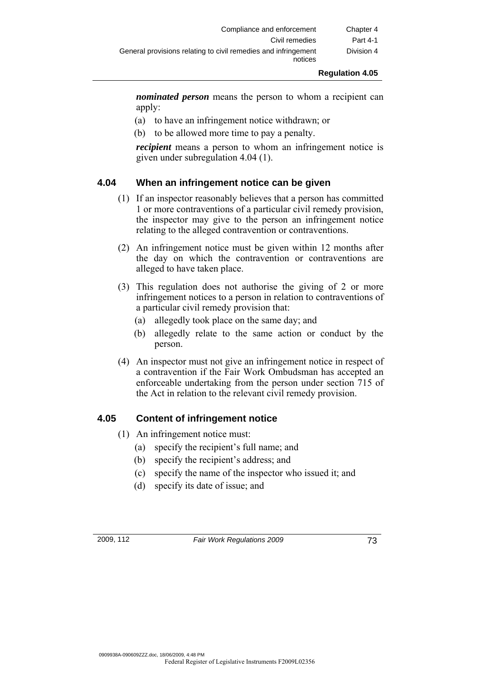*nominated person* means the person to whom a recipient can apply:

- (a) to have an infringement notice withdrawn; or
- (b) to be allowed more time to pay a penalty.

*recipient* means a person to whom an infringement notice is given under subregulation 4.04 (1).

### **4.04 When an infringement notice can be given**

- (1) If an inspector reasonably believes that a person has committed 1 or more contraventions of a particular civil remedy provision, the inspector may give to the person an infringement notice relating to the alleged contravention or contraventions.
- (2) An infringement notice must be given within 12 months after the day on which the contravention or contraventions are alleged to have taken place.
- (3) This regulation does not authorise the giving of 2 or more infringement notices to a person in relation to contraventions of a particular civil remedy provision that:
	- (a) allegedly took place on the same day; and
	- (b) allegedly relate to the same action or conduct by the person.
- (4) An inspector must not give an infringement notice in respect of a contravention if the Fair Work Ombudsman has accepted an enforceable undertaking from the person under section 715 of the Act in relation to the relevant civil remedy provision.

### **4.05 Content of infringement notice**

- (1) An infringement notice must:
	- (a) specify the recipient's full name; and
	- (b) specify the recipient's address; and
	- (c) specify the name of the inspector who issued it; and
	- (d) specify its date of issue; and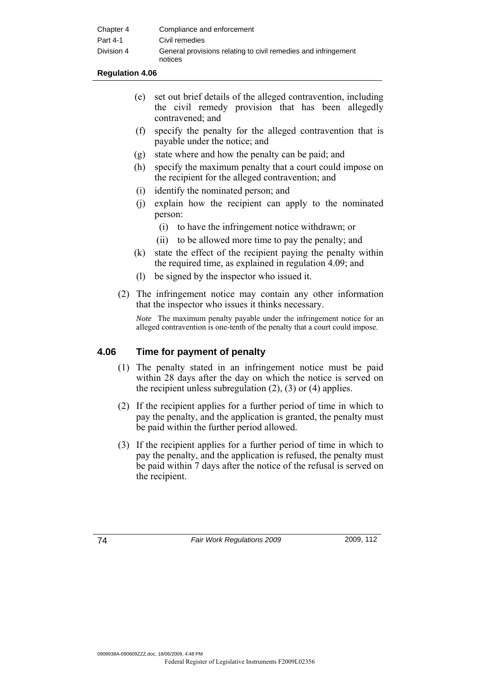| Chapter 4       | Compliance and enforcement                                                |
|-----------------|---------------------------------------------------------------------------|
| <b>Part 4-1</b> | Civil remedies                                                            |
| Division 4      | General provisions relating to civil remedies and infringement<br>notices |

|  |                  | (e) set out brief details of the alleged contravention, including |  |  |
|--|------------------|-------------------------------------------------------------------|--|--|
|  |                  | the civil remedy provision that has been allegedly                |  |  |
|  | contravened; and |                                                                   |  |  |

- (f) specify the penalty for the alleged contravention that is payable under the notice; and
- (g) state where and how the penalty can be paid; and
- (h) specify the maximum penalty that a court could impose on the recipient for the alleged contravention; and
- (i) identify the nominated person; and
- (j) explain how the recipient can apply to the nominated person:
	- (i) to have the infringement notice withdrawn; or
	- (ii) to be allowed more time to pay the penalty; and
- (k) state the effect of the recipient paying the penalty within the required time, as explained in regulation 4.09; and
- (l) be signed by the inspector who issued it.
- (2) The infringement notice may contain any other information that the inspector who issues it thinks necessary.

*Note* The maximum penalty payable under the infringement notice for an alleged contravention is one-tenth of the penalty that a court could impose.

### **4.06 Time for payment of penalty**

- (1) The penalty stated in an infringement notice must be paid within 28 days after the day on which the notice is served on the recipient unless subregulation  $(2)$ ,  $(3)$  or  $(4)$  applies.
- (2) If the recipient applies for a further period of time in which to pay the penalty, and the application is granted, the penalty must be paid within the further period allowed.
- (3) If the recipient applies for a further period of time in which to pay the penalty, and the application is refused, the penalty must be paid within 7 days after the notice of the refusal is served on the recipient.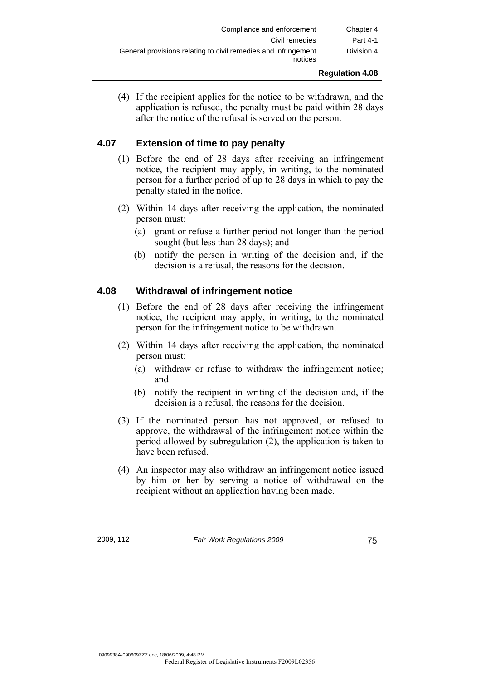(4) If the recipient applies for the notice to be withdrawn, and the application is refused, the penalty must be paid within 28 days after the notice of the refusal is served on the person.

### **4.07 Extension of time to pay penalty**

- (1) Before the end of 28 days after receiving an infringement notice, the recipient may apply, in writing, to the nominated person for a further period of up to 28 days in which to pay the penalty stated in the notice.
- (2) Within 14 days after receiving the application, the nominated person must:
	- (a) grant or refuse a further period not longer than the period sought (but less than 28 days); and
	- (b) notify the person in writing of the decision and, if the decision is a refusal, the reasons for the decision.

### **4.08 Withdrawal of infringement notice**

- (1) Before the end of 28 days after receiving the infringement notice, the recipient may apply, in writing, to the nominated person for the infringement notice to be withdrawn.
- (2) Within 14 days after receiving the application, the nominated person must:
	- (a) withdraw or refuse to withdraw the infringement notice; and
	- (b) notify the recipient in writing of the decision and, if the decision is a refusal, the reasons for the decision.
- (3) If the nominated person has not approved, or refused to approve, the withdrawal of the infringement notice within the period allowed by subregulation (2), the application is taken to have been refused.
- (4) An inspector may also withdraw an infringement notice issued by him or her by serving a notice of withdrawal on the recipient without an application having been made.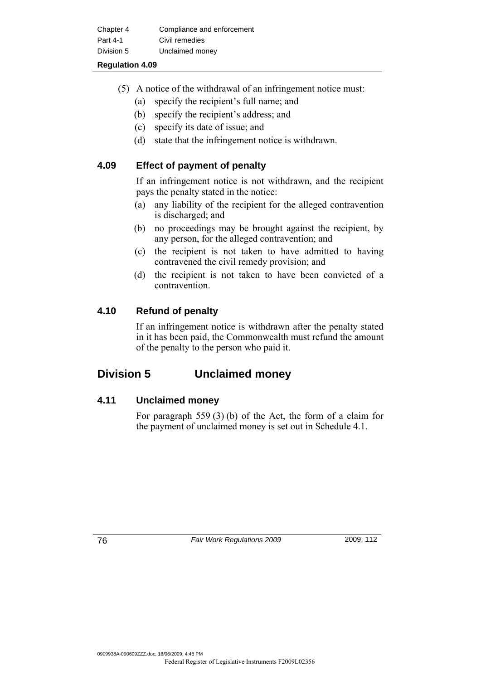| Chapter 4  | Compliance and enforcement |
|------------|----------------------------|
| Part 4-1   | Civil remedies             |
| Division 5 | Unclaimed money            |

- (5) A notice of the withdrawal of an infringement notice must:
	- (a) specify the recipient's full name; and
	- (b) specify the recipient's address; and
	- (c) specify its date of issue; and
	- (d) state that the infringement notice is withdrawn.

### **4.09 Effect of payment of penalty**

 If an infringement notice is not withdrawn, and the recipient pays the penalty stated in the notice:

- (a) any liability of the recipient for the alleged contravention is discharged; and
- (b) no proceedings may be brought against the recipient, by any person, for the alleged contravention; and
- (c) the recipient is not taken to have admitted to having contravened the civil remedy provision; and
- (d) the recipient is not taken to have been convicted of a contravention.

### **4.10 Refund of penalty**

If an infringement notice is withdrawn after the penalty stated in it has been paid, the Commonwealth must refund the amount of the penalty to the person who paid it.

### **Division 5 Unclaimed money**

### **4.11 Unclaimed money**

 For paragraph 559 (3) (b) of the Act, the form of a claim for the payment of unclaimed money is set out in Schedule 4.1.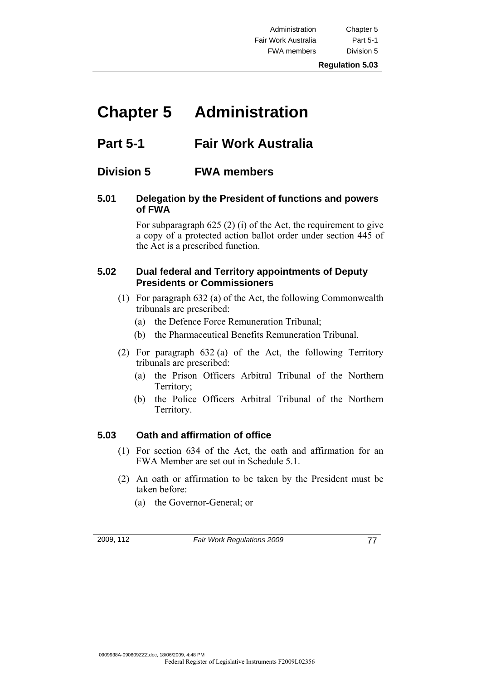Administration Chapter 5 Fair Work Australia Part 5-1 FWA members Division 5

# **Chapter 5 Administration**

### **Part 5-1 Fair Work Australia**

### **Division 5 FWA members**

### **5.01 Delegation by the President of functions and powers of FWA**

 For subparagraph 625 (2) (i) of the Act, the requirement to give a copy of a protected action ballot order under section 445 of the Act is a prescribed function.

### **5.02 Dual federal and Territory appointments of Deputy Presidents or Commissioners**

- (1) For paragraph 632 (a) of the Act, the following Commonwealth tribunals are prescribed:
	- (a) the Defence Force Remuneration Tribunal;
	- (b) the Pharmaceutical Benefits Remuneration Tribunal.
- (2) For paragraph 632 (a) of the Act, the following Territory tribunals are prescribed:
	- (a) the Prison Officers Arbitral Tribunal of the Northern Territory;
	- (b) the Police Officers Arbitral Tribunal of the Northern Territory.

### **5.03 Oath and affirmation of office**

- (1) For section 634 of the Act, the oath and affirmation for an FWA Member are set out in Schedule 5.1.
- (2) An oath or affirmation to be taken by the President must be taken before:
	- (a) the Governor-General; or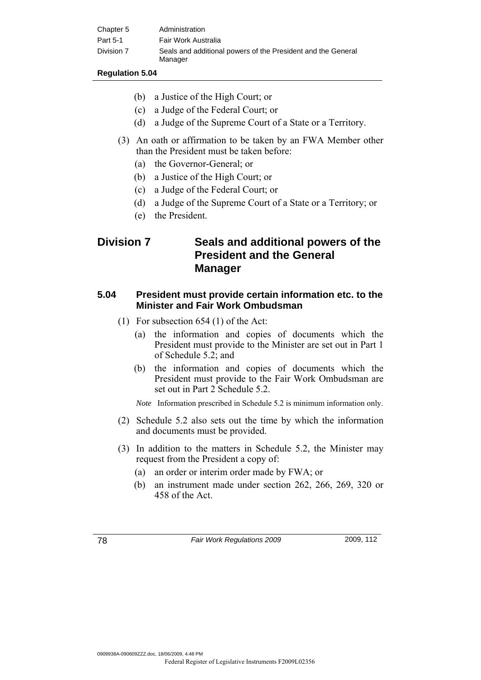| Chapter 5  | Administration                                                          |
|------------|-------------------------------------------------------------------------|
| Part 5-1   | Fair Work Australia                                                     |
| Division 7 | Seals and additional powers of the President and the General<br>Manager |

- (b) a Justice of the High Court; or
- (c) a Judge of the Federal Court; or
- (d) a Judge of the Supreme Court of a State or a Territory.
- (3) An oath or affirmation to be taken by an FWA Member other than the President must be taken before:
	- (a) the Governor-General; or
	- (b) a Justice of the High Court; or
	- (c) a Judge of the Federal Court; or
	- (d) a Judge of the Supreme Court of a State or a Territory; or
	- (e) the President.

### **Division 7 Seals and additional powers of the President and the General Manager**

### **5.04 President must provide certain information etc. to the Minister and Fair Work Ombudsman**

- (1) For subsection 654 (1) of the Act:
	- (a) the information and copies of documents which the President must provide to the Minister are set out in Part 1 of Schedule 5.2; and
	- (b) the information and copies of documents which the President must provide to the Fair Work Ombudsman are set out in Part 2 Schedule 5.2.

*Note* Information prescribed in Schedule 5.2 is minimum information only.

- (2) Schedule 5.2 also sets out the time by which the information and documents must be provided.
- (3) In addition to the matters in Schedule 5.2, the Minister may request from the President a copy of:
	- (a) an order or interim order made by FWA; or
	- (b) an instrument made under section 262, 266, 269, 320 or 458 of the Act.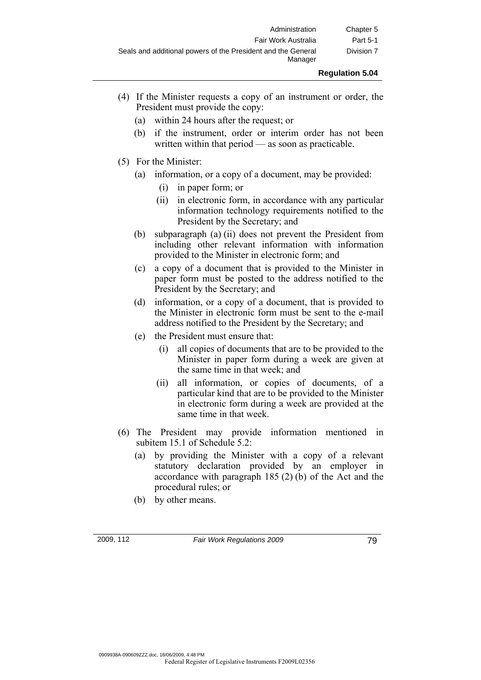| Administration                                               | Chapter 5  |
|--------------------------------------------------------------|------------|
| Fair Work Australia                                          | Part 5-1   |
| Seals and additional powers of the President and the General | Division 7 |
| Manager                                                      |            |

- (4) If the Minister requests a copy of an instrument or order, the President must provide the copy:
	- (a) within 24 hours after the request; or
	- (b) if the instrument, order or interim order has not been written within that period — as soon as practicable.
- (5) For the Minister:
	- (a) information, or a copy of a document, may be provided:
		- (i) in paper form; or
		- (ii) in electronic form, in accordance with any particular information technology requirements notified to the President by the Secretary; and
	- (b) subparagraph (a) (ii) does not prevent the President from including other relevant information with information provided to the Minister in electronic form; and
	- (c) a copy of a document that is provided to the Minister in paper form must be posted to the address notified to the President by the Secretary; and
	- (d) information, or a copy of a document, that is provided to the Minister in electronic form must be sent to the e-mail address notified to the President by the Secretary; and
	- (e) the President must ensure that:
		- (i) all copies of documents that are to be provided to the Minister in paper form during a week are given at the same time in that week; and
		- (ii) all information, or copies of documents, of a particular kind that are to be provided to the Minister in electronic form during a week are provided at the same time in that week.
- (6) The President may provide information mentioned in subitem 15.1 of Schedule 5.2:
	- (a) by providing the Minister with a copy of a relevant statutory declaration provided by an employer in accordance with paragraph 185 (2) (b) of the Act and the procedural rules; or
	- (b) by other means.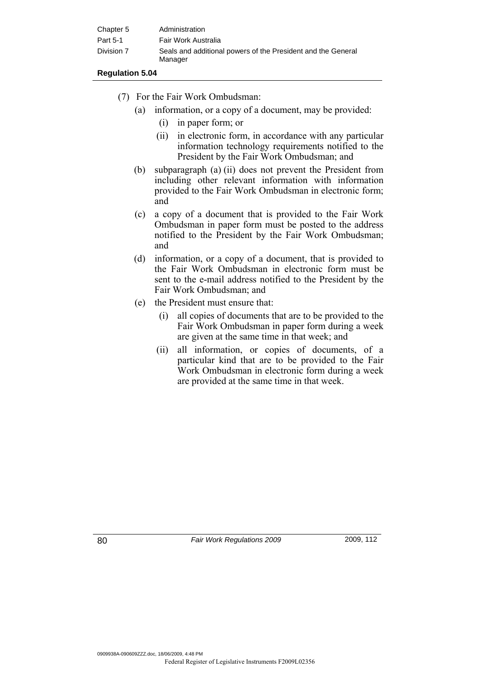| Chapter 5  | Administration                                                          |
|------------|-------------------------------------------------------------------------|
| Part 5-1   | Fair Work Australia                                                     |
| Division 7 | Seals and additional powers of the President and the General<br>Manager |

- (7) For the Fair Work Ombudsman:
	- (a) information, or a copy of a document, may be provided:
		- (i) in paper form; or
		- (ii) in electronic form, in accordance with any particular information technology requirements notified to the President by the Fair Work Ombudsman; and
	- (b) subparagraph (a) (ii) does not prevent the President from including other relevant information with information provided to the Fair Work Ombudsman in electronic form; and
	- (c) a copy of a document that is provided to the Fair Work Ombudsman in paper form must be posted to the address notified to the President by the Fair Work Ombudsman; and
	- (d) information, or a copy of a document, that is provided to the Fair Work Ombudsman in electronic form must be sent to the e-mail address notified to the President by the Fair Work Ombudsman; and
	- (e) the President must ensure that:
		- (i) all copies of documents that are to be provided to the Fair Work Ombudsman in paper form during a week are given at the same time in that week; and
		- (ii) all information, or copies of documents, of a particular kind that are to be provided to the Fair Work Ombudsman in electronic form during a week are provided at the same time in that week.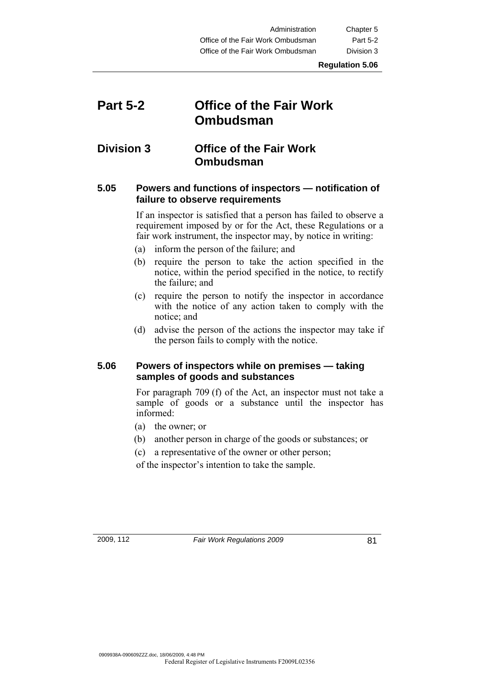Administration Chapter 5 Office of the Fair Work Ombudsman Part 5-2 Office of the Fair Work Ombudsman Division 3

### **Part 5-2 Office of the Fair Work Ombudsman**

### **Division 3 Office of the Fair Work Ombudsman**

#### **5.05 Powers and functions of inspectors — notification of failure to observe requirements**

 If an inspector is satisfied that a person has failed to observe a requirement imposed by or for the Act, these Regulations or a fair work instrument, the inspector may, by notice in writing:

- (a) inform the person of the failure; and
- (b) require the person to take the action specified in the notice, within the period specified in the notice, to rectify the failure; and
- (c) require the person to notify the inspector in accordance with the notice of any action taken to comply with the notice; and
- (d) advise the person of the actions the inspector may take if the person fails to comply with the notice.

### **5.06 Powers of inspectors while on premises — taking samples of goods and substances**

 For paragraph 709 (f) of the Act, an inspector must not take a sample of goods or a substance until the inspector has informed:

- (a) the owner; or
- (b) another person in charge of the goods or substances; or
- (c) a representative of the owner or other person;

of the inspector's intention to take the sample.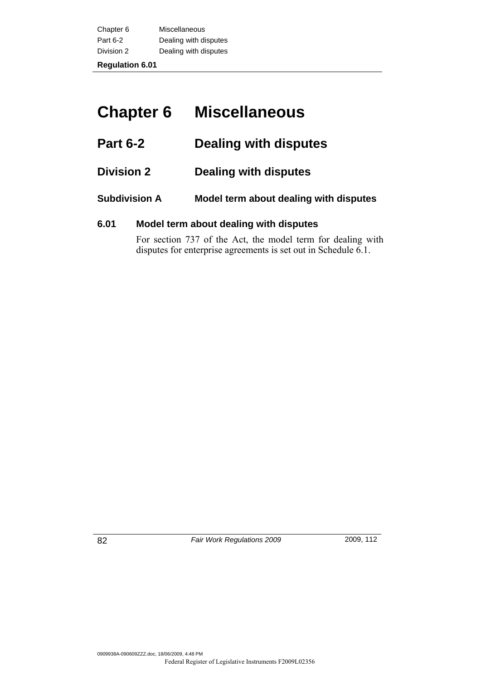| <b>Regulation 6.01</b> |                       |
|------------------------|-----------------------|
| Division 2             | Dealing with disputes |
| Part 6-2               | Dealing with disputes |
| Chapter 6              | Miscellaneous         |

# **Chapter 6 Miscellaneous**

## **Part 6-2 Dealing with disputes**

### **Division 2 Dealing with disputes**

### **Subdivision A Model term about dealing with disputes**

### **6.01 Model term about dealing with disputes**

 For section 737 of the Act, the model term for dealing with disputes for enterprise agreements is set out in Schedule 6.1.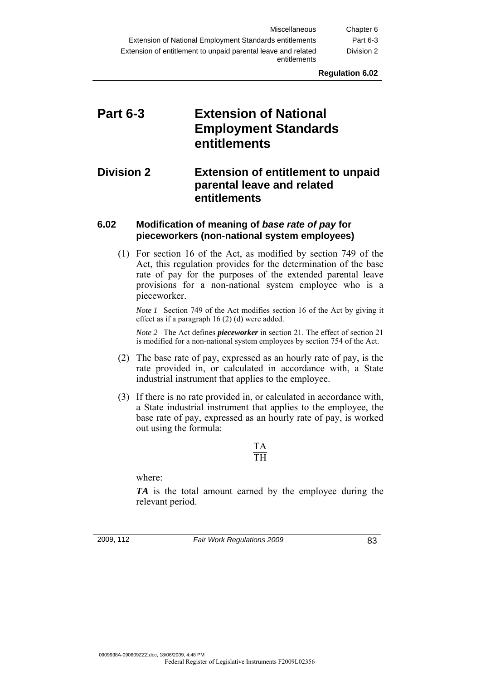## **Part 6-3 Extension of National Employment Standards entitlements**

### **Division 2 Extension of entitlement to unpaid parental leave and related entitlements**

### **6.02 Modification of meaning of** *base rate of pay* **for pieceworkers (non-national system employees)**

 (1) For section 16 of the Act, as modified by section 749 of the Act, this regulation provides for the determination of the base rate of pay for the purposes of the extended parental leave provisions for a non-national system employee who is a pieceworker.

*Note 1* Section 749 of the Act modifies section 16 of the Act by giving it effect as if a paragraph 16 (2) (d) were added.

*Note 2* The Act defines *pieceworker* in section 21. The effect of section 21 is modified for a non-national system employees by section 754 of the Act.

- (2) The base rate of pay, expressed as an hourly rate of pay, is the rate provided in, or calculated in accordance with, a State industrial instrument that applies to the employee.
- (3) If there is no rate provided in, or calculated in accordance with, a State industrial instrument that applies to the employee, the base rate of pay, expressed as an hourly rate of pay, is worked out using the formula:

#### TA TH

where:

*TA* is the total amount earned by the employee during the relevant period.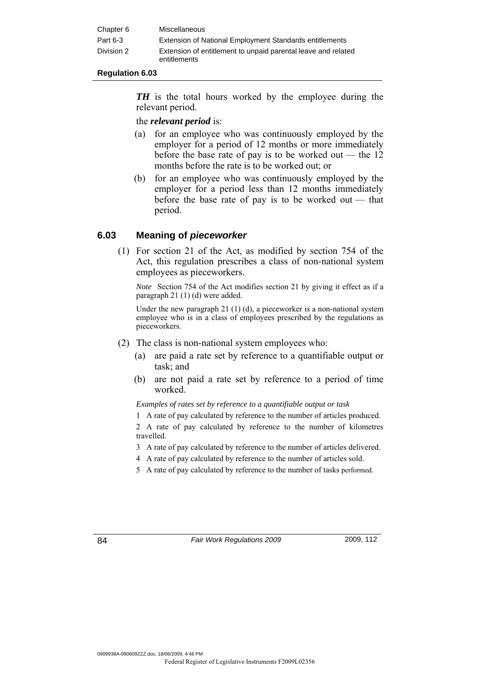| Chapter 6  | <b>Miscellaneous</b>                                                          |
|------------|-------------------------------------------------------------------------------|
| Part 6-3   | Extension of National Employment Standards entitlements                       |
| Division 2 | Extension of entitlement to unpaid parental leave and related<br>entitlements |

*TH* is the total hours worked by the employee during the relevant period.

the *relevant period* is:

- (a) for an employee who was continuously employed by the employer for a period of 12 months or more immediately before the base rate of pay is to be worked out — the  $12$ months before the rate is to be worked out; or
- (b) for an employee who was continuously employed by the employer for a period less than 12 months immediately before the base rate of pay is to be worked out — that period.

### **6.03 Meaning of** *pieceworker*

 (1) For section 21 of the Act, as modified by section 754 of the Act, this regulation prescribes a class of non-national system employees as pieceworkers.

*Note* Section 754 of the Act modifies section 21 by giving it effect as if a paragraph 21 (1) (d) were added.

Under the new paragraph 21 (1) (d), a pieceworker is a non-national system employee who is in a class of employees prescribed by the regulations as pieceworkers.

- (2) The class is non-national system employees who:
	- (a) are paid a rate set by reference to a quantifiable output or task; and
	- (b) are not paid a rate set by reference to a period of time worked.

*Examples of rates set by reference to a quantifiable output or task* 

1 A rate of pay calculated by reference to the number of articles produced.

2 A rate of pay calculated by reference to the number of kilometres travelled.

- 3 A rate of pay calculated by reference to the number of articles delivered.
- 4 A rate of pay calculated by reference to the number of articles sold.
- 5 A rate of pay calculated by reference to the number of tasks performed.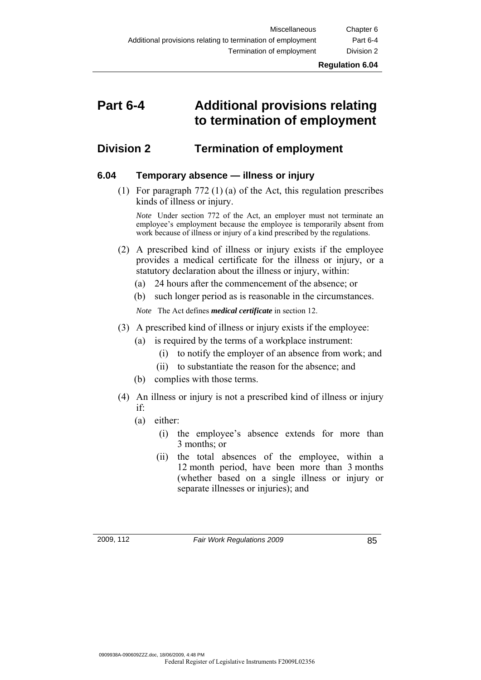### **Part 6-4 Additional provisions relating to termination of employment**

### **Division 2 Termination of employment**

### **6.04 Temporary absence — illness or injury**

 (1) For paragraph 772 (1) (a) of the Act, this regulation prescribes kinds of illness or injury.

*Note* Under section 772 of the Act, an employer must not terminate an employee's employment because the employee is temporarily absent from work because of illness or injury of a kind prescribed by the regulations.

- (2) A prescribed kind of illness or injury exists if the employee provides a medical certificate for the illness or injury, or a statutory declaration about the illness or injury, within:
	- (a) 24 hours after the commencement of the absence; or
	- (b) such longer period as is reasonable in the circumstances.

*Note* The Act defines *medical certificate* in section 12.

- (3) A prescribed kind of illness or injury exists if the employee:
	- (a) is required by the terms of a workplace instrument:
		- (i) to notify the employer of an absence from work; and
		- (ii) to substantiate the reason for the absence; and
	- (b) complies with those terms.
- (4) An illness or injury is not a prescribed kind of illness or injury if:
	- (a) either:
		- (i) the employee's absence extends for more than 3 months; or
		- (ii) the total absences of the employee, within a 12 month period, have been more than 3 months (whether based on a single illness or injury or separate illnesses or injuries); and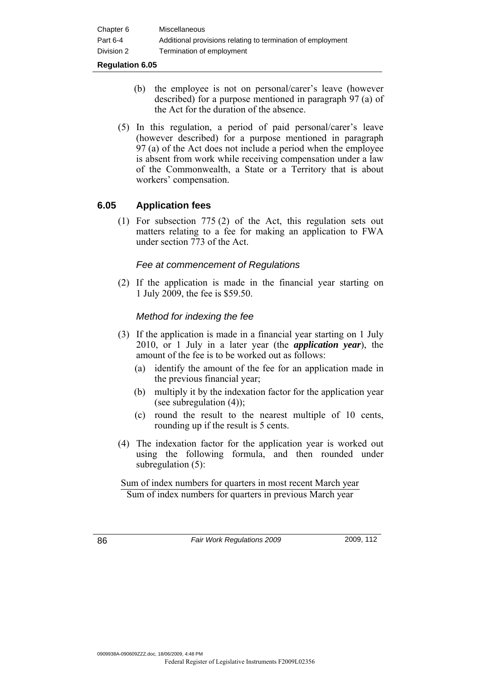| Chapter 6  | <b>Miscellaneous</b>                                        |
|------------|-------------------------------------------------------------|
| Part 6-4   | Additional provisions relating to termination of employment |
| Division 2 | Termination of employment                                   |

- (b) the employee is not on personal/carer's leave (however described) for a purpose mentioned in paragraph 97 (a) of the Act for the duration of the absence.
- (5) In this regulation, a period of paid personal/carer's leave (however described) for a purpose mentioned in paragraph 97 (a) of the Act does not include a period when the employee is absent from work while receiving compensation under a law of the Commonwealth, a State or a Territory that is about workers' compensation.

### **6.05 Application fees**

 (1) For subsection 775 (2) of the Act, this regulation sets out matters relating to a fee for making an application to FWA under section 773 of the Act.

### *Fee at commencement of Regulations*

 (2) If the application is made in the financial year starting on 1 July 2009, the fee is \$59.50.

### *Method for indexing the fee*

- (3) If the application is made in a financial year starting on 1 July 2010, or 1 July in a later year (the *application year*), the amount of the fee is to be worked out as follows:
	- (a) identify the amount of the fee for an application made in the previous financial year;
	- (b) multiply it by the indexation factor for the application year (see subregulation  $(4)$ );
	- (c) round the result to the nearest multiple of 10 cents, rounding up if the result is 5 cents.
- (4) The indexation factor for the application year is worked out using the following formula, and then rounded under subregulation (5):

Sum of index numbers for quarters in most recent March year Sum of index numbers for quarters in previous March year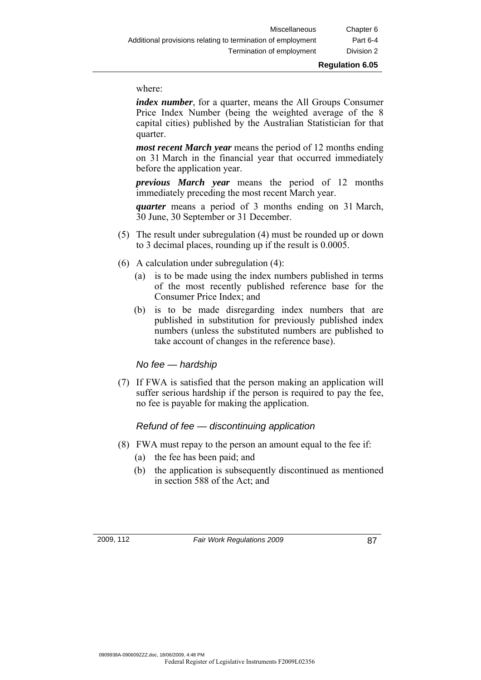where:

*index number*, for a quarter, means the All Groups Consumer Price Index Number (being the weighted average of the 8 capital cities) published by the Australian Statistician for that quarter.

*most recent March year* means the period of 12 months ending on 31 March in the financial year that occurred immediately before the application year.

*previous March year* means the period of 12 months immediately preceding the most recent March year.

*quarter* means a period of 3 months ending on 31 March, 30 June, 30 September or 31 December.

- (5) The result under subregulation (4) must be rounded up or down to 3 decimal places, rounding up if the result is 0.0005.
- (6) A calculation under subregulation (4):
	- (a) is to be made using the index numbers published in terms of the most recently published reference base for the Consumer Price Index; and
	- (b) is to be made disregarding index numbers that are published in substitution for previously published index numbers (unless the substituted numbers are published to take account of changes in the reference base).

#### *No fee — hardship*

 (7) If FWA is satisfied that the person making an application will suffer serious hardship if the person is required to pay the fee, no fee is payable for making the application.

#### *Refund of fee — discontinuing application*

- (8) FWA must repay to the person an amount equal to the fee if:
	- (a) the fee has been paid; and
	- (b) the application is subsequently discontinued as mentioned in section 588 of the Act; and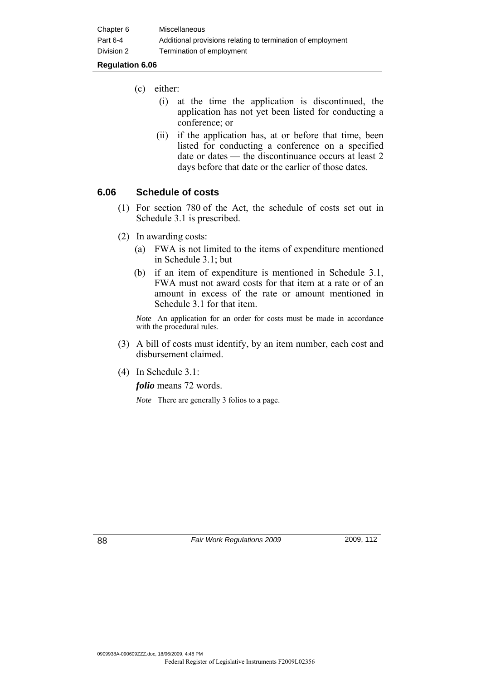| Chapter 6  | <b>Miscellaneous</b>                                        |
|------------|-------------------------------------------------------------|
| Part 6-4   | Additional provisions relating to termination of employment |
| Division 2 | Termination of employment                                   |

- (c) either:
	- (i) at the time the application is discontinued, the application has not yet been listed for conducting a conference; or
	- (ii) if the application has, at or before that time, been listed for conducting a conference on a specified date or dates — the discontinuance occurs at least 2 days before that date or the earlier of those dates.

### **6.06 Schedule of costs**

- (1) For section 780 of the Act, the schedule of costs set out in Schedule 3.1 is prescribed.
- (2) In awarding costs:
	- (a) FWA is not limited to the items of expenditure mentioned in Schedule 3.1; but
	- (b) if an item of expenditure is mentioned in Schedule 3.1, FWA must not award costs for that item at a rate or of an amount in excess of the rate or amount mentioned in Schedule 3.1 for that item.

*Note* An application for an order for costs must be made in accordance with the procedural rules.

- (3) A bill of costs must identify, by an item number, each cost and disbursement claimed.
- (4) In Schedule 3.1:

*folio* means 72 words.

*Note* There are generally 3 folios to a page.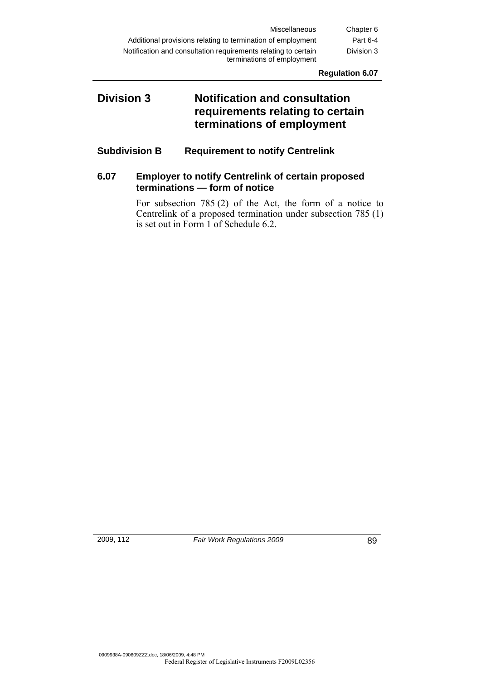### **Division 3 Notification and consultation requirements relating to certain terminations of employment**

### **Subdivision B Requirement to notify Centrelink**

### **6.07 Employer to notify Centrelink of certain proposed terminations — form of notice**

 For subsection 785 (2) of the Act, the form of a notice to Centrelink of a proposed termination under subsection 785 (1) is set out in Form 1 of Schedule 6.2.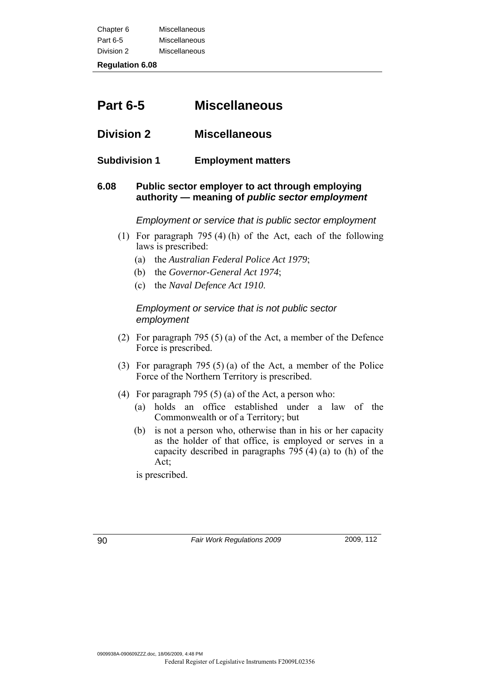| Chapter 6  | Miscellaneous |
|------------|---------------|
| Part 6-5   | Miscellaneous |
| Division 2 | Miscellaneous |

### **Part 6-5 Miscellaneous**

- **Division 2 Miscellaneous**
- **Subdivision 1 Employment matters**

### **6.08 Public sector employer to act through employing authority — meaning of** *public sector employment*

*Employment or service that is public sector employment* 

- (1) For paragraph 795 (4) (h) of the Act, each of the following laws is prescribed:
	- (a) the *Australian Federal Police Act 1979*;
	- (b) the *Governor-General Act 1974*;
	- (c) the *Naval Defence Act 1910*.

*Employment or service that is not public sector employment* 

- (2) For paragraph 795 (5) (a) of the Act, a member of the Defence Force is prescribed.
- (3) For paragraph 795 (5) (a) of the Act, a member of the Police Force of the Northern Territory is prescribed.
- (4) For paragraph 795 (5) (a) of the Act, a person who:
	- (a) holds an office established under a law of the Commonwealth or of a Territory; but
	- (b) is not a person who, otherwise than in his or her capacity as the holder of that office, is employed or serves in a capacity described in paragraphs 795 (4) (a) to (h) of the Act;

is prescribed.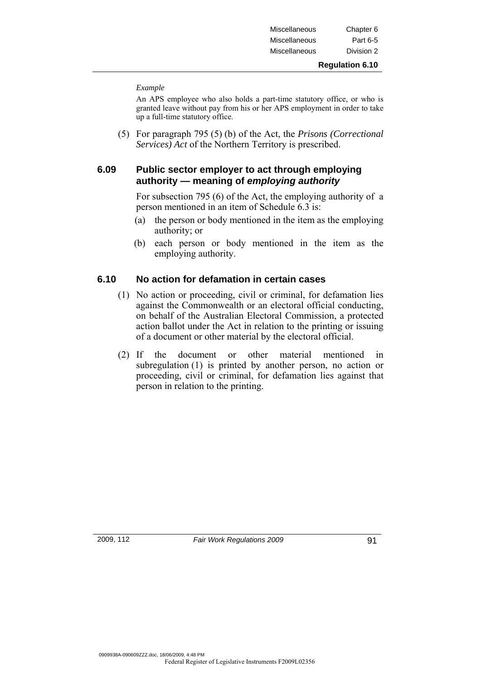| Miscellaneous | Chapter 6  |
|---------------|------------|
| Miscellaneous | Part 6-5   |
| Miscellaneous | Division 2 |
|               |            |

#### *Example*

An APS employee who also holds a part-time statutory office, or who is granted leave without pay from his or her APS employment in order to take up a full-time statutory office.

 (5) For paragraph 795 (5) (b) of the Act, the *Prisons (Correctional Services) Act* of the Northern Territory is prescribed.

### **6.09 Public sector employer to act through employing authority — meaning of** *employing authority*

 For subsection 795 (6) of the Act, the employing authority of a person mentioned in an item of Schedule 6.3 is:

- (a) the person or body mentioned in the item as the employing authority; or
- (b) each person or body mentioned in the item as the employing authority.

### **6.10 No action for defamation in certain cases**

- (1) No action or proceeding, civil or criminal, for defamation lies against the Commonwealth or an electoral official conducting, on behalf of the Australian Electoral Commission, a protected action ballot under the Act in relation to the printing or issuing of a document or other material by the electoral official.
- (2) If the document or other material mentioned in subregulation (1) is printed by another person, no action or proceeding, civil or criminal, for defamation lies against that person in relation to the printing.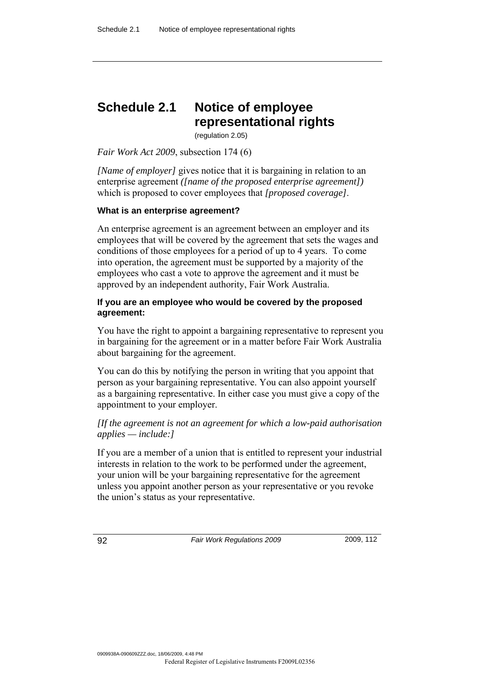## **Schedule 2.1 Notice of employee representational rights**

(regulation 2.05)

#### *Fair Work Act 2009*, subsection 174 (6)

*[Name of employer]* gives notice that it is bargaining in relation to an enterprise agreement *([name of the proposed enterprise agreement])*  which is proposed to cover employees that *[proposed coverage]*.

#### **What is an enterprise agreement?**

An enterprise agreement is an agreement between an employer and its employees that will be covered by the agreement that sets the wages and conditions of those employees for a period of up to 4 years. To come into operation, the agreement must be supported by a majority of the employees who cast a vote to approve the agreement and it must be approved by an independent authority, Fair Work Australia.

#### **If you are an employee who would be covered by the proposed agreement:**

You have the right to appoint a bargaining representative to represent you in bargaining for the agreement or in a matter before Fair Work Australia about bargaining for the agreement.

You can do this by notifying the person in writing that you appoint that person as your bargaining representative. You can also appoint yourself as a bargaining representative. In either case you must give a copy of the appointment to your employer.

### *[If the agreement is not an agreement for which a low-paid authorisation applies — include:]*

If you are a member of a union that is entitled to represent your industrial interests in relation to the work to be performed under the agreement, your union will be your bargaining representative for the agreement unless you appoint another person as your representative or you revoke the union's status as your representative.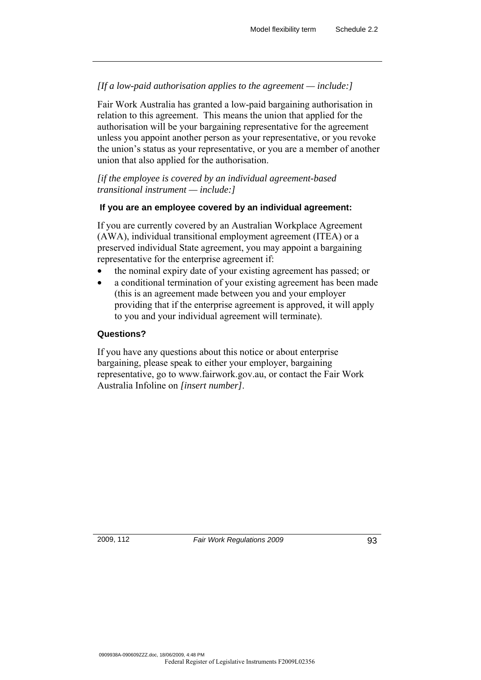### *[If a low-paid authorisation applies to the agreement — include:]*

Fair Work Australia has granted a low-paid bargaining authorisation in relation to this agreement. This means the union that applied for the authorisation will be your bargaining representative for the agreement unless you appoint another person as your representative, or you revoke the union's status as your representative, or you are a member of another union that also applied for the authorisation.

*[if the employee is covered by an individual agreement-based transitional instrument — include:]* 

### **If you are an employee covered by an individual agreement:**

If you are currently covered by an Australian Workplace Agreement (AWA), individual transitional employment agreement (ITEA) or a preserved individual State agreement, you may appoint a bargaining representative for the enterprise agreement if:

- the nominal expiry date of your existing agreement has passed; or
- a conditional termination of your existing agreement has been made (this is an agreement made between you and your employer providing that if the enterprise agreement is approved, it will apply to you and your individual agreement will terminate).

### **Questions?**

If you have any questions about this notice or about enterprise bargaining, please speak to either your employer, bargaining representative, go to www.fairwork.gov.au, or contact the Fair Work Australia Infoline on *[insert number]*.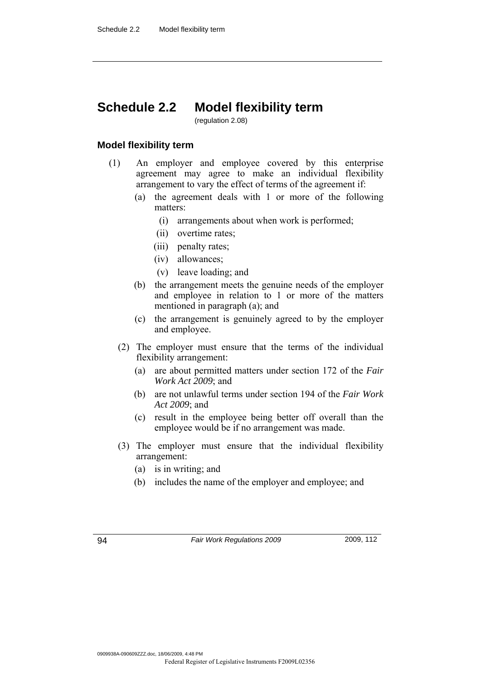### **Schedule 2.2 Model flexibility term**

(regulation 2.08)

#### **Model flexibility term**

- (1) An employer and employee covered by this enterprise agreement may agree to make an individual flexibility arrangement to vary the effect of terms of the agreement if:
	- (a) the agreement deals with 1 or more of the following matters:
		- (i) arrangements about when work is performed;
		- (ii) overtime rates;
		- (iii) penalty rates;
		- (iv) allowances;
		- (v) leave loading; and
	- (b) the arrangement meets the genuine needs of the employer and employee in relation to 1 or more of the matters mentioned in paragraph (a); and
	- (c) the arrangement is genuinely agreed to by the employer and employee.
	- (2) The employer must ensure that the terms of the individual flexibility arrangement:
		- (a) are about permitted matters under section 172 of the *Fair Work Act 2009*; and
		- (b) are not unlawful terms under section 194 of the *Fair Work Act 2009*; and
		- (c) result in the employee being better off overall than the employee would be if no arrangement was made.
	- (3) The employer must ensure that the individual flexibility arrangement:
		- (a) is in writing; and
		- (b) includes the name of the employer and employee; and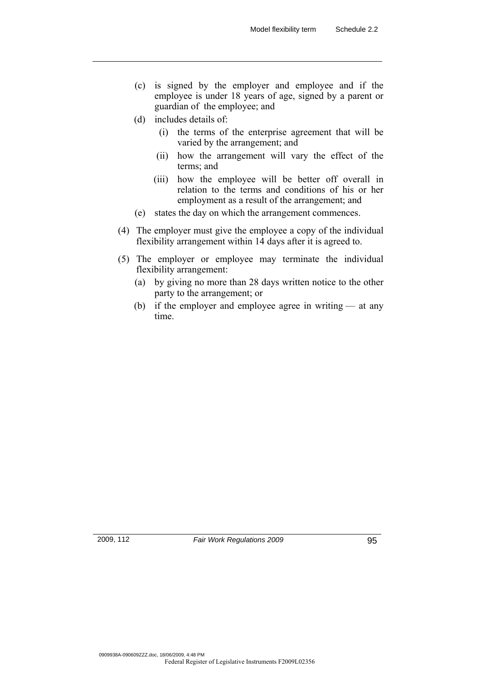- (c) is signed by the employer and employee and if the employee is under 18 years of age, signed by a parent or guardian of the employee; and
- (d) includes details of:
	- (i) the terms of the enterprise agreement that will be varied by the arrangement; and
	- (ii) how the arrangement will vary the effect of the terms; and
	- (iii) how the employee will be better off overall in relation to the terms and conditions of his or her employment as a result of the arrangement; and
- (e) states the day on which the arrangement commences.
- (4) The employer must give the employee a copy of the individual flexibility arrangement within 14 days after it is agreed to.
- (5) The employer or employee may terminate the individual flexibility arrangement:
	- (a) by giving no more than 28 days written notice to the other party to the arrangement; or
	- (b) if the employer and employee agree in writing at any time.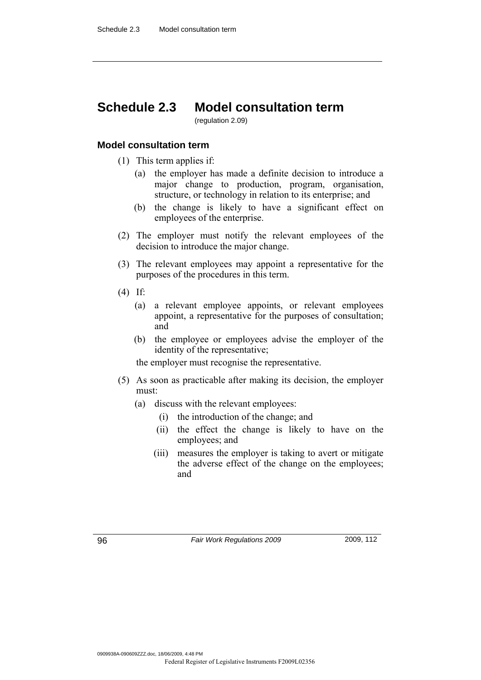## **Schedule 2.3 Model consultation term**

(regulation 2.09)

#### **Model consultation term**

- (1) This term applies if:
	- (a) the employer has made a definite decision to introduce a major change to production, program, organisation, structure, or technology in relation to its enterprise; and
	- (b) the change is likely to have a significant effect on employees of the enterprise.
- (2) The employer must notify the relevant employees of the decision to introduce the major change.
- (3) The relevant employees may appoint a representative for the purposes of the procedures in this term.
- (4) If:
	- (a) a relevant employee appoints, or relevant employees appoint, a representative for the purposes of consultation; and
	- (b) the employee or employees advise the employer of the identity of the representative;

the employer must recognise the representative.

- (5) As soon as practicable after making its decision, the employer must:
	- (a) discuss with the relevant employees:
		- (i) the introduction of the change; and
		- (ii) the effect the change is likely to have on the employees; and
		- (iii) measures the employer is taking to avert or mitigate the adverse effect of the change on the employees; and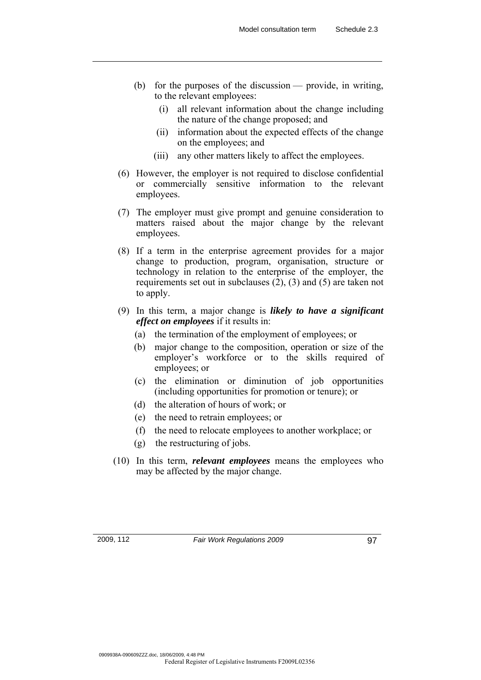- (b) for the purposes of the discussion provide, in writing, to the relevant employees:
	- (i) all relevant information about the change including the nature of the change proposed; and
	- (ii) information about the expected effects of the change on the employees; and
	- (iii) any other matters likely to affect the employees.
- (6) However, the employer is not required to disclose confidential or commercially sensitive information to the relevant employees.
- (7) The employer must give prompt and genuine consideration to matters raised about the major change by the relevant employees.
- (8) If a term in the enterprise agreement provides for a major change to production, program, organisation, structure or technology in relation to the enterprise of the employer, the requirements set out in subclauses  $(2)$ ,  $(3)$  and  $(5)$  are taken not to apply.
- (9) In this term, a major change is *likely to have a significant effect on employees* if it results in:
	- (a) the termination of the employment of employees; or
	- (b) major change to the composition, operation or size of the employer's workforce or to the skills required of employees; or
	- (c) the elimination or diminution of job opportunities (including opportunities for promotion or tenure); or
	- (d) the alteration of hours of work; or
	- (e) the need to retrain employees; or
	- (f) the need to relocate employees to another workplace; or
	- (g) the restructuring of jobs.
- (10) In this term, *relevant employees* means the employees who may be affected by the major change.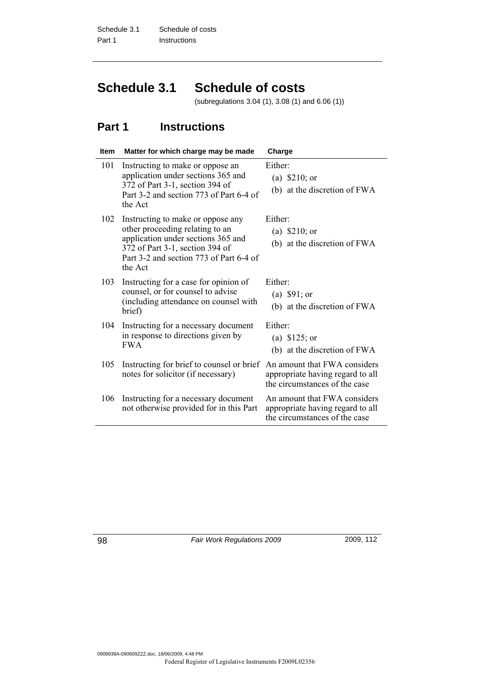# **Schedule 3.1 Schedule of costs**

(subregulations 3.04 (1), 3.08 (1) and 6.06 (1))

### **Part 1 Instructions**

| <b>Item</b> | Matter for which charge may be made                                                                                                                                                                 | Charge                                                                                            |
|-------------|-----------------------------------------------------------------------------------------------------------------------------------------------------------------------------------------------------|---------------------------------------------------------------------------------------------------|
| 101         | Instructing to make or oppose an<br>application under sections 365 and<br>372 of Part 3-1, section 394 of<br>Part 3-2 and section 773 of Part 6-4 of<br>the Act                                     | Either <sup>-</sup><br>(a) $$210; or$<br>(b) at the discretion of FWA                             |
| 102         | Instructing to make or oppose any<br>other proceeding relating to an<br>application under sections 365 and<br>372 of Part 3-1, section 394 of<br>Part 3-2 and section 773 of Part 6-4 of<br>the Act | Either:<br>(a) $$210; or$<br>(b) at the discretion of FWA                                         |
| 103         | Instructing for a case for opinion of<br>counsel, or for counsel to advise<br>(including attendance on counsel with<br>brief)                                                                       | Either <sup>-</sup><br>(a) $$91; or$<br>(b) at the discretion of FWA                              |
| 104         | Instructing for a necessary document<br>in response to directions given by<br><b>FWA</b>                                                                                                            | Either:<br>(a) $$125$ ; or<br>(b) at the discretion of FWA                                        |
| 105         | Instructing for brief to counsel or brief<br>notes for solicitor (if necessary)                                                                                                                     | An amount that FWA considers<br>appropriate having regard to all<br>the circumstances of the case |
| 106         | Instructing for a necessary document<br>not otherwise provided for in this Part                                                                                                                     | An amount that FWA considers<br>appropriate having regard to all<br>the circumstances of the case |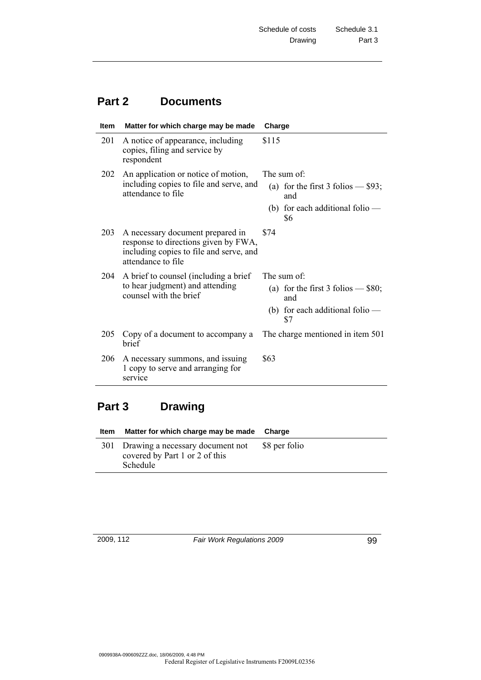### **Part 2 Documents**

| <b>Item</b> | Matter for which charge may be made                                                                                                       | Charge                                                                                                 |
|-------------|-------------------------------------------------------------------------------------------------------------------------------------------|--------------------------------------------------------------------------------------------------------|
| 201         | A notice of appearance, including<br>copies, filing and service by<br>respondent                                                          | \$115                                                                                                  |
| <b>202</b>  | An application or notice of motion,<br>including copies to file and serve, and<br>attendance to file                                      | The sum of<br>(a) for the first 3 folios $-$ \$93;<br>and<br>(b) for each additional folio $-$<br>\$6  |
| 203         | A necessary document prepared in<br>response to directions given by FWA,<br>including copies to file and serve, and<br>attendance to file | \$74                                                                                                   |
| 204         | A brief to counsel (including a brief<br>to hear judgment) and attending<br>counsel with the brief                                        | The sum of:<br>(a) for the first 3 folios $-$ \$80;<br>and<br>(b) for each additional folio $-$<br>\$7 |
| 205         | Copy of a document to accompany a<br>brief                                                                                                | The charge mentioned in item 501                                                                       |
| 206         | A necessary summons, and issuing<br>1 copy to serve and arranging for<br>service                                                          | \$63                                                                                                   |

## **Part 3 Drawing**

| Item | Matter for which charge may be made                                                | Charge        |
|------|------------------------------------------------------------------------------------|---------------|
|      | 301 Drawing a necessary document not<br>covered by Part 1 or 2 of this<br>Schedule | \$8 per folio |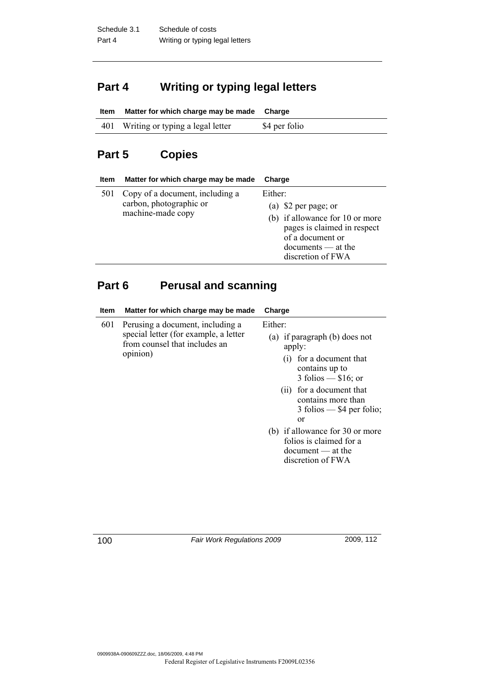## **Part 4 Writing or typing legal letters**

| Item | Matter for which charge may be made Charge |               |
|------|--------------------------------------------|---------------|
| 401  | Writing or typing a legal letter           | \$4 per folio |

## **Part 5 Copies**

| <b>Item</b> | Matter for which charge may be made                                             | Charge                                                                                                                                                              |
|-------------|---------------------------------------------------------------------------------|---------------------------------------------------------------------------------------------------------------------------------------------------------------------|
| 501         | Copy of a document, including a<br>carbon, photographic or<br>machine-made copy | Either:<br>(a) $$2$ per page; or<br>(b) if allowance for 10 or more<br>pages is claimed in respect<br>of a document or<br>$documents - at the$<br>discretion of FWA |

### **Part 6** Perusal and scanning

| <b>Item</b> | Matter for which charge may be made                                                                                    | Charge                                                                                                                                                                                                                                                                                                                                   |
|-------------|------------------------------------------------------------------------------------------------------------------------|------------------------------------------------------------------------------------------------------------------------------------------------------------------------------------------------------------------------------------------------------------------------------------------------------------------------------------------|
| 601         | Perusing a document, including a<br>special letter (for example, a letter<br>from counsel that includes an<br>opinion) | Either:<br>(a) if paragraph $(b)$ does not<br>apply:<br>(i) for a document that<br>contains up to<br>$3$ folios $-$ \$16; or<br>(ii) for a document that<br>contains more than<br>$3$ folios — \$4 per folio;<br><sub>or</sub><br>(b) if allowance for 30 or more<br>folios is claimed for a<br>$document - at the$<br>discretion of FWA |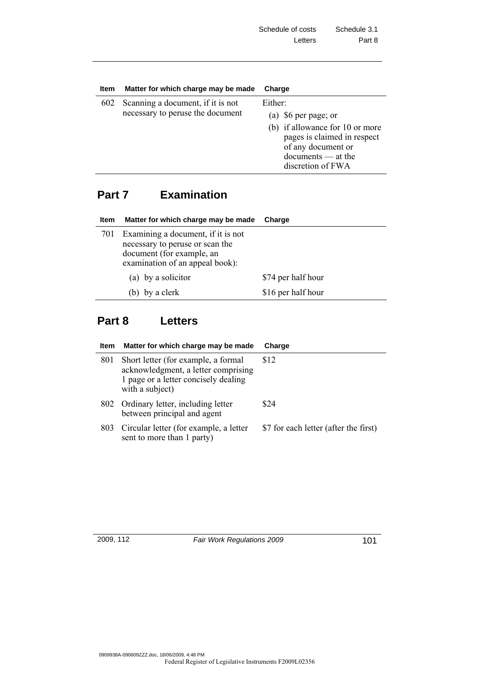| Schedule of costs | Schedule 3.1 |
|-------------------|--------------|
| Letters           | Part 8       |

| <b>Item</b> | Matter for which charge may be made                                   | Charge                                                                                                                                                                |
|-------------|-----------------------------------------------------------------------|-----------------------------------------------------------------------------------------------------------------------------------------------------------------------|
| 602         | Scanning a document, if it is not<br>necessary to peruse the document | Either:<br>(a) $$6$ per page; or<br>(b) if allowance for 10 or more<br>pages is claimed in respect<br>of any document or<br>$documents - at the$<br>discretion of FWA |

## **Part 7 Examination**

| Item | Matter for which charge may be made                                                                                                   | Charge             |
|------|---------------------------------------------------------------------------------------------------------------------------------------|--------------------|
| 701  | Examining a document, if it is not<br>necessary to peruse or scan the<br>document (for example, an<br>examination of an appeal book): |                    |
|      | (a) by a solicitor                                                                                                                    | \$74 per half hour |
|      | (b) by a clerk                                                                                                                        | \$16 per half hour |

### **Part 8 Letters**

| <b>Item</b> | Matter for which charge may be made                                                                                                   | Charge                                |
|-------------|---------------------------------------------------------------------------------------------------------------------------------------|---------------------------------------|
| 801         | Short letter (for example, a formal<br>acknowledgment, a letter comprising<br>1 page or a letter concisely dealing<br>with a subject) | \$12                                  |
|             | 802 Ordinary letter, including letter<br>between principal and agent                                                                  | \$24                                  |
| 803         | Circular letter (for example, a letter<br>sent to more than 1 party)                                                                  | \$7 for each letter (after the first) |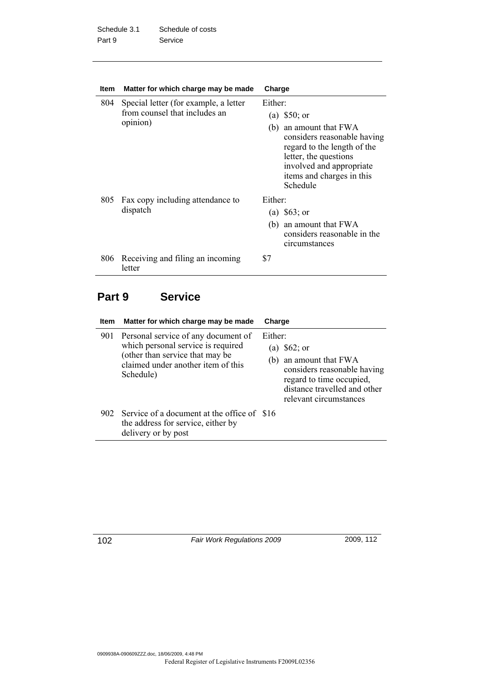| Item | Matter for which charge may be made                                                | Charge                                                                                                                                                                                                            |
|------|------------------------------------------------------------------------------------|-------------------------------------------------------------------------------------------------------------------------------------------------------------------------------------------------------------------|
| 804  | Special letter (for example, a letter<br>from counsel that includes an<br>opinion) | Either:<br>(a) $$50; or$<br>an amount that FWA<br>(b)<br>considers reasonable having<br>regard to the length of the<br>letter, the questions<br>involved and appropriate<br>items and charges in this<br>Schedule |
| 805  | Fax copy including attendance to<br>dispatch                                       | Either:<br>(a) $$63; or$<br>an amount that FWA<br>(b)<br>considers reasonable in the<br>circumstances                                                                                                             |
| 806  | Receiving and filing an incoming<br>letter                                         | \$7                                                                                                                                                                                                               |

## **Part 9 Service**

| <b>Item</b> | Matter for which charge may be made                                                                                                                             | Charge                                                                                                                                                                                |
|-------------|-----------------------------------------------------------------------------------------------------------------------------------------------------------------|---------------------------------------------------------------------------------------------------------------------------------------------------------------------------------------|
| 901         | Personal service of any document of<br>which personal service is required<br>(other than service that may be<br>claimed under another item of this<br>Schedule) | Either <sup>-</sup><br>\$62; or<br>(a)<br>(b) an amount that FWA<br>considers reasonable having<br>regard to time occupied,<br>distance travelled and other<br>relevant circumstances |
|             | 902 Service of a document at the office of \$16<br>the address for service, either by<br>delivery or by post                                                    |                                                                                                                                                                                       |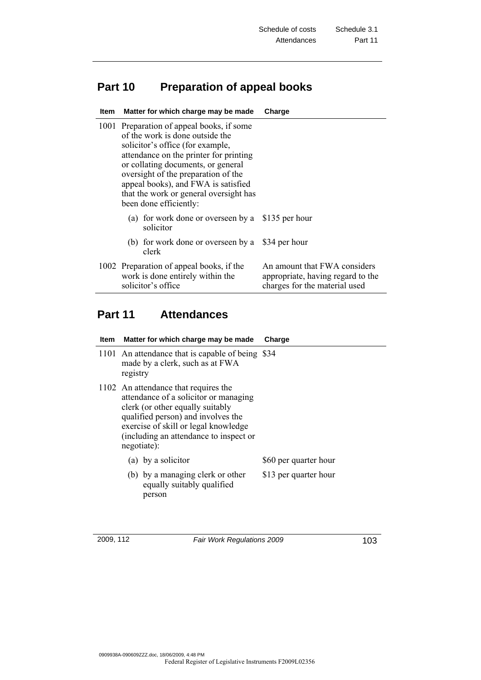# **Part 10 Preparation of appeal books**

| Item | Matter for which charge may be made                                                                                                                                                                                                                                                                                                                | Charge                                                                                             |
|------|----------------------------------------------------------------------------------------------------------------------------------------------------------------------------------------------------------------------------------------------------------------------------------------------------------------------------------------------------|----------------------------------------------------------------------------------------------------|
|      | 1001 Preparation of appeal books, if some<br>of the work is done outside the<br>solicitor's office (for example,<br>attendance on the printer for printing<br>or collating documents, or general<br>oversight of the preparation of the<br>appeal books), and FWA is satisfied<br>that the work or general oversight has<br>been done efficiently: |                                                                                                    |
|      | (a) for work done or overseen by a<br>solicitor                                                                                                                                                                                                                                                                                                    | \$135 per hour                                                                                     |
|      | (b) for work done or overseen by a<br>clerk                                                                                                                                                                                                                                                                                                        | \$34 per hour                                                                                      |
|      | 1002 Preparation of appeal books, if the<br>work is done entirely within the<br>solicitor's office                                                                                                                                                                                                                                                 | An amount that FWA considers<br>appropriate, having regard to the<br>charges for the material used |

### **Part 11 Attendances**

| <b>Item</b> |          | Matter for which charge may be made                                                                                                                                                                                                                      | Charge                |
|-------------|----------|----------------------------------------------------------------------------------------------------------------------------------------------------------------------------------------------------------------------------------------------------------|-----------------------|
|             | registry | 1101 An attendance that is capable of being \$34<br>made by a clerk, such as at FWA                                                                                                                                                                      |                       |
|             |          | 1102 An attendance that requires the<br>attendance of a solicitor or managing<br>clerk (or other equally suitably<br>qualified person) and involves the<br>exercise of skill or legal knowledge<br>(including an attendance to inspect or<br>negotiate): |                       |
|             |          | (a) by a solicitor                                                                                                                                                                                                                                       | \$60 per quarter hour |
|             |          | (b) by a managing clerk or other<br>equally suitably qualified<br>person                                                                                                                                                                                 | \$13 per quarter hour |
|             |          |                                                                                                                                                                                                                                                          |                       |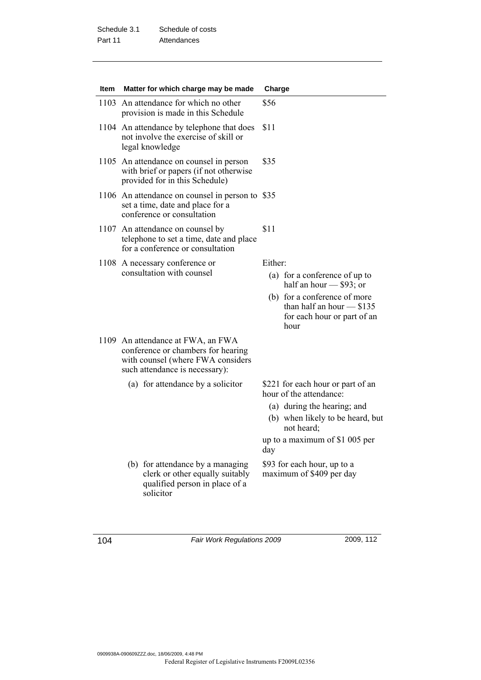| Item | Matter for which charge may be made                                                                                                            | Charge                                                                                                                                                                                 |
|------|------------------------------------------------------------------------------------------------------------------------------------------------|----------------------------------------------------------------------------------------------------------------------------------------------------------------------------------------|
|      | 1103 An attendance for which no other<br>provision is made in this Schedule                                                                    | \$56                                                                                                                                                                                   |
|      | 1104 An attendance by telephone that does<br>not involve the exercise of skill or<br>legal knowledge                                           | \$11                                                                                                                                                                                   |
|      | 1105 An attendance on counsel in person<br>with brief or papers (if not otherwise<br>provided for in this Schedule)                            | \$35                                                                                                                                                                                   |
|      | 1106 An attendance on counsel in person to \$35<br>set a time, date and place for a<br>conference or consultation                              |                                                                                                                                                                                        |
|      | 1107 An attendance on counsel by<br>telephone to set a time, date and place<br>for a conference or consultation                                | \$11                                                                                                                                                                                   |
|      | 1108 A necessary conference or                                                                                                                 | Either:                                                                                                                                                                                |
|      | consultation with counsel                                                                                                                      | (a) for a conference of up to<br>half an hour $-$ \$93; or                                                                                                                             |
|      |                                                                                                                                                | (b) for a conference of more<br>than half an hour $- $135$<br>for each hour or part of an<br>hour                                                                                      |
|      | 1109 An attendance at FWA, an FWA<br>conference or chambers for hearing<br>with counsel (where FWA considers<br>such attendance is necessary): |                                                                                                                                                                                        |
|      | (a) for attendance by a solicitor                                                                                                              | \$221 for each hour or part of an<br>hour of the attendance:<br>(a) during the hearing; and<br>(b) when likely to be heard, but<br>not heard;<br>up to a maximum of \$1 005 per<br>day |
|      | (b) for attendance by a managing<br>clerk or other equally suitably<br>qualified person in place of a<br>solicitor                             | \$93 for each hour, up to a<br>maximum of \$409 per day                                                                                                                                |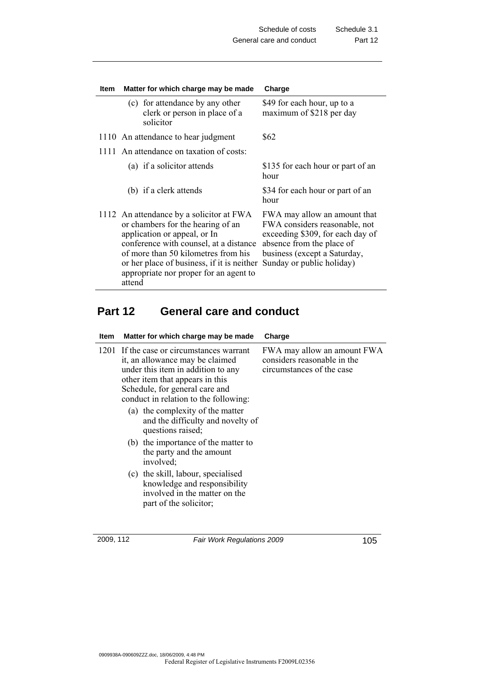| <b>Item</b> | Matter for which charge may be made                                                                                                                                                                                                                                                              | Charge                                                                                                                                                                                      |
|-------------|--------------------------------------------------------------------------------------------------------------------------------------------------------------------------------------------------------------------------------------------------------------------------------------------------|---------------------------------------------------------------------------------------------------------------------------------------------------------------------------------------------|
|             | (c) for attendance by any other<br>clerk or person in place of a<br>solicitor                                                                                                                                                                                                                    | \$49 for each hour, up to a<br>maximum of \$218 per day                                                                                                                                     |
|             | 1110 An attendance to hear judgment                                                                                                                                                                                                                                                              | \$62                                                                                                                                                                                        |
|             | 1111 An attendance on taxation of costs:                                                                                                                                                                                                                                                         |                                                                                                                                                                                             |
|             | (a) if a solicitor attends                                                                                                                                                                                                                                                                       | \$135 for each hour or part of an<br>hour                                                                                                                                                   |
|             | (b) if a clerk attends                                                                                                                                                                                                                                                                           | \$34 for each hour or part of an<br>hour                                                                                                                                                    |
|             | 1112 An attendance by a solicitor at FWA<br>or chambers for the hearing of an<br>application or appeal, or In<br>conference with counsel, at a distance<br>of more than 50 kilometres from his<br>or her place of business, if it is neither<br>appropriate nor proper for an agent to<br>attend | FWA may allow an amount that<br>FWA considers reasonable, not<br>exceeding \$309, for each day of<br>absence from the place of<br>business (except a Saturday,<br>Sunday or public holiday) |

### **Part 12 General care and conduct**

| Item | Matter for which charge may be made                                                                                                                                                                                              | Charge                                                                                  |
|------|----------------------------------------------------------------------------------------------------------------------------------------------------------------------------------------------------------------------------------|-----------------------------------------------------------------------------------------|
|      | 1201 If the case or circumstances warrant<br>it, an allowance may be claimed<br>under this item in addition to any<br>other item that appears in this<br>Schedule, for general care and<br>conduct in relation to the following: | FWA may allow an amount FWA<br>considers reasonable in the<br>circumstances of the case |
|      | (a) the complexity of the matter<br>and the difficulty and novelty of<br>questions raised;                                                                                                                                       |                                                                                         |
|      | (b) the importance of the matter to<br>the party and the amount<br>involved;                                                                                                                                                     |                                                                                         |
|      | (c) the skill, labour, specialised<br>knowledge and responsibility<br>involved in the matter on the<br>part of the solicitor;                                                                                                    |                                                                                         |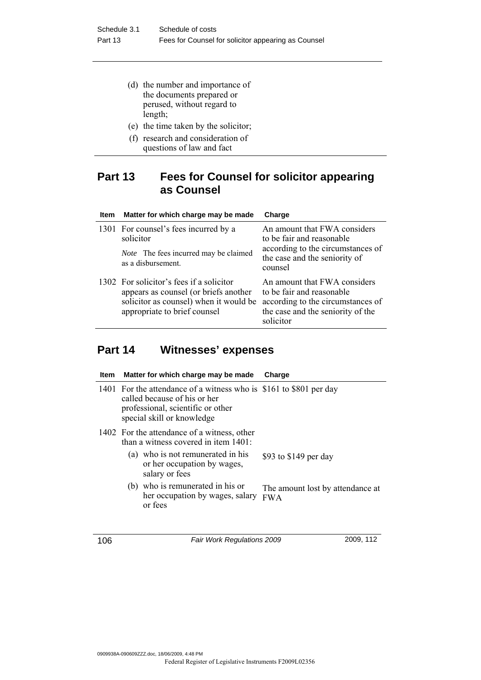- (d) the number and importance of the documents prepared or perused, without regard to length;
- (e) the time taken by the solicitor;
- (f) research and consideration of questions of law and fact

### **Part 13 Fees for Counsel for solicitor appearing as Counsel**

| <b>Item</b> | Matter for which charge may be made                                                                                                                         | Charge                                                                                                                                           |
|-------------|-------------------------------------------------------------------------------------------------------------------------------------------------------------|--------------------------------------------------------------------------------------------------------------------------------------------------|
|             | 1301 For counsel's fees incurred by a<br>solicitor<br><i>Note</i> The fees incurred may be claimed<br>as a disbursement.                                    | An amount that FWA considers<br>to be fair and reasonable<br>according to the circumstances of<br>the case and the seniority of<br>counsel       |
|             | 1302 For solicitor's fees if a solicitor<br>appears as counsel (or briefs another<br>solicitor as counsel) when it would be<br>appropriate to brief counsel | An amount that FWA considers<br>to be fair and reasonable<br>according to the circumstances of<br>the case and the seniority of the<br>solicitor |

### **Part 14 Witnesses' expenses**

| ltem | Matter for which charge may be made                                                                                                                                   | <b>Charge</b>                                  |
|------|-----------------------------------------------------------------------------------------------------------------------------------------------------------------------|------------------------------------------------|
|      | 1401 For the attendance of a witness who is \$161 to \$801 per day<br>called because of his or her<br>professional, scientific or other<br>special skill or knowledge |                                                |
|      | 1402 For the attendance of a witness, other<br>than a witness covered in item $1401$ :                                                                                |                                                |
|      | (a) who is not remunerated in his<br>or her occupation by wages,<br>salary or fees                                                                                    | \$93 to \$149 per day                          |
|      | (b) who is remunerated in his or<br>her occupation by wages, salary<br>or fees                                                                                        | The amount lost by attendance at<br><b>FWA</b> |
|      |                                                                                                                                                                       |                                                |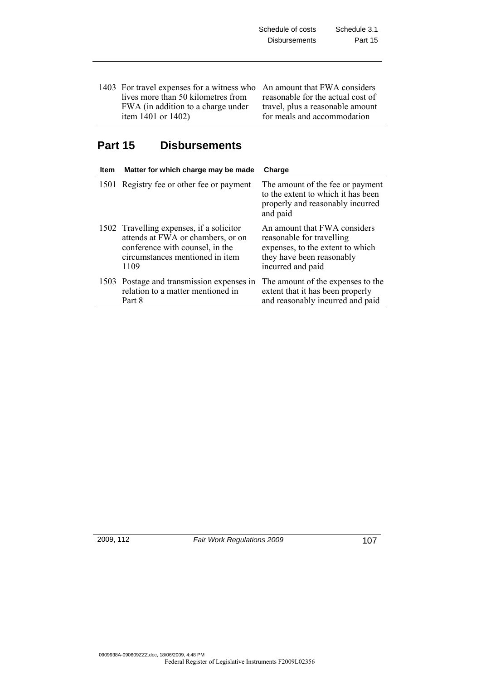| Schedule of costs    | Schedule 3.1 |  |
|----------------------|--------------|--|
| <b>Disbursements</b> | Part 15      |  |

1403 For travel expenses for a witness who An amount that FWA considers lives more than 50 kilometres from FWA (in addition to a charge under item 1401 or 1402)

reasonable for the actual cost of travel, plus a reasonable amount for meals and accommodation

### **Part 15 Disbursements**

| <b>Item</b> | Matter for which charge may be made                                                                                                                         | Charge                                                                                                                                          |
|-------------|-------------------------------------------------------------------------------------------------------------------------------------------------------------|-------------------------------------------------------------------------------------------------------------------------------------------------|
|             | 1501 Registry fee or other fee or payment                                                                                                                   | The amount of the fee or payment<br>to the extent to which it has been<br>properly and reasonably incurred<br>and paid                          |
|             | 1502 Travelling expenses, if a solicitor<br>attends at FWA or chambers, or on<br>conference with counsel, in the<br>circumstances mentioned in item<br>1109 | An amount that FWA considers<br>reasonable for travelling<br>expenses, to the extent to which<br>they have been reasonably<br>incurred and paid |
|             | 1503 Postage and transmission expenses in<br>relation to a matter mentioned in<br>Part 8                                                                    | The amount of the expenses to the<br>extent that it has been properly<br>and reasonably incurred and paid                                       |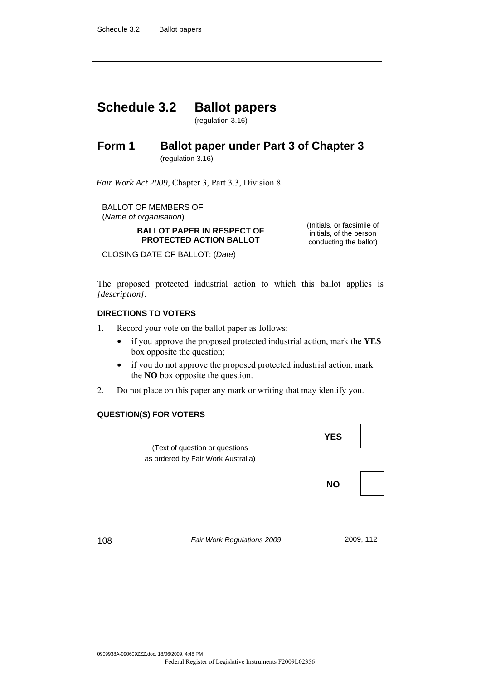## **Schedule 3.2 Ballot papers**

(regulation 3.16)

### **Form 1 Ballot paper under Part 3 of Chapter 3**  (regulation 3.16)

*Fair Work Act 2009*, Chapter 3, Part 3.3, Division 8

BALLOT OF MEMBERS OF (*Name of organisation*)

#### **BALLOT PAPER IN RESPECT OF PROTECTED ACTION BALLOT**

(Initials, or facsimile of initials, of the person conducting the ballot)

CLOSING DATE OF BALLOT: (*Date*)

The proposed protected industrial action to which this ballot applies is *[description]*.

### **DIRECTIONS TO VOTERS**

- 1. Record your vote on the ballot paper as follows:
	- if you approve the proposed protected industrial action, mark the **YES** box opposite the question;
	- if you do not approve the proposed protected industrial action, mark the **NO** box opposite the question.
- 2. Do not place on this paper any mark or writing that may identify you.

#### **QUESTION(S) FOR VOTERS**

| (Text of question or questions<br>as ordered by Fair Work Australia) | <b>YES</b> |  |
|----------------------------------------------------------------------|------------|--|
|                                                                      | <b>NO</b>  |  |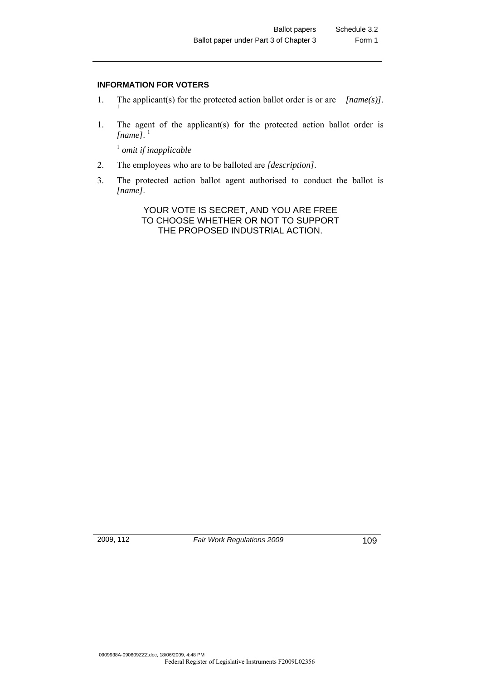### **INFORMATION FOR VOTERS**

- 1. The applicant(s) for the protected action ballot order is or are *[name(s)]*. 1
- 1. The agent of the applicant(s) for the protected action ballot order is  $[name]$ <sup>1</sup>

<sup>1</sup> *omit if inapplicable* 

- 2. The employees who are to be balloted are *[description]*.
- 3. The protected action ballot agent authorised to conduct the ballot is *[name]*.

YOUR VOTE IS SECRET, AND YOU ARE FREE TO CHOOSE WHETHER OR NOT TO SUPPORT THE PROPOSED INDUSTRIAL ACTION.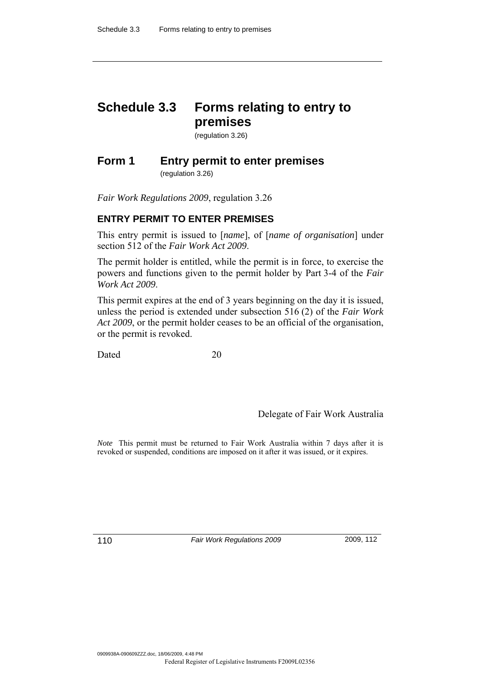# **Schedule 3.3 Forms relating to entry to premises**

(regulation 3.26)

## **Form 1 Entry permit to enter premises**  (regulation 3.26)

*Fair Work Regulations 2009*, regulation 3.26

## **ENTRY PERMIT TO ENTER PREMISES**

This entry permit is issued to [*name*], of [*name of organisation*] under section 512 of the *Fair Work Act 2009*.

The permit holder is entitled, while the permit is in force, to exercise the powers and functions given to the permit holder by Part 3-4 of the *Fair Work Act 2009*.

This permit expires at the end of 3 years beginning on the day it is issued, unless the period is extended under subsection 516 (2) of the *Fair Work Act 2009*, or the permit holder ceases to be an official of the organisation, or the permit is revoked.

Dated 20

Delegate of Fair Work Australia

*Note* This permit must be returned to Fair Work Australia within 7 days after it is revoked or suspended, conditions are imposed on it after it was issued, or it expires.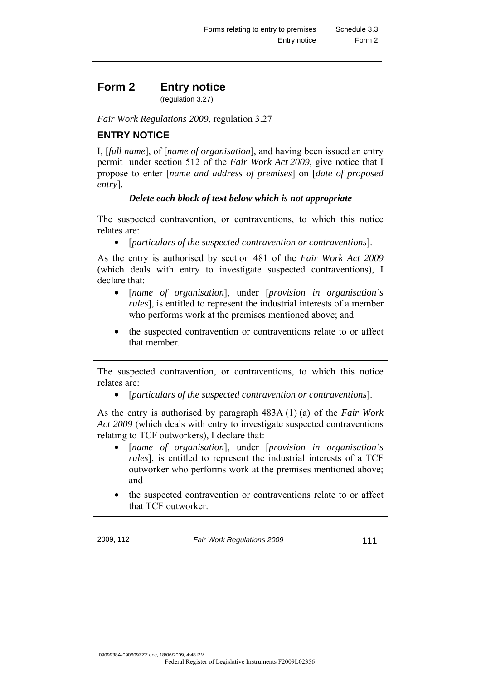## **Form 2 Entry notice**

(regulation 3.27)

*Fair Work Regulations 2009*, regulation 3.27

## **ENTRY NOTICE**

I, [*full name*], of [*name of organisation*], and having been issued an entry permit under section 512 of the *Fair Work Act 2009*, give notice that I propose to enter [*name and address of premises*] on [*date of proposed entry*].

## *Delete each block of text below which is not appropriate*

The suspected contravention, or contraventions, to which this notice relates are:

• [*particulars of the suspected contravention or contraventions*].

As the entry is authorised by section 481 of the *Fair Work Act 2009*  (which deals with entry to investigate suspected contraventions), I declare that:

- [*name of organisation*], under [*provision in organisation's rules*], is entitled to represent the industrial interests of a member who performs work at the premises mentioned above; and
- the suspected contravention or contraventions relate to or affect that member.

The suspected contravention, or contraventions, to which this notice relates are:

• [*particulars of the suspected contravention or contraventions*].

As the entry is authorised by paragraph 483A (1) (a) of the *Fair Work Act 2009* (which deals with entry to investigate suspected contraventions relating to TCF outworkers), I declare that:

- [*name of organisation*], under [*provision in organisation's rules*], is entitled to represent the industrial interests of a TCF outworker who performs work at the premises mentioned above; and
- the suspected contravention or contraventions relate to or affect that TCF outworker.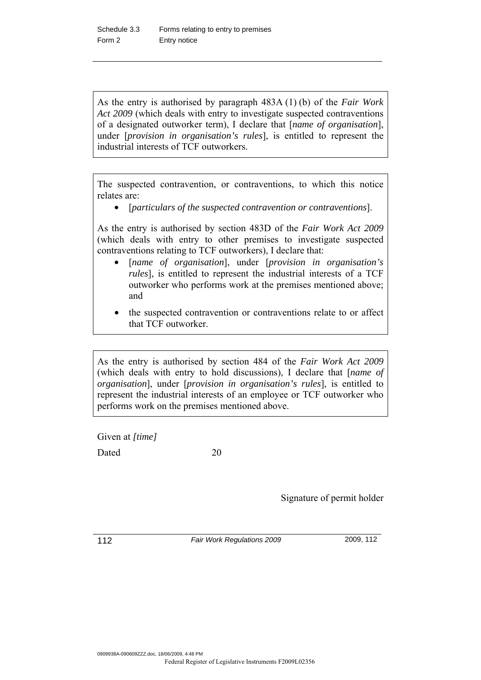As the entry is authorised by paragraph 483A (1) (b) of the *Fair Work Act 2009* (which deals with entry to investigate suspected contraventions of a designated outworker term), I declare that [*name of organisation*], under [*provision in organisation's rules*], is entitled to represent the industrial interests of TCF outworkers.

The suspected contravention, or contraventions, to which this notice relates are:

• [*particulars of the suspected contravention or contraventions*].

As the entry is authorised by section 483D of the *Fair Work Act 2009*  (which deals with entry to other premises to investigate suspected contraventions relating to TCF outworkers), I declare that:

- [*name of organisation*], under [*provision in organisation's rules*], is entitled to represent the industrial interests of a TCF outworker who performs work at the premises mentioned above; and
- the suspected contravention or contraventions relate to or affect that TCF outworker.

As the entry is authorised by section 484 of the *Fair Work Act 2009*  (which deals with entry to hold discussions), I declare that [*name of organisation*], under [*provision in organisation's rules*], is entitled to represent the industrial interests of an employee or TCF outworker who performs work on the premises mentioned above.

Given at *[time]* 

Dated 20

Signature of permit holder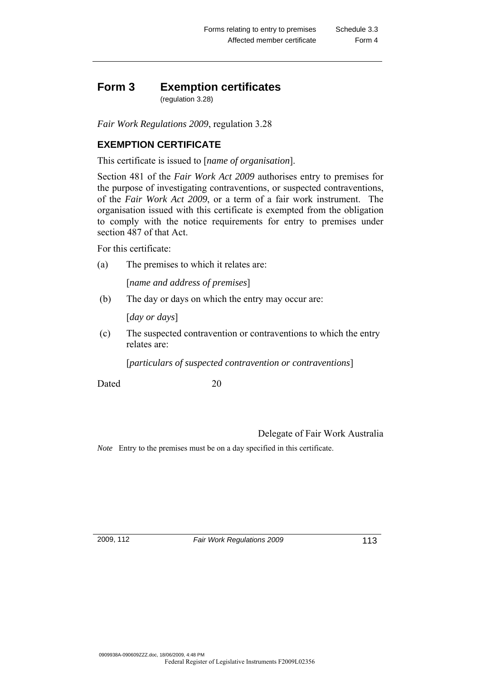## **Form 3 Exemption certificates**

(regulation 3.28)

*Fair Work Regulations 2009*, regulation 3.28

## **EXEMPTION CERTIFICATE**

This certificate is issued to [*name of organisation*].

Section 481 of the *Fair Work Act 2009* authorises entry to premises for the purpose of investigating contraventions, or suspected contraventions, of the *Fair Work Act 2009*, or a term of a fair work instrument. The organisation issued with this certificate is exempted from the obligation to comply with the notice requirements for entry to premises under section 487 of that Act.

For this certificate:

(a) The premises to which it relates are:

[*name and address of premises*]

(b) The day or days on which the entry may occur are:

[*day or days*]

 (c) The suspected contravention or contraventions to which the entry relates are:

[*particulars of suspected contravention or contraventions*]

Dated 20

## Delegate of Fair Work Australia

*Note* Entry to the premises must be on a day specified in this certificate.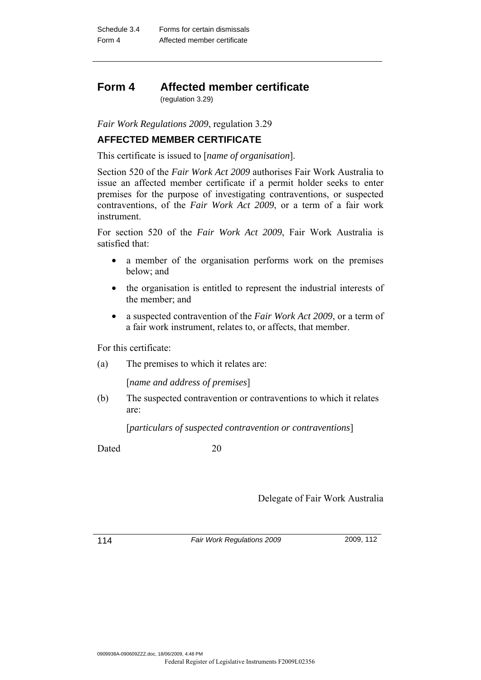### **Form 4 Affected member certificate**  (regulation 3.29)

*Fair Work Regulations 2009*, regulation 3.29

## **AFFECTED MEMBER CERTIFICATE**

This certificate is issued to [*name of organisation*].

Section 520 of the *Fair Work Act 2009* authorises Fair Work Australia to issue an affected member certificate if a permit holder seeks to enter premises for the purpose of investigating contraventions, or suspected contraventions, of the *Fair Work Act 2009*, or a term of a fair work instrument.

For section 520 of the *Fair Work Act 2009*, Fair Work Australia is satisfied that:

- a member of the organisation performs work on the premises below; and
- the organisation is entitled to represent the industrial interests of the member; and
- a suspected contravention of the *Fair Work Act 2009*, or a term of a fair work instrument, relates to, or affects, that member.

For this certificate:

(a) The premises to which it relates are:

[*name and address of premises*]

(b) The suspected contravention or contraventions to which it relates are:

[*particulars of suspected contravention or contraventions*]

Dated 20

Delegate of Fair Work Australia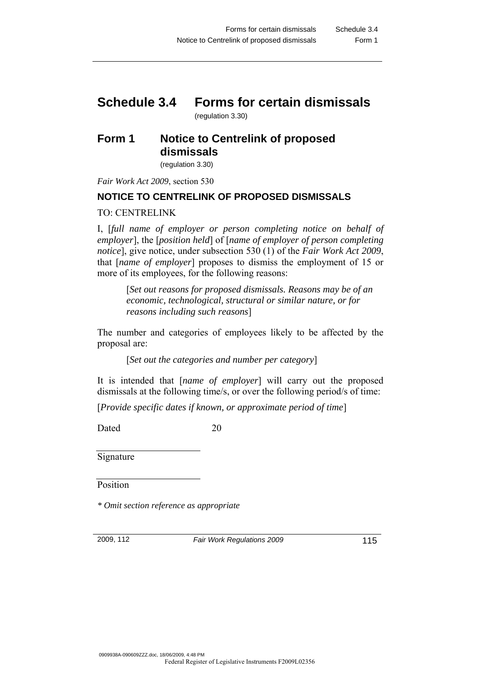## **Schedule 3.4 Forms for certain dismissals**  (regulation 3.30)

## **Form 1 Notice to Centrelink of proposed dismissals**

(regulation 3.30)

*Fair Work Act 2009*, section 530

## **NOTICE TO CENTRELINK OF PROPOSED DISMISSALS**

TO: CENTRELINK

I, [*full name of employer or person completing notice on behalf of employer*], the [*position held*] of [*name of employer of person completing notice*], give notice, under subsection 530 (1) of the *Fair Work Act 2009*, that [*name of employer*] proposes to dismiss the employment of 15 or more of its employees, for the following reasons:

> [*Set out reasons for proposed dismissals. Reasons may be of an economic, technological, structural or similar nature, or for reasons including such reasons*]

The number and categories of employees likely to be affected by the proposal are:

[*Set out the categories and number per category*]

It is intended that [*name of employer*] will carry out the proposed dismissals at the following time/s, or over the following period/s of time:

[*Provide specific dates if known, or approximate period of time*]

Dated 20

**Signature** 

Position

*\* Omit section reference as appropriate*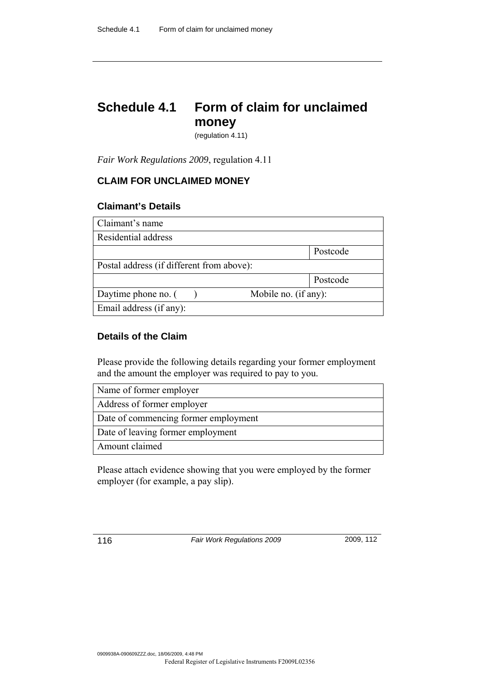# **Schedule 4.1 Form of claim for unclaimed money**

(regulation 4.11)

*Fair Work Regulations 2009*, regulation 4.11

## **CLAIM FOR UNCLAIMED MONEY**

## **Claimant's Details**

| Claimant's name                             |          |
|---------------------------------------------|----------|
| Residential address                         |          |
|                                             | Postcode |
| Postal address (if different from above):   |          |
|                                             | Postcode |
| Daytime phone no. (<br>Mobile no. (if any): |          |
| Email address (if any):                     |          |

## **Details of the Claim**

Please provide the following details regarding your former employment and the amount the employer was required to pay to you.

| Name of former employer              |
|--------------------------------------|
| Address of former employer           |
| Date of commencing former employment |
| Date of leaving former employment    |
| Amount claimed                       |

Please attach evidence showing that you were employed by the former employer (for example, a pay slip).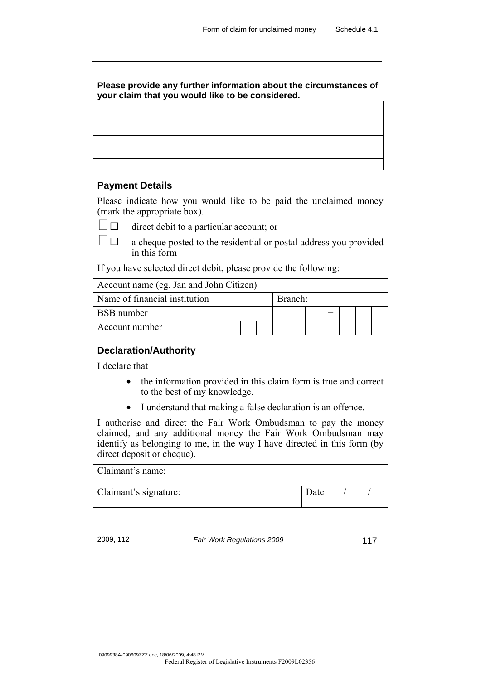### **Please provide any further information about the circumstances of your claim that you would like to be considered.**

### **Payment Details**

Please indicate how you would like to be paid the unclaimed money (mark the appropriate box).

- - $\Box$  direct debit to a particular account; or
- $\Box$  a cheque posted to the residential or postal address you provided in this form

If you have selected direct debit, please provide the following:

| Account name (eg. Jan and John Citizen) |  |  |  |         |  |  |  |
|-----------------------------------------|--|--|--|---------|--|--|--|
| Name of financial institution           |  |  |  | Branch: |  |  |  |
| <b>BSB</b> number                       |  |  |  |         |  |  |  |
| Account number                          |  |  |  |         |  |  |  |

### **Declaration/Authority**

I declare that

- the information provided in this claim form is true and correct to the best of my knowledge.
- I understand that making a false declaration is an offence.

I authorise and direct the Fair Work Ombudsman to pay the money claimed, and any additional money the Fair Work Ombudsman may identify as belonging to me, in the way I have directed in this form (by direct deposit or cheque).

| Claimant's name:      |      |  |
|-----------------------|------|--|
| Claimant's signature: | Date |  |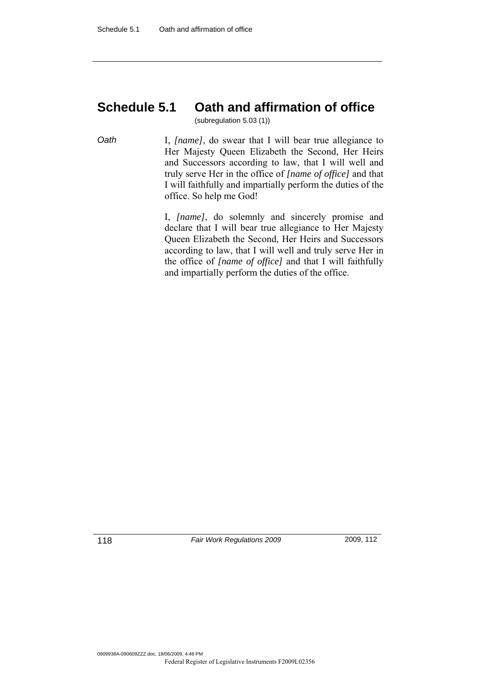# **Schedule 5.1 Oath and affirmation of office**

(subregulation 5.03 (1))

*Oath* I, *[name]*, do swear that I will bear true allegiance to Her Majesty Queen Elizabeth the Second, Her Heirs and Successors according to law, that I will well and truly serve Her in the office of *[name of office]* and that I will faithfully and impartially perform the duties of the office. So help me God!

> I, *[name]*, do solemnly and sincerely promise and declare that I will bear true allegiance to Her Majesty Queen Elizabeth the Second, Her Heirs and Successors according to law, that I will well and truly serve Her in the office of *[name of office]* and that I will faithfully and impartially perform the duties of the office.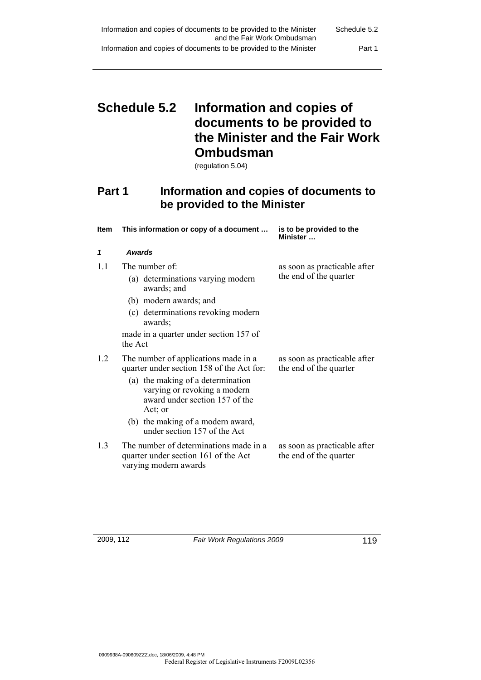# **Schedule 5.2 Information and copies of documents to be provided to the Minister and the Fair Work Ombudsman**

(regulation 5.04)

## **Part 1** Information and copies of documents to **be provided to the Minister**

| <b>Item</b> | This information or copy of a document                                                                                                                                                                                                                                   | is to be provided to the<br>Minister                   |
|-------------|--------------------------------------------------------------------------------------------------------------------------------------------------------------------------------------------------------------------------------------------------------------------------|--------------------------------------------------------|
| 1           | Awards                                                                                                                                                                                                                                                                   |                                                        |
| 1.1         | The number of:<br>(a) determinations varying modern<br>awards; and<br>(b) modern awards; and<br>(c) determinations revoking modern<br>awards;<br>made in a quarter under section 157 of<br>the Act                                                                       | as soon as practicable after<br>the end of the quarter |
| 1.2         | The number of applications made in a<br>quarter under section 158 of the Act for:<br>(a) the making of a determination<br>varying or revoking a modern<br>award under section 157 of the<br>Act; or<br>(b) the making of a modern award,<br>under section 157 of the Act | as soon as practicable after<br>the end of the quarter |
| 1.3         | The number of determinations made in a<br>quarter under section 161 of the Act<br>varying modern awards                                                                                                                                                                  | as soon as practicable after<br>the end of the quarter |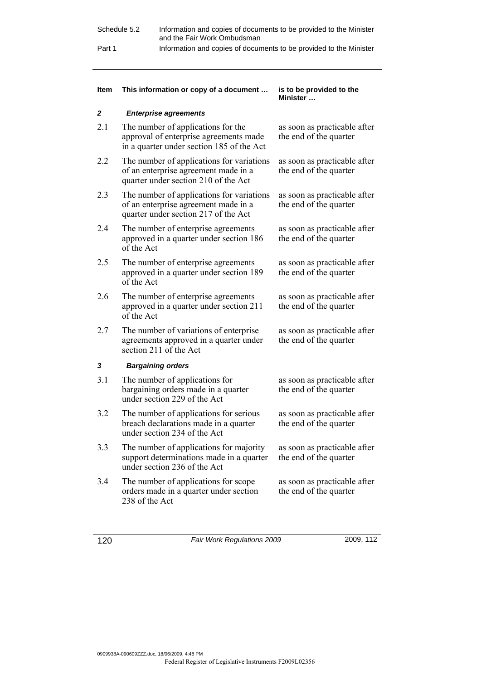| Schedule 5.2 | Information and copies of documents to be provided to the Minister<br>and the Fair Work Ombudsman |
|--------------|---------------------------------------------------------------------------------------------------|
| Part 1       | Information and copies of documents to be provided to the Minister                                |

| Item | This information or copy of a document                                                                                    | is to be provided to the<br>Minister                   |
|------|---------------------------------------------------------------------------------------------------------------------------|--------------------------------------------------------|
| 2    | <b>Enterprise agreements</b>                                                                                              |                                                        |
| 2.1  | The number of applications for the<br>approval of enterprise agreements made<br>in a quarter under section 185 of the Act | as soon as practicable after<br>the end of the quarter |
| 2.2  | The number of applications for variations<br>of an enterprise agreement made in a<br>quarter under section 210 of the Act | as soon as practicable after<br>the end of the quarter |
| 2.3  | The number of applications for variations<br>of an enterprise agreement made in a<br>quarter under section 217 of the Act | as soon as practicable after<br>the end of the quarter |
| 2.4  | The number of enterprise agreements<br>approved in a quarter under section 186<br>of the Act                              | as soon as practicable after<br>the end of the quarter |
| 2.5  | The number of enterprise agreements<br>approved in a quarter under section 189<br>of the Act                              | as soon as practicable after<br>the end of the quarter |
| 2.6  | The number of enterprise agreements<br>approved in a quarter under section 211<br>of the Act                              | as soon as practicable after<br>the end of the quarter |
| 2.7  | The number of variations of enterprise<br>agreements approved in a quarter under<br>section 211 of the Act                | as soon as practicable after<br>the end of the quarter |
| 3    | <b>Bargaining orders</b>                                                                                                  |                                                        |
| 3.1  | The number of applications for<br>bargaining orders made in a quarter<br>under section 229 of the Act                     | as soon as practicable after<br>the end of the quarter |
| 3.2  | The number of applications for serious<br>breach declarations made in a quarter<br>under section 234 of the Act           | as soon as practicable after<br>the end of the quarter |
| 3.3  | The number of applications for majority<br>support determinations made in a quarter<br>under section 236 of the Act       | as soon as practicable after<br>the end of the quarter |
| 3.4  | The number of applications for scope<br>orders made in a quarter under section<br>238 of the Act                          | as soon as practicable after<br>the end of the quarter |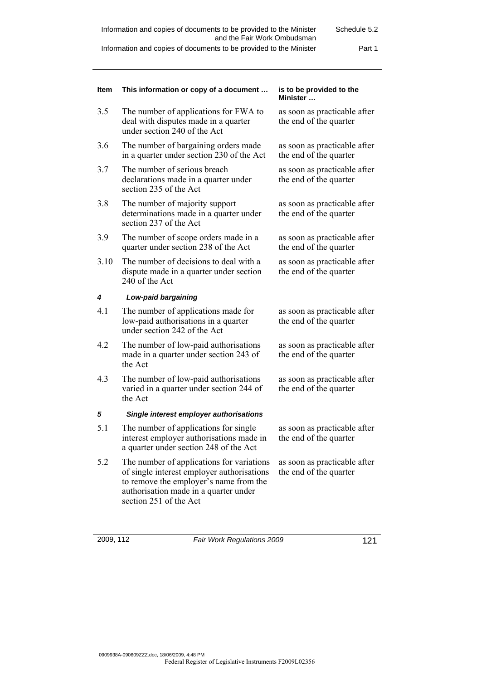**Minister …** 

as soon as practicable after the end of the quarter

as soon as practicable after the end of the quarter

as soon as practicable after the end of the quarter

as soon as practicable after the end of the quarter

as soon as practicable after the end of the quarter

as soon as practicable after the end of the quarter

as soon as practicable after the end of the quarter

as soon as practicable after the end of the quarter

as soon as practicable after the end of the quarter

as soon as practicable after the end of the quarter

as soon as practicable after the end of the quarter

#### **Item This information or copy of a document … is to be provided to the**

- 3.5 The number of applications for FWA to deal with disputes made in a quarter under section 240 of the Act
- 3.6 The number of bargaining orders made in a quarter under section 230 of the Act
- 3.7 The number of serious breach declarations made in a quarter under section 235 of the Act
- 3.8 The number of majority support determinations made in a quarter under section 237 of the Act
- 3.9 The number of scope orders made in a quarter under section 238 of the Act
- 3.10 The number of decisions to deal with a dispute made in a quarter under section 240 of the Act

#### *4 Low-paid bargaining*

- 4.1 The number of applications made for low-paid authorisations in a quarter under section 242 of the Act
- 4.2 The number of low-paid authorisations made in a quarter under section 243 of the Act
- 4.3 The number of low-paid authorisations varied in a quarter under section 244 of the Act

#### *5 Single interest employer authorisations*

- 5.1 The number of applications for single interest employer authorisations made in a quarter under section 248 of the Act
- 5.2 The number of applications for variations of single interest employer authorisations to remove the employer's name from the authorisation made in a quarter under section 251 of the Act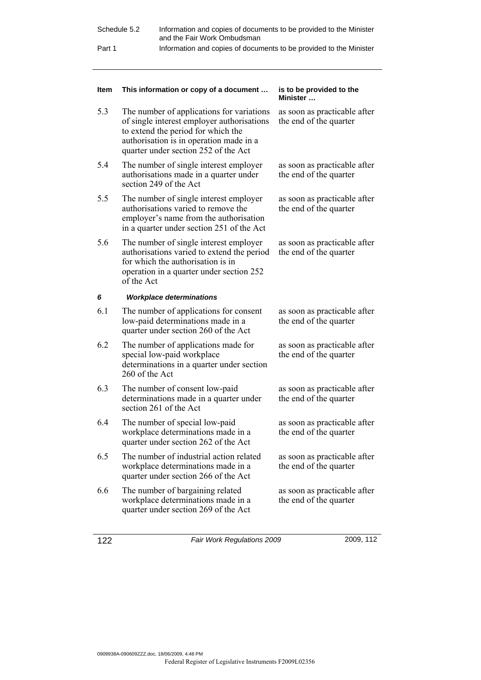| Schedule 5.2 | Information and copies of documents to be provided to the Minister<br>and the Fair Work Ombudsman |
|--------------|---------------------------------------------------------------------------------------------------|
| Part 1       | Information and copies of documents to be provided to the Minister                                |

| Item | This information or copy of a document                                                                                                                                                                           | is to be provided to the<br>Minister …                 |
|------|------------------------------------------------------------------------------------------------------------------------------------------------------------------------------------------------------------------|--------------------------------------------------------|
| 5.3  | The number of applications for variations<br>of single interest employer authorisations<br>to extend the period for which the<br>authorisation is in operation made in a<br>quarter under section 252 of the Act | as soon as practicable after<br>the end of the quarter |
| 5.4  | The number of single interest employer<br>authorisations made in a quarter under<br>section 249 of the Act                                                                                                       | as soon as practicable after<br>the end of the quarter |
| 5.5  | The number of single interest employer<br>authorisations varied to remove the<br>employer's name from the authorisation<br>in a quarter under section 251 of the Act                                             | as soon as practicable after<br>the end of the quarter |
| 5.6  | The number of single interest employer<br>authorisations varied to extend the period<br>for which the authorization is in<br>operation in a quarter under section 252<br>of the Act                              | as soon as practicable after<br>the end of the quarter |
| 6    | <b>Workplace determinations</b>                                                                                                                                                                                  |                                                        |
| 6.1  | The number of applications for consent<br>low-paid determinations made in a<br>quarter under section 260 of the Act                                                                                              | as soon as practicable after<br>the end of the quarter |
| 6.2  | The number of applications made for<br>special low-paid workplace<br>determinations in a quarter under section<br>260 of the Act                                                                                 | as soon as practicable after<br>the end of the quarter |
| 6.3  | The number of consent low-paid<br>determinations made in a quarter under<br>section 261 of the Act                                                                                                               | as soon as practicable after<br>the end of the quarter |
| 6.4  | The number of special low-paid<br>workplace determinations made in a<br>quarter under section 262 of the Act                                                                                                     | as soon as practicable after<br>the end of the quarter |
| 6.5  | The number of industrial action related<br>workplace determinations made in a<br>quarter under section 266 of the Act                                                                                            | as soon as practicable after<br>the end of the quarter |
| 6.6  | The number of bargaining related<br>workplace determinations made in a<br>quarter under section 269 of the Act                                                                                                   | as soon as practicable after<br>the end of the quarter |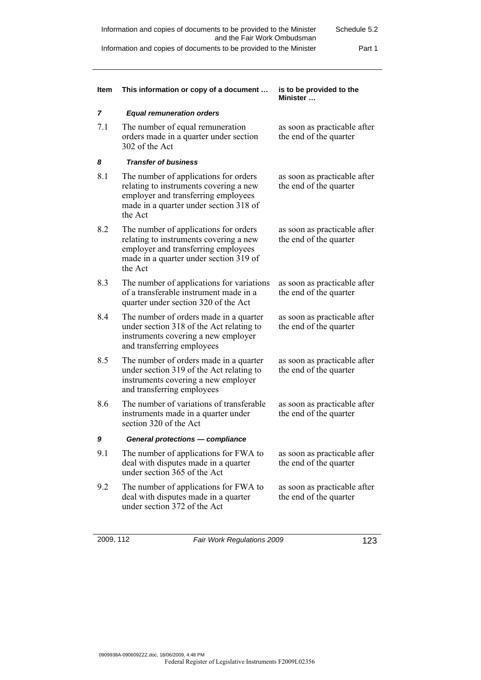| Information and copies of documents to be provided to the Minister | Schedule 5.2 |
|--------------------------------------------------------------------|--------------|
| and the Fair Work Ombudsman                                        |              |
| Information and copies of documents to be provided to the Minister | Part 1       |

| Item | This information or copy of a document                                                                                                                                      | is to be provided to the<br>Minister                   |
|------|-----------------------------------------------------------------------------------------------------------------------------------------------------------------------------|--------------------------------------------------------|
| 7    | <b>Equal remuneration orders</b>                                                                                                                                            |                                                        |
| 7.1  | The number of equal remuneration<br>orders made in a quarter under section<br>302 of the Act                                                                                | as soon as practicable after<br>the end of the quarter |
| 8    | <b>Transfer of business</b>                                                                                                                                                 |                                                        |
| 8.1  | The number of applications for orders<br>relating to instruments covering a new<br>employer and transferring employees<br>made in a quarter under section 318 of<br>the Act | as soon as practicable after<br>the end of the quarter |
| 8.2  | The number of applications for orders<br>relating to instruments covering a new<br>employer and transferring employees<br>made in a quarter under section 319 of<br>the Act | as soon as practicable after<br>the end of the quarter |
| 8.3  | The number of applications for variations<br>of a transferable instrument made in a<br>quarter under section 320 of the Act                                                 | as soon as practicable after<br>the end of the quarter |
| 8.4  | The number of orders made in a quarter<br>under section 318 of the Act relating to<br>instruments covering a new employer<br>and transferring employees                     | as soon as practicable after<br>the end of the quarter |
| 8.5  | The number of orders made in a quarter<br>under section 319 of the Act relating to<br>instruments covering a new employer<br>and transferring employees                     | as soon as practicable after<br>the end of the quarter |
| 8.6  | The number of variations of transferable<br>instruments made in a quarter under<br>section 320 of the Act                                                                   | as soon as practicable after<br>the end of the quarter |
| 9    | <b>General protections - compliance</b>                                                                                                                                     |                                                        |
| 9.1  | The number of applications for FWA to<br>deal with disputes made in a quarter<br>under section 365 of the Act                                                               | as soon as practicable after<br>the end of the quarter |
| 9.2  | The number of applications for FWA to<br>deal with disputes made in a quarter<br>under section 372 of the Act                                                               | as soon as practicable after<br>the end of the quarter |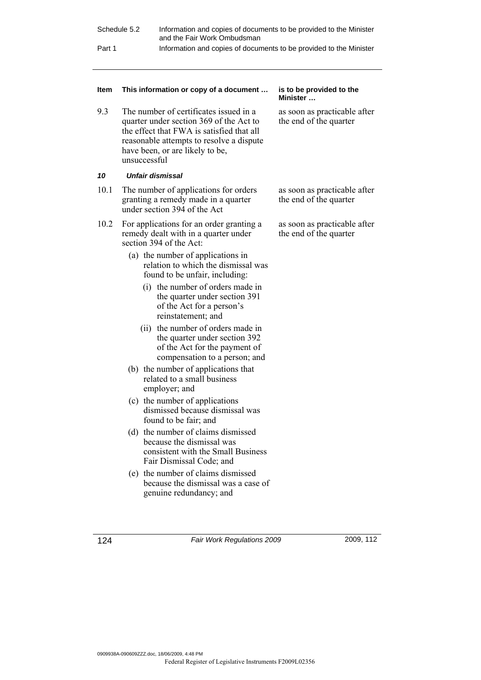| Schedule 5.2 | Information and copies of documents to be provided to the Minister<br>and the Fair Work Ombudsman |
|--------------|---------------------------------------------------------------------------------------------------|
| Part 1       | Information and copies of documents to be provided to the Minister                                |

#### **Item This information or copy of a document … is to be provided to the Minister …**  9.3 The number of certificates issued in a quarter under section 369 of the Act to the effect that FWA is satisfied that all reasonable attempts to resolve a dispute have been, or are likely to be, unsuccessful as soon as practicable after the end of the quarter *10 Unfair dismissal* 10.1 The number of applications for orders granting a remedy made in a quarter under section 394 of the Act as soon as practicable after the end of the quarter 10.2 For applications for an order granting a remedy dealt with in a quarter under section 394 of the Act: (a) the number of applications in relation to which the dismissal was found to be unfair, including: (i) the number of orders made in the quarter under section 391 of the Act for a person's reinstatement; and (ii) the number of orders made in the quarter under section 392 of the Act for the payment of compensation to a person; and as soon as practicable after the end of the quarter (b) the number of applications that related to a small business employer; and (c) the number of applications dismissed because dismissal was found to be fair; and (d) the number of claims dismissed because the dismissal was consistent with the Small Business Fair Dismissal Code; and (e) the number of claims dismissed because the dismissal was a case of genuine redundancy; and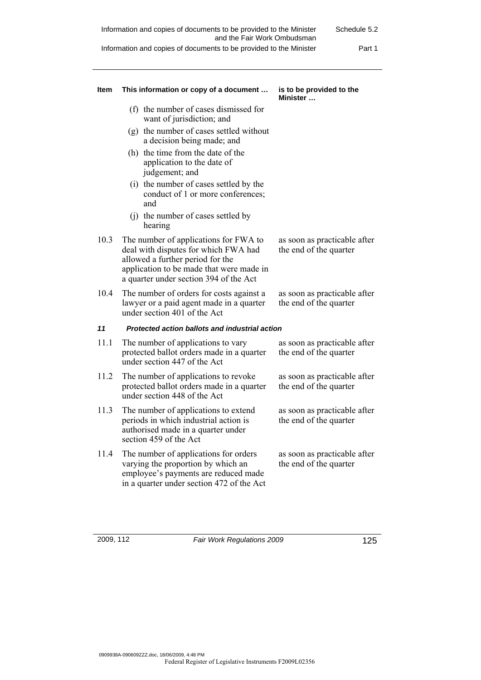| Information and copies of documents to be provided to the Minister<br>and the Fair Work Ombudsman | Schedule 5.2 |
|---------------------------------------------------------------------------------------------------|--------------|
| Information and copies of documents to be provided to the Minister                                | Part 1       |

**Item This information or copy of a document … is to be provided to the** 

**Minister …** 

Information and copies of documents to be provided to the Minister

#### (f) the number of cases dismissed for want of jurisdiction; and (g) the number of cases settled without a decision being made; and (h) the time from the date of the application to the date of judgement; and (i) the number of cases settled by the conduct of 1 or more conferences; and (j) the number of cases settled by hearing 10.3 The number of applications for FWA to deal with disputes for which FWA had allowed a further period for the application to be made that were made in a quarter under section 394 of the Act as soon as practicable after the end of the quarter 10.4 The number of orders for costs against a lawyer or a paid agent made in a quarter under section 401 of the Act as soon as practicable after the end of the quarter *11 Protected action ballots and industrial action* 11.1 The number of applications to vary protected ballot orders made in a quarter under section 447 of the Act as soon as practicable after the end of the quarter 11.2 The number of applications to revoke protected ballot orders made in a quarter under section 448 of the Act as soon as practicable after the end of the quarter 11.3 The number of applications to extend periods in which industrial action is authorised made in a quarter under section 459 of the Act as soon as practicable after the end of the quarter 11.4 The number of applications for orders varying the proportion by which an employee's payments are reduced made in a quarter under section 472 of the Act as soon as practicable after the end of the quarter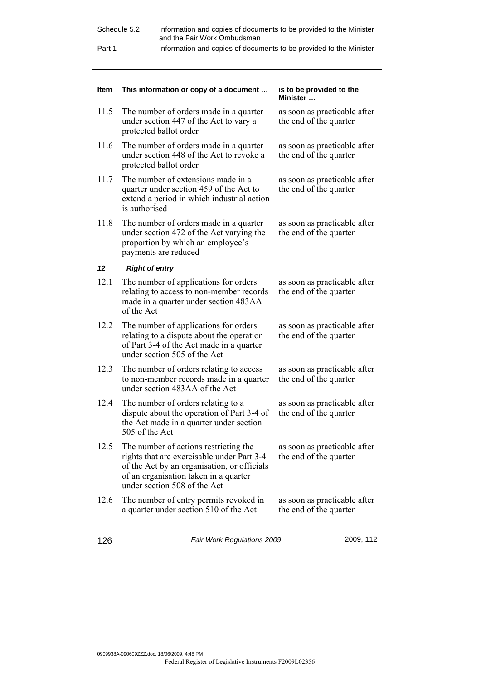| Schedule 5.2 | Information and copies of documents to be provided to the Minister<br>and the Fair Work Ombudsman |
|--------------|---------------------------------------------------------------------------------------------------|
| Part 1       | Information and copies of documents to be provided to the Minister                                |

| <b>Item</b> | This information or copy of a document                                                                                                                                                                      | is to be provided to the<br>Minister                   |
|-------------|-------------------------------------------------------------------------------------------------------------------------------------------------------------------------------------------------------------|--------------------------------------------------------|
| 11.5        | The number of orders made in a quarter<br>under section 447 of the Act to vary a<br>protected ballot order                                                                                                  | as soon as practicable after<br>the end of the quarter |
| 11.6        | The number of orders made in a quarter<br>under section 448 of the Act to revoke a<br>protected ballot order                                                                                                | as soon as practicable after<br>the end of the quarter |
| 11.7        | The number of extensions made in a<br>quarter under section 459 of the Act to<br>extend a period in which industrial action<br>is authorised                                                                | as soon as practicable after<br>the end of the quarter |
| 11.8        | The number of orders made in a quarter<br>under section 472 of the Act varying the<br>proportion by which an employee's<br>payments are reduced                                                             | as soon as practicable after<br>the end of the quarter |
| 12          | <b>Right of entry</b>                                                                                                                                                                                       |                                                        |
| 12.1        | The number of applications for orders<br>relating to access to non-member records<br>made in a quarter under section 483AA<br>of the Act                                                                    | as soon as practicable after<br>the end of the quarter |
| 12.2        | The number of applications for orders<br>relating to a dispute about the operation<br>of Part 3-4 of the Act made in a quarter<br>under section 505 of the Act                                              | as soon as practicable after<br>the end of the quarter |
| 12.3        | The number of orders relating to access<br>to non-member records made in a quarter<br>under section 483AA of the Act                                                                                        | as soon as practicable after<br>the end of the quarter |
| 12.4        | The number of orders relating to a<br>dispute about the operation of Part 3-4 of<br>the Act made in a quarter under section<br>505 of the Act                                                               | as soon as practicable after<br>the end of the quarter |
| 12.5        | The number of actions restricting the<br>rights that are exercisable under Part 3-4<br>of the Act by an organisation, or officials<br>of an organisation taken in a quarter<br>under section 508 of the Act | as soon as practicable after<br>the end of the quarter |
| 12.6        | The number of entry permits revoked in<br>a quarter under section 510 of the Act                                                                                                                            | as soon as practicable after<br>the end of the quarter |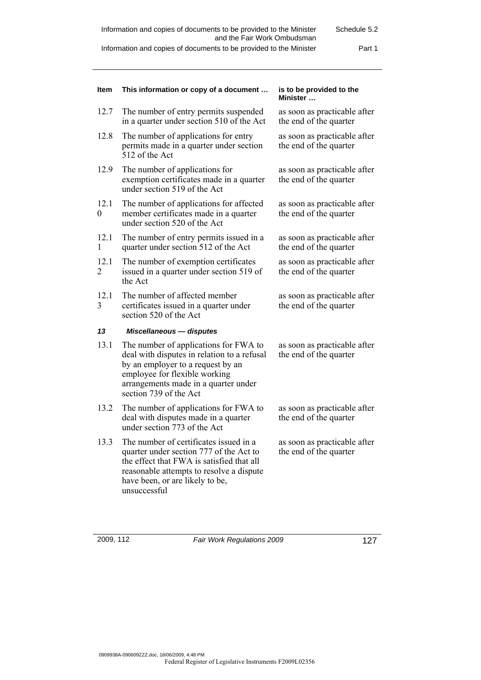#### **Item This information or copy of a document … is to be provided to the**

- 12.7 The number of entry permits suspended in a quarter under section 510 of the Act
- 12.8 The number of applications for entry permits made in a quarter under section 512 of the Act
- 12.9 The number of applications for exemption certificates made in a quarter under section 519 of the Act
- 12.1  $\Omega$ The number of applications for affected member certificates made in a quarter under section 520 of the Act
- 12.1 1 The number of entry permits issued in a quarter under section 512 of the Act
- 12.1  $\mathcal{L}$ The number of exemption certificates issued in a quarter under section 519 of the Act
- 12.1 3 The number of affected member certificates issued in a quarter under section 520 of the Act

#### *13 Miscellaneous — disputes*

- 13.1 The number of applications for FWA to deal with disputes in relation to a refusal by an employer to a request by an employee for flexible working arrangements made in a quarter under section 739 of the Act
- 13.2 The number of applications for FWA to deal with disputes made in a quarter under section 773 of the Act
- 13.3 The number of certificates issued in a quarter under section 777 of the Act to the effect that FWA is satisfied that all reasonable attempts to resolve a dispute have been, or are likely to be, unsuccessful

# **Minister …**

- as soon as practicable after the end of the quarter
- as soon as practicable after the end of the quarter

as soon as practicable after the end of the quarter

as soon as practicable after the end of the quarter

as soon as practicable after the end of the quarter

as soon as practicable after the end of the quarter

as soon as practicable after the end of the quarter

as soon as practicable after the end of the quarter

as soon as practicable after the end of the quarter

as soon as practicable after the end of the quarter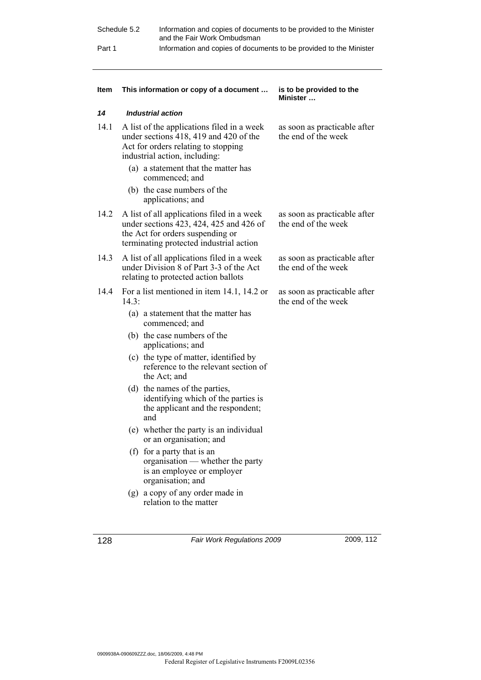| Schedule 5.2 | Information and copies of documents to be provided to the Minister<br>and the Fair Work Ombudsman |
|--------------|---------------------------------------------------------------------------------------------------|
| Part 1       | Information and copies of documents to be provided to the Minister                                |

| Item | This information or copy of a document                                                                                                                                                                                                                                                                                                                                                                                                                                                                                                                                                                                                       | is to be provided to the<br>Minister                |
|------|----------------------------------------------------------------------------------------------------------------------------------------------------------------------------------------------------------------------------------------------------------------------------------------------------------------------------------------------------------------------------------------------------------------------------------------------------------------------------------------------------------------------------------------------------------------------------------------------------------------------------------------------|-----------------------------------------------------|
| 14   | <b>Industrial action</b>                                                                                                                                                                                                                                                                                                                                                                                                                                                                                                                                                                                                                     |                                                     |
| 14.1 | A list of the applications filed in a week<br>under sections 418, 419 and 420 of the<br>Act for orders relating to stopping<br>industrial action, including:<br>(a) a statement that the matter has<br>commenced; and<br>(b) the case numbers of the<br>applications; and                                                                                                                                                                                                                                                                                                                                                                    | as soon as practicable after<br>the end of the week |
| 14.2 | A list of all applications filed in a week<br>under sections 423, 424, 425 and 426 of<br>the Act for orders suspending or<br>terminating protected industrial action                                                                                                                                                                                                                                                                                                                                                                                                                                                                         | as soon as practicable after<br>the end of the week |
| 14.3 | A list of all applications filed in a week<br>under Division 8 of Part 3-3 of the Act<br>relating to protected action ballots                                                                                                                                                                                                                                                                                                                                                                                                                                                                                                                | as soon as practicable after<br>the end of the week |
| 14.4 | For a list mentioned in item 14.1, 14.2 or<br>14.3:<br>(a) a statement that the matter has<br>commenced; and<br>(b) the case numbers of the<br>applications; and<br>(c) the type of matter, identified by<br>reference to the relevant section of<br>the Act; and<br>(d) the names of the parties,<br>identifying which of the parties is<br>the applicant and the respondent;<br>and<br>(e) whether the party is an individual<br>or an organisation; and<br>(f) for a party that is an<br>organisation — whether the party<br>is an employee or employer<br>organisation; and<br>(g) a copy of any order made in<br>relation to the matter | as soon as practicable after<br>the end of the week |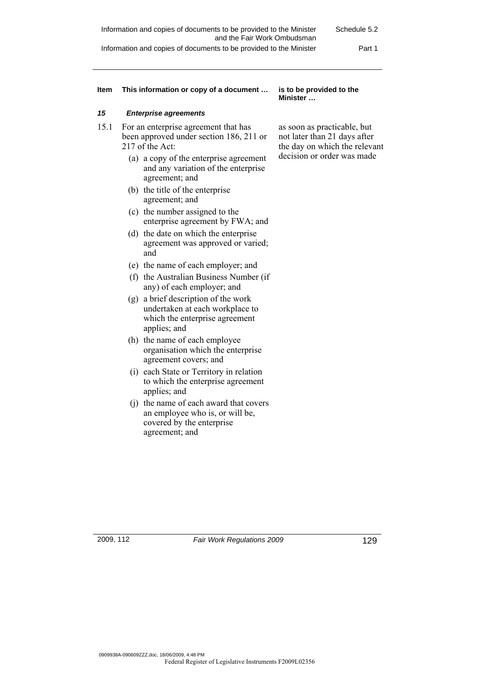#### **Item This information or copy of a document … is to be provided to the**

#### *15 Enterprise agreements*

- 15.1 For an enterprise agreement that has been approved under section 186, 211 or 217 of the Act:
	- (a) a copy of the enterprise agreement and any variation of the enterprise agreement; and
	- (b) the title of the enterprise agreement; and
	- (c) the number assigned to the enterprise agreement by FWA; and
	- (d) the date on which the enterprise agreement was approved or varied; and
	- (e) the name of each employer; and
	- (f) the Australian Business Number (if any) of each employer; and
	- (g) a brief description of the work undertaken at each workplace to which the enterprise agreement applies; and
	- (h) the name of each employee organisation which the enterprise agreement covers; and
	- (i) each State or Territory in relation to which the enterprise agreement applies; and
	- (j) the name of each award that covers an employee who is, or will be, covered by the enterprise agreement; and

**Minister …** 

as soon as practicable, but not later than 21 days after the day on which the relevant decision or order was made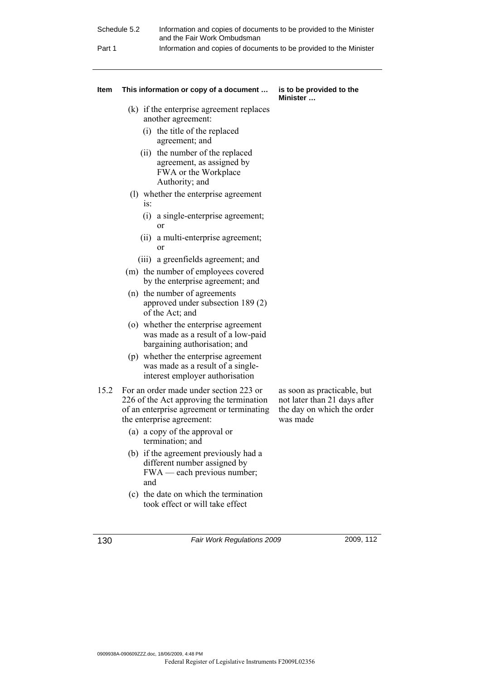| Schedule 5.2 | Information and copies of documents to be provided to the Minister<br>and the Fair Work Ombudsman |
|--------------|---------------------------------------------------------------------------------------------------|
| Part 1       | Information and copies of documents to be provided to the Minister                                |

#### **Item This information or copy of a document … is to be provided to the**

**Minister …** 

- (k) if the enterprise agreement replaces another agreement:
	- (i) the title of the replaced agreement; and
	- (ii) the number of the replaced agreement, as assigned by FWA or the Workplace Authority; and
- (l) whether the enterprise agreement is:
	- (i) a single-enterprise agreement; or
	- (ii) a multi-enterprise agreement; or
	- (iii) a greenfields agreement; and
- (m) the number of employees covered by the enterprise agreement; and
- (n) the number of agreements approved under subsection 189 (2) of the Act; and
- (o) whether the enterprise agreement was made as a result of a low-paid bargaining authorisation; and
- (p) whether the enterprise agreement was made as a result of a singleinterest employer authorisation
- 15.2 For an order made under section 223 or 226 of the Act approving the termination of an enterprise agreement or terminating the enterprise agreement:
	- (a) a copy of the approval or termination; and
	- (b) if the agreement previously had a different number assigned by FWA — each previous number; and
	- (c) the date on which the termination took effect or will take effect

as soon as practicable, but not later than 21 days after the day on which the order was made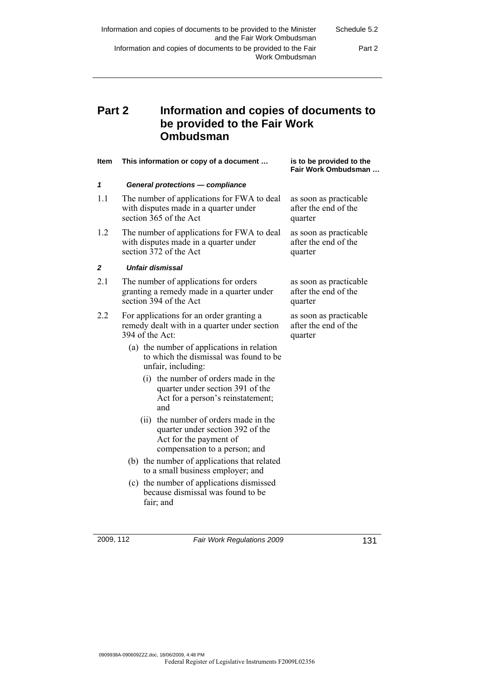Schedule 5.2

Part 2

## **Part 2 Information and copies of documents to be provided to the Fair Work Ombudsman**

| <b>Item</b>                                                                                                        | This information or copy of a document                                                                                                                                    | is to be provided to the<br>Fair Work Ombudsman           |  |
|--------------------------------------------------------------------------------------------------------------------|---------------------------------------------------------------------------------------------------------------------------------------------------------------------------|-----------------------------------------------------------|--|
| 1                                                                                                                  | <b>General protections - compliance</b>                                                                                                                                   |                                                           |  |
| 1.1                                                                                                                | The number of applications for FWA to deal<br>with disputes made in a quarter under<br>section 365 of the Act                                                             | as soon as practicable<br>after the end of the<br>quarter |  |
| 1.2                                                                                                                | The number of applications for FWA to deal<br>with disputes made in a quarter under<br>section 372 of the Act                                                             | as soon as practicable<br>after the end of the<br>quarter |  |
| $\mathbf{2}$                                                                                                       | <b>Unfair dismissal</b>                                                                                                                                                   |                                                           |  |
| 2.1                                                                                                                | The number of applications for orders<br>as soon as practicable<br>after the end of the<br>granting a remedy made in a quarter under<br>section 394 of the Act<br>quarter |                                                           |  |
| 2.2<br>For applications for an order granting a<br>remedy dealt with in a quarter under section<br>394 of the Act: |                                                                                                                                                                           | as soon as practicable<br>after the end of the<br>quarter |  |
|                                                                                                                    | (a) the number of applications in relation<br>to which the dismissal was found to be<br>unfair, including:                                                                |                                                           |  |
|                                                                                                                    | (i) the number of orders made in the<br>quarter under section 391 of the<br>Act for a person's reinstatement;<br>and                                                      |                                                           |  |
|                                                                                                                    | (ii) the number of orders made in the<br>quarter under section 392 of the<br>Act for the payment of<br>compensation to a person; and                                      |                                                           |  |
|                                                                                                                    | (b) the number of applications that related<br>to a small business employer; and                                                                                          |                                                           |  |
|                                                                                                                    | (c) the number of applications dismissed<br>because dismissal was found to be<br>fair; and                                                                                |                                                           |  |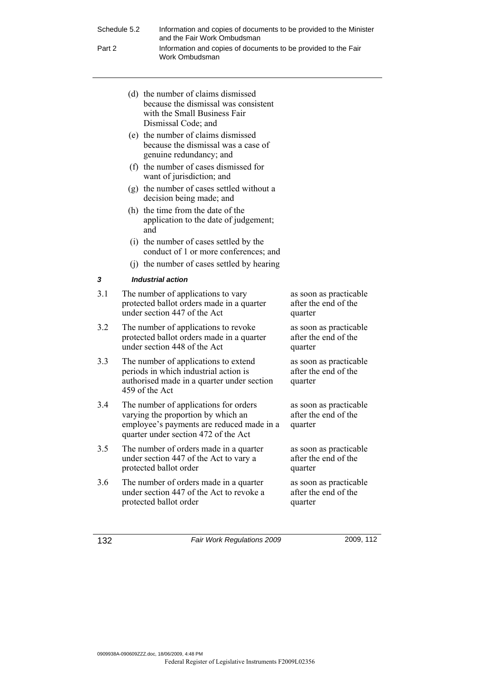|        | Schedule 5.2<br>Information and copies of documents to be provided to the Minister<br>and the Fair Work Ombudsman                                                                                          |                                                                                                                                                                  |                                                           |
|--------|------------------------------------------------------------------------------------------------------------------------------------------------------------------------------------------------------------|------------------------------------------------------------------------------------------------------------------------------------------------------------------|-----------------------------------------------------------|
| Part 2 |                                                                                                                                                                                                            | Information and copies of documents to be provided to the Fair<br>Work Ombudsman                                                                                 |                                                           |
|        |                                                                                                                                                                                                            | (d) the number of claims dismissed<br>because the dismissal was consistent<br>with the Small Business Fair<br>Dismissal Code; and                                |                                                           |
|        |                                                                                                                                                                                                            | (e) the number of claims dismissed<br>because the dismissal was a case of<br>genuine redundancy; and                                                             |                                                           |
|        |                                                                                                                                                                                                            | (f) the number of cases dismissed for<br>want of jurisdiction; and                                                                                               |                                                           |
|        |                                                                                                                                                                                                            | (g) the number of cases settled without a<br>decision being made; and                                                                                            |                                                           |
|        |                                                                                                                                                                                                            | (h) the time from the date of the<br>application to the date of judgement;<br>and                                                                                |                                                           |
|        |                                                                                                                                                                                                            | (i) the number of cases settled by the<br>conduct of 1 or more conferences; and                                                                                  |                                                           |
|        |                                                                                                                                                                                                            | (i) the number of cases settled by hearing                                                                                                                       |                                                           |
| 3      |                                                                                                                                                                                                            | <b>Industrial action</b>                                                                                                                                         |                                                           |
| 3.1    |                                                                                                                                                                                                            | The number of applications to vary<br>protected ballot orders made in a quarter<br>under section 447 of the Act                                                  | as soon as practicable<br>after the end of the<br>quarter |
| 3.2    | The number of applications to revoke<br>as soon as practicable<br>after the end of the<br>protected ballot orders made in a quarter<br>under section 448 of the Act<br>quarter                             |                                                                                                                                                                  |                                                           |
| 3.3    | The number of applications to extend<br>as soon as practicable<br>periods in which industrial action is<br>after the end of the<br>authorised made in a quarter under section<br>quarter<br>459 of the Act |                                                                                                                                                                  |                                                           |
| 3.4    |                                                                                                                                                                                                            | The number of applications for orders<br>varying the proportion by which an<br>employee's payments are reduced made in a<br>quarter under section 472 of the Act | as soon as practicable<br>after the end of the<br>quarter |
| 3.5    |                                                                                                                                                                                                            | The number of orders made in a quarter<br>under section 447 of the Act to vary a<br>protected ballot order                                                       | as soon as practicable<br>after the end of the<br>quarter |
| 3.6    |                                                                                                                                                                                                            | The number of orders made in a quarter<br>under section 447 of the Act to revoke a<br>protected ballot order                                                     | as soon as practicable<br>after the end of the<br>quarter |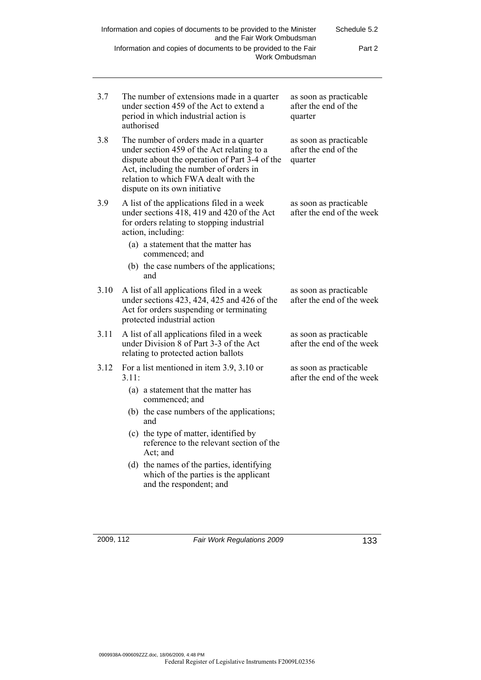|      | Information and copies of documents to be provided to the Minister<br>and the Fair Work Ombudsman                                                                                                                                                         | Schedule 5.2                                              |
|------|-----------------------------------------------------------------------------------------------------------------------------------------------------------------------------------------------------------------------------------------------------------|-----------------------------------------------------------|
|      | Information and copies of documents to be provided to the Fair                                                                                                                                                                                            | Part 2<br>Work Ombudsman                                  |
| 3.7  | The number of extensions made in a quarter<br>under section 459 of the Act to extend a<br>period in which industrial action is<br>authorised                                                                                                              | as soon as practicable<br>after the end of the<br>quarter |
| 3.8  | The number of orders made in a quarter<br>under section 459 of the Act relating to a<br>dispute about the operation of Part 3-4 of the<br>Act, including the number of orders in<br>relation to which FWA dealt with the<br>dispute on its own initiative | as soon as practicable<br>after the end of the<br>quarter |
| 3.9  | A list of the applications filed in a week<br>under sections 418, 419 and 420 of the Act<br>for orders relating to stopping industrial<br>action, including:                                                                                              | as soon as practicable<br>after the end of the week       |
|      | (a) a statement that the matter has<br>commenced; and                                                                                                                                                                                                     |                                                           |
|      | (b) the case numbers of the applications;<br>and                                                                                                                                                                                                          |                                                           |
| 3.10 | A list of all applications filed in a week<br>under sections 423, 424, 425 and 426 of the<br>Act for orders suspending or terminating<br>protected industrial action                                                                                      | as soon as practicable<br>after the end of the week       |
| 3.11 | A list of all applications filed in a week<br>under Division 8 of Part 3-3 of the Act<br>relating to protected action ballots                                                                                                                             | as soon as practicable<br>after the end of the week       |
| 3.12 | For a list mentioned in item 3.9, 3.10 or<br>3.11:                                                                                                                                                                                                        | as soon as practicable<br>after the end of the week       |
|      | (a) a statement that the matter has<br>commenced; and                                                                                                                                                                                                     |                                                           |
|      | (b) the case numbers of the applications;<br>and                                                                                                                                                                                                          |                                                           |
|      | (c) the type of matter, identified by<br>reference to the relevant section of the<br>Act; and                                                                                                                                                             |                                                           |
|      | (d) the names of the parties, identifying<br>which of the parties is the applicant<br>and the respondent; and                                                                                                                                             |                                                           |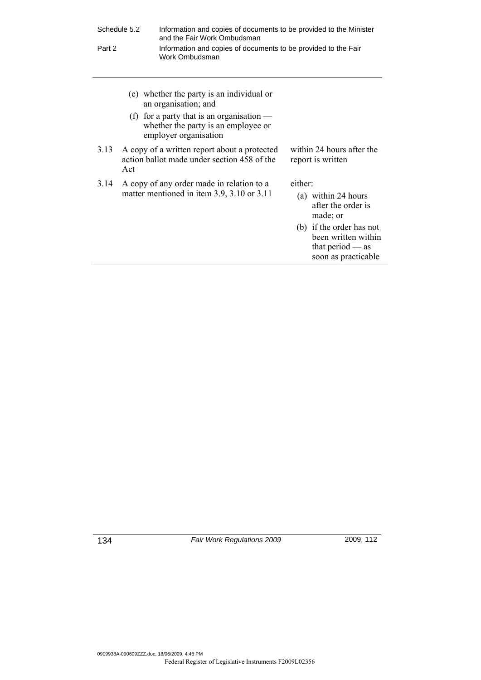| Schedule 5.2 |                                                                                                    | Information and copies of documents to be provided to the Minister<br>and the Fair Work Ombudsman                                                                                |                                                                                                                                                                  |  |
|--------------|----------------------------------------------------------------------------------------------------|----------------------------------------------------------------------------------------------------------------------------------------------------------------------------------|------------------------------------------------------------------------------------------------------------------------------------------------------------------|--|
| Part 2       |                                                                                                    | Information and copies of documents to be provided to the Fair<br>Work Ombudsman                                                                                                 |                                                                                                                                                                  |  |
|              |                                                                                                    | (e) whether the party is an individual or<br>an organisation; and<br>(f) for a party that is an organisation $-$<br>whether the party is an employee or<br>employer organisation |                                                                                                                                                                  |  |
| 3.13         | A copy of a written report about a protected<br>action ballot made under section 458 of the<br>Act |                                                                                                                                                                                  | within 24 hours after the<br>report is written                                                                                                                   |  |
| 3.14         |                                                                                                    | A copy of any order made in relation to a<br>matter mentioned in item 3.9, 3.10 or 3.11                                                                                          | either:<br>(a) within 24 hours<br>after the order is<br>made; or<br>(b) if the order has not<br>been written within<br>that period $-$ as<br>soon as practicable |  |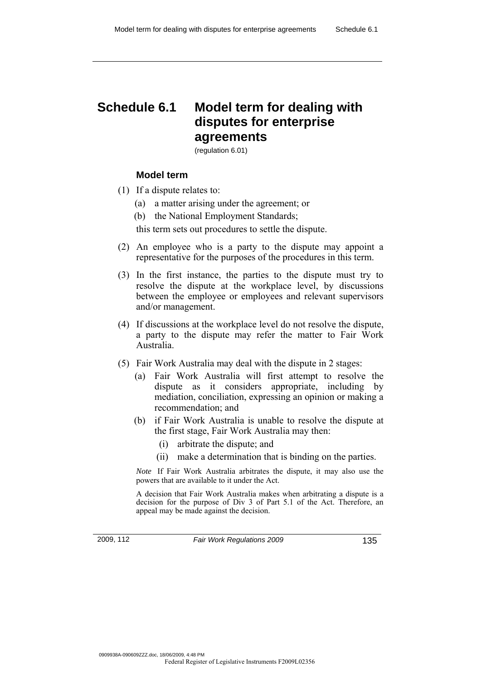# **Schedule 6.1 Model term for dealing with disputes for enterprise agreements**

(regulation 6.01)

### **Model term**

- (1) If a dispute relates to:
	- (a) a matter arising under the agreement; or
	- (b) the National Employment Standards;

this term sets out procedures to settle the dispute.

- (2) An employee who is a party to the dispute may appoint a representative for the purposes of the procedures in this term.
- (3) In the first instance, the parties to the dispute must try to resolve the dispute at the workplace level, by discussions between the employee or employees and relevant supervisors and/or management.
- (4) If discussions at the workplace level do not resolve the dispute, a party to the dispute may refer the matter to Fair Work Australia.
- (5) Fair Work Australia may deal with the dispute in 2 stages:
	- (a) Fair Work Australia will first attempt to resolve the dispute as it considers appropriate, including by mediation, conciliation, expressing an opinion or making a recommendation; and
	- (b) if Fair Work Australia is unable to resolve the dispute at the first stage, Fair Work Australia may then:
		- (i) arbitrate the dispute; and
		- (ii) make a determination that is binding on the parties.

*Note* If Fair Work Australia arbitrates the dispute, it may also use the powers that are available to it under the Act.

A decision that Fair Work Australia makes when arbitrating a dispute is a decision for the purpose of Div 3 of Part 5.1 of the Act. Therefore, an appeal may be made against the decision.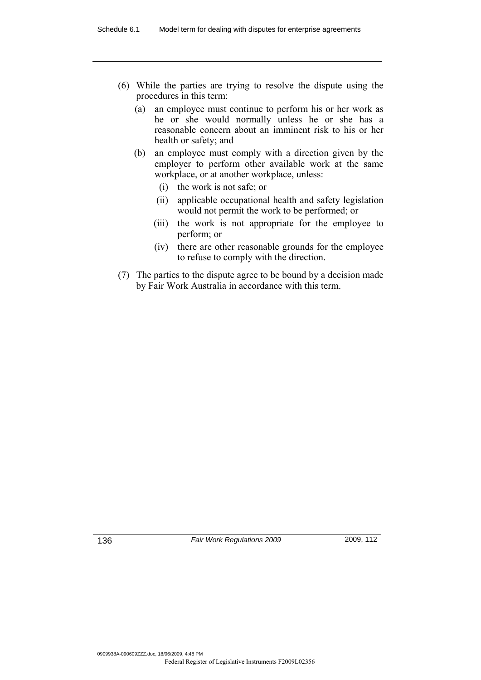- (6) While the parties are trying to resolve the dispute using the procedures in this term:
	- (a) an employee must continue to perform his or her work as he or she would normally unless he or she has a reasonable concern about an imminent risk to his or her health or safety; and
	- (b) an employee must comply with a direction given by the employer to perform other available work at the same workplace, or at another workplace, unless:
		- (i) the work is not safe; or
		- (ii) applicable occupational health and safety legislation would not permit the work to be performed; or
		- (iii) the work is not appropriate for the employee to perform; or
		- (iv) there are other reasonable grounds for the employee to refuse to comply with the direction.
- (7) The parties to the dispute agree to be bound by a decision made by Fair Work Australia in accordance with this term.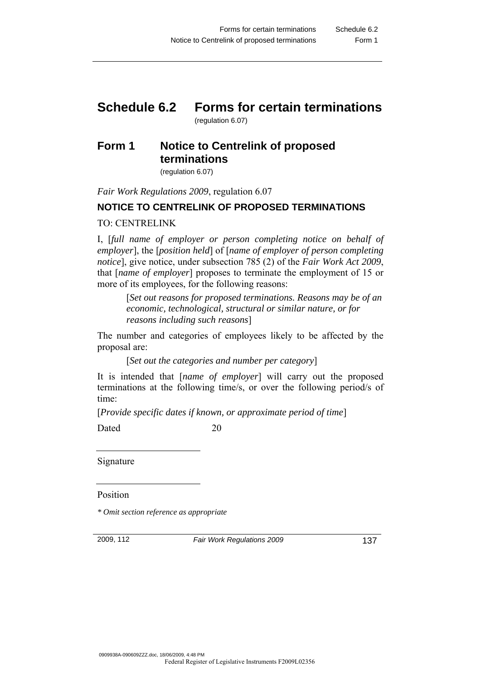## **Schedule 6.2 Forms for certain terminations**  (regulation 6.07)

## **Form 1 Notice to Centrelink of proposed terminations**

(regulation 6.07)

*Fair Work Regulations 2009*, regulation 6.07

### **NOTICE TO CENTRELINK OF PROPOSED TERMINATIONS**

### TO: CENTRELINK

I, [*full name of employer or person completing notice on behalf of employer*], the [*position held*] of [*name of employer of person completing notice*], give notice, under subsection 785 (2) of the *Fair Work Act 2009*, that [*name of employer*] proposes to terminate the employment of 15 or more of its employees, for the following reasons:

[*Set out reasons for proposed terminations. Reasons may be of an economic, technological, structural or similar nature, or for reasons including such reasons*]

The number and categories of employees likely to be affected by the proposal are:

[*Set out the categories and number per category*]

It is intended that [*name of employer*] will carry out the proposed terminations at the following time/s, or over the following period/s of time:

[*Provide specific dates if known, or approximate period of time*]

Dated 20

Signature

Position

*\* Omit section reference as appropriate*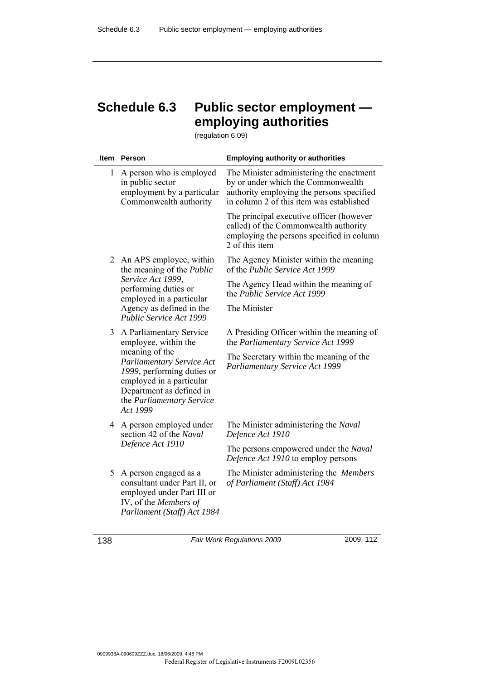# **Schedule 6.3 Public sector employment employing authorities**

(regulation 6.09)

| Item                                                                            | <b>Person</b>                                                                                                                                 | <b>Employing authority or authorities</b>                                                                                                                               |
|---------------------------------------------------------------------------------|-----------------------------------------------------------------------------------------------------------------------------------------------|-------------------------------------------------------------------------------------------------------------------------------------------------------------------------|
|                                                                                 | 1 A person who is employed<br>in public sector<br>employment by a particular<br>Commonwealth authority                                        | The Minister administering the enactment<br>by or under which the Commonwealth<br>authority employing the persons specified<br>in column 2 of this item was established |
|                                                                                 |                                                                                                                                               | The principal executive officer (however<br>called) of the Commonwealth authority<br>employing the persons specified in column<br>2 of this item                        |
|                                                                                 | 2 An APS employee, within<br>the meaning of the <i>Public</i>                                                                                 | The Agency Minister within the meaning<br>of the Public Service Act 1999                                                                                                |
|                                                                                 | Service Act 1999,<br>performing duties or<br>employed in a particular                                                                         | The Agency Head within the meaning of<br>the Public Service Act 1999                                                                                                    |
| Agency as defined in the<br>Public Service Act 1999                             |                                                                                                                                               | The Minister                                                                                                                                                            |
| 3 A Parliamentary Service<br>employee, within the<br>meaning of the<br>Act 1999 |                                                                                                                                               | A Presiding Officer within the meaning of<br>the Parliamentary Service Act 1999                                                                                         |
|                                                                                 | Parliamentary Service Act<br>1999, performing duties or<br>employed in a particular<br>Department as defined in<br>the Parliamentary Service  | The Secretary within the meaning of the<br>Parliamentary Service Act 1999                                                                                               |
|                                                                                 | 4 A person employed under<br>section 42 of the Naval<br>Defence Act 1910                                                                      | The Minister administering the Naval<br>Defence Act 1910                                                                                                                |
|                                                                                 |                                                                                                                                               | The persons empowered under the Naval<br>Defence Act 1910 to employ persons                                                                                             |
|                                                                                 | 5 A person engaged as a<br>consultant under Part II, or<br>employed under Part III or<br>IV, of the Members of<br>Parliament (Staff) Act 1984 | The Minister administering the Members<br>of Parliament (Staff) Act 1984                                                                                                |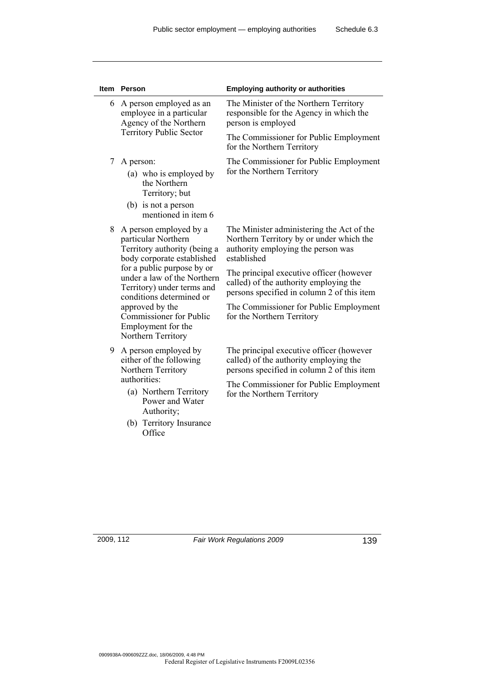|   | <b>Item Person</b>                                                                                                                                                                                                                                                                                                                  | <b>Employing authority or authorities</b>                                                                                                                                                                                        |
|---|-------------------------------------------------------------------------------------------------------------------------------------------------------------------------------------------------------------------------------------------------------------------------------------------------------------------------------------|----------------------------------------------------------------------------------------------------------------------------------------------------------------------------------------------------------------------------------|
| 6 | A person employed as an<br>employee in a particular<br>Agency of the Northern                                                                                                                                                                                                                                                       | The Minister of the Northern Territory<br>responsible for the Agency in which the<br>person is employed                                                                                                                          |
|   | <b>Territory Public Sector</b>                                                                                                                                                                                                                                                                                                      | The Commissioner for Public Employment<br>for the Northern Territory                                                                                                                                                             |
| 7 | A person:<br>(a) who is employed by<br>the Northern<br>Territory; but<br>(b) is not a person<br>mentioned in item 6                                                                                                                                                                                                                 | The Commissioner for Public Employment<br>for the Northern Territory                                                                                                                                                             |
| 8 | A person employed by a<br>particular Northern<br>Territory authority (being a<br>body corporate established<br>for a public purpose by or<br>under a law of the Northern<br>Territory) under terms and<br>conditions determined or<br>approved by the<br><b>Commissioner</b> for Public<br>Employment for the<br>Northern Territory | The Minister administering the Act of the<br>Northern Territory by or under which the<br>authority employing the person was<br>established<br>The principal executive officer (however<br>called) of the authority employing the |
|   |                                                                                                                                                                                                                                                                                                                                     | persons specified in column 2 of this item<br>The Commissioner for Public Employment<br>for the Northern Territory                                                                                                               |
| 9 | A person employed by<br>either of the following<br>Northern Territory<br>authorities:<br>(a) Northern Territory<br>Power and Water<br>Authority;                                                                                                                                                                                    | The principal executive officer (however<br>called) of the authority employing the<br>persons specified in column 2 of this item<br>The Commissioner for Public Employment<br>for the Northern Territory                         |
|   | (b) Territory Insurance<br>Office                                                                                                                                                                                                                                                                                                   |                                                                                                                                                                                                                                  |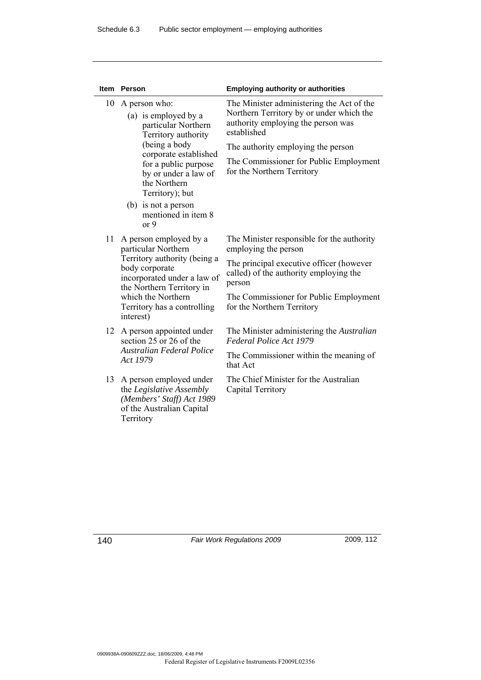| <b>Item</b> | Person                                                                                                                                                                                                                                                                 | <b>Employing authority or authorities</b>                                                                                                                                                                                                                |
|-------------|------------------------------------------------------------------------------------------------------------------------------------------------------------------------------------------------------------------------------------------------------------------------|----------------------------------------------------------------------------------------------------------------------------------------------------------------------------------------------------------------------------------------------------------|
| 10          | A person who:<br>(a) is employed by a<br>particular Northern<br>Territory authority<br>(being a body<br>corporate established<br>for a public purpose<br>by or under a law of<br>the Northern<br>Territory); but<br>(b) is not a person<br>mentioned in item 8<br>or 9 | The Minister administering the Act of the<br>Northern Territory by or under which the<br>authority employing the person was<br>established<br>The authority employing the person<br>The Commissioner for Public Employment<br>for the Northern Territory |
| 11          | A person employed by a<br>particular Northern<br>Territory authority (being a<br>body corporate<br>incorporated under a law of<br>the Northern Territory in<br>which the Northern<br>Territory has a controlling<br>interest)                                          | The Minister responsible for the authority<br>employing the person<br>The principal executive officer (however<br>called) of the authority employing the<br>person<br>The Commissioner for Public Employment<br>for the Northern Territory               |
|             | 12 A person appointed under<br>section 25 or 26 of the<br><b>Australian Federal Police</b><br>Act 1979                                                                                                                                                                 | The Minister administering the Australian<br>Federal Police Act 1979<br>The Commissioner within the meaning of<br>that Act                                                                                                                               |
| 13          | A person employed under<br>the Legislative Assembly<br>(Members' Staff) Act 1989<br>of the Australian Capital<br>Territory                                                                                                                                             | The Chief Minister for the Australian<br>Capital Territory                                                                                                                                                                                               |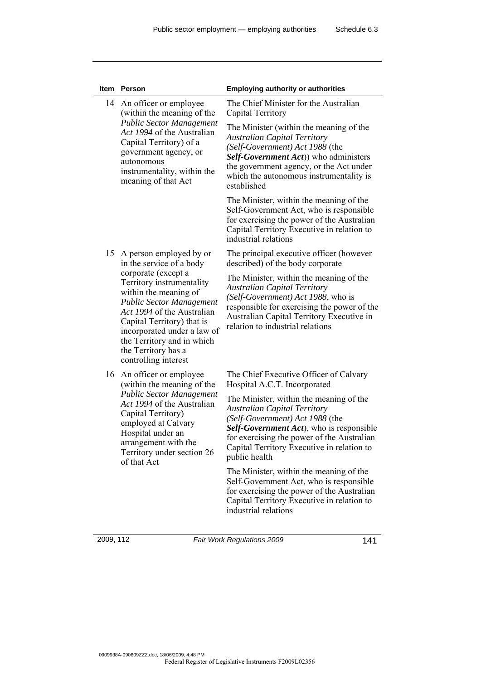| Item | Person                                                                                                                                                                                                                                                                                                                                      | <b>Employing authority or authorities</b>                                                                                                                                                                                                                                  |
|------|---------------------------------------------------------------------------------------------------------------------------------------------------------------------------------------------------------------------------------------------------------------------------------------------------------------------------------------------|----------------------------------------------------------------------------------------------------------------------------------------------------------------------------------------------------------------------------------------------------------------------------|
| 14   | An officer or employee<br>(within the meaning of the<br><b>Public Sector Management</b><br>Act 1994 of the Australian<br>Capital Territory) of a<br>government agency, or<br>autonomous<br>instrumentality, within the<br>meaning of that Act                                                                                               | The Chief Minister for the Australian<br>Capital Territory                                                                                                                                                                                                                 |
|      |                                                                                                                                                                                                                                                                                                                                             | The Minister (within the meaning of the<br><b>Australian Capital Territory</b><br>(Self-Government) Act 1988 (the<br>Self-Government Act)) who administers<br>the government agency, or the Act under<br>which the autonomous instrumentality is<br>established            |
|      |                                                                                                                                                                                                                                                                                                                                             | The Minister, within the meaning of the<br>Self-Government Act, who is responsible<br>for exercising the power of the Australian<br>Capital Territory Executive in relation to<br>industrial relations                                                                     |
| 15   | A person employed by or<br>in the service of a body<br>corporate (except a<br>Territory instrumentality<br>within the meaning of<br><b>Public Sector Management</b><br>Act 1994 of the Australian<br>Capital Territory) that is<br>incorporated under a law of<br>the Territory and in which<br>the Territory has a<br>controlling interest | The principal executive officer (however<br>described) of the body corporate                                                                                                                                                                                               |
|      |                                                                                                                                                                                                                                                                                                                                             | The Minister, within the meaning of the<br><b>Australian Capital Territory</b><br>(Self-Government) Act 1988, who is<br>responsible for exercising the power of the<br>Australian Capital Territory Executive in<br>relation to industrial relations                       |
| 16   | An officer or employee<br>(within the meaning of the<br><b>Public Sector Management</b><br>Act 1994 of the Australian<br>Capital Territory)<br>employed at Calvary<br>Hospital under an<br>arrangement with the<br>Territory under section 26<br>of that Act                                                                                | The Chief Executive Officer of Calvary<br>Hospital A.C.T. Incorporated                                                                                                                                                                                                     |
|      |                                                                                                                                                                                                                                                                                                                                             | The Minister, within the meaning of the<br><b>Australian Capital Territory</b><br>(Self-Government) Act 1988 (the<br>Self-Government Act), who is responsible<br>for exercising the power of the Australian<br>Capital Territory Executive in relation to<br>public health |
|      |                                                                                                                                                                                                                                                                                                                                             | The Minister, within the meaning of the<br>Self-Government Act, who is responsible<br>for exercising the power of the Australian<br>Capital Territory Executive in relation to<br>industrial relations                                                                     |